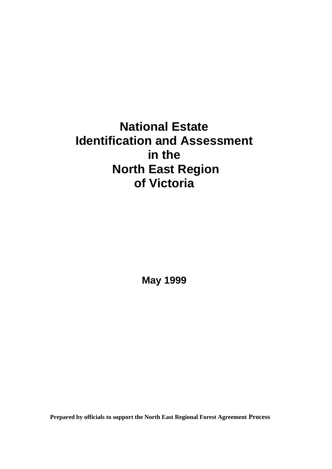# **National Estate Identification and Assessment in the North East Region of Victoria**

**May 1999**

**Prepared by officials to support the North East Regional Forest Agreement Process**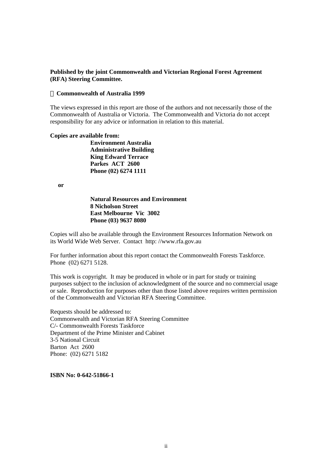### **Published by the joint Commonwealth and Victorian Regional Forest Agreement (RFA) Steering Committee.**

### **ã Commonwealth of Australia 1999**

The views expressed in this report are those of the authors and not necessarily those of the Commonwealth of Australia or Victoria. The Commonwealth and Victoria do not accept responsibility for any advice or information in relation to this material.

### **Copies are available from:**

**Environment Australia Administrative Building King Edward Terrace Parkes ACT 2600 Phone (02) 6274 1111**

**or**

**Natural Resources and Environment 8 Nicholson Street East Melbourne Vic 3002 Phone (03) 9637 8080**

Copies will also be available through the Environment Resources Information Network on its World Wide Web Server. Contact http: //www.rfa.gov.au

For further information about this report contact the Commonwealth Forests Taskforce. Phone (02) 6271 5128.

This work is copyright. It may be produced in whole or in part for study or training purposes subject to the inclusion of acknowledgment of the source and no commercial usage or sale. Reproduction for purposes other than those listed above requires written permission of the Commonwealth and Victorian RFA Steering Committee.

Requests should be addressed to: Commonwealth and Victorian RFA Steering Committee C/- Commonwealth Forests Taskforce Department of the Prime Minister and Cabinet 3-5 National Circuit Barton Act 2600 Phone: (02) 6271 5182

**ISBN No: 0-642-51866-1**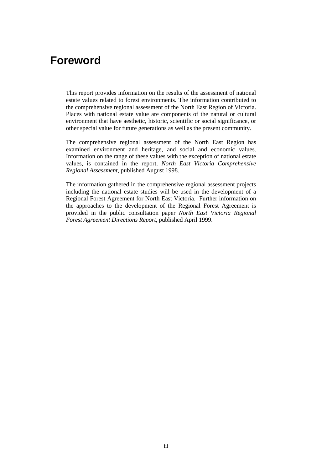# **Foreword**

This report provides information on the results of the assessment of national estate values related to forest environments. The information contributed to the comprehensive regional assessment of the North East Region of Victoria. Places with national estate value are components of the natural or cultural environment that have aesthetic, historic, scientific or social significance, or other special value for future generations as well as the present community.

The comprehensive regional assessment of the North East Region has examined environment and heritage, and social and economic values. Information on the range of these values with the exception of national estate values, is contained in the report, *North East Victoria Comprehensive Regional Assessment*, published August 1998.

The information gathered in the comprehensive regional assessment projects including the national estate studies will be used in the development of a Regional Forest Agreement for North East Victoria. Further information on the approaches to the development of the Regional Forest Agreement is provided in the public consultation paper *North East Victoria Regional Forest Agreement Directions Report,* published April 1999.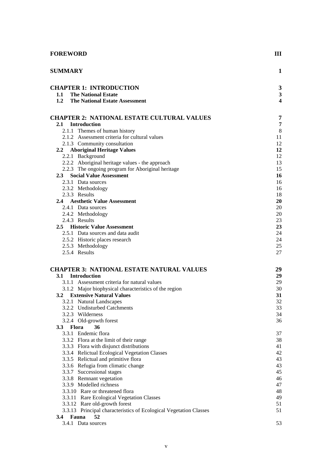| <b>FOREWORD</b> |  |
|-----------------|--|
|-----------------|--|

| <b>SUMMARY</b>                                                                                                                                                                                                                                                                                                                              | 1                                                  |
|---------------------------------------------------------------------------------------------------------------------------------------------------------------------------------------------------------------------------------------------------------------------------------------------------------------------------------------------|----------------------------------------------------|
| <b>CHAPTER 1: INTRODUCTION</b>                                                                                                                                                                                                                                                                                                              | 3                                                  |
| 1.1 The National Estate                                                                                                                                                                                                                                                                                                                     | $\mathbf{3}$                                       |
| 1.2 The National Estate Assessment                                                                                                                                                                                                                                                                                                          | 4                                                  |
| <b>CHAPTER 2: NATIONAL ESTATE CULTURAL VALUES</b>                                                                                                                                                                                                                                                                                           | 7                                                  |
| 2.1 Introduction                                                                                                                                                                                                                                                                                                                            | 7                                                  |
| 2.1.1 Themes of human history                                                                                                                                                                                                                                                                                                               | 8                                                  |
| 2.1.2 Assessment criteria for cultural values                                                                                                                                                                                                                                                                                               | 11                                                 |
| 2.1.3 Community consultation                                                                                                                                                                                                                                                                                                                | 12                                                 |
| 2.2 Aboriginal Heritage Values                                                                                                                                                                                                                                                                                                              | 12                                                 |
| 2.2.1 Background                                                                                                                                                                                                                                                                                                                            | 12                                                 |
| 2.2.2 Aboriginal heritage values - the approach                                                                                                                                                                                                                                                                                             | 13                                                 |
| 2.2.3 The ongoing program for Aboriginal heritage<br>2.3 Social Value Assessment                                                                                                                                                                                                                                                            | 15                                                 |
| 2.3.1 Data sources                                                                                                                                                                                                                                                                                                                          | 16<br>16                                           |
| 2.3.2 Methodology                                                                                                                                                                                                                                                                                                                           | 16                                                 |
| 2.3.3 Results                                                                                                                                                                                                                                                                                                                               | 18                                                 |
| 2.4 Aesthetic Value Assessment                                                                                                                                                                                                                                                                                                              | 20                                                 |
| 2.4.1 Data sources                                                                                                                                                                                                                                                                                                                          | 20                                                 |
| 2.4.2 Methodology                                                                                                                                                                                                                                                                                                                           | 20                                                 |
| 2.4.3 Results                                                                                                                                                                                                                                                                                                                               | 23                                                 |
| 2.5 Historic Value Assessment                                                                                                                                                                                                                                                                                                               | 23                                                 |
| 2.5.1 Data sources and data audit                                                                                                                                                                                                                                                                                                           | 24                                                 |
| 2.5.2 Historic places research                                                                                                                                                                                                                                                                                                              | 24                                                 |
| 2.5.3 Methodology                                                                                                                                                                                                                                                                                                                           | 25                                                 |
| 2.5.4 Results                                                                                                                                                                                                                                                                                                                               | 27                                                 |
| <b>CHAPTER 3: NATIONAL ESTATE NATURAL VALUES</b><br>3.1 Introduction<br>3.1.1 Assessment criteria for natural values<br>3.1.2 Major biophysical characteristics of the region<br>3.2 Extensive Natural Values<br>3.2.1 Natural Landscapes<br>3.2.2 Undisturbed Catchments<br>3.2.3 Wilderness<br>3.2.4 Old-growth forest<br>3.3 Flora<br>36 | 29<br>29<br>29<br>30<br>31<br>32<br>33<br>34<br>36 |
| 3.3.1 Endemic flora                                                                                                                                                                                                                                                                                                                         | 37                                                 |
| 3.3.2 Flora at the limit of their range                                                                                                                                                                                                                                                                                                     | 38                                                 |
| 3.3.3 Flora with disjunct distributions                                                                                                                                                                                                                                                                                                     | 41                                                 |
| 3.3.4 Relictual Ecological Vegetation Classes                                                                                                                                                                                                                                                                                               | 42                                                 |
| 3.3.5 Relictual and primitive flora                                                                                                                                                                                                                                                                                                         | 43                                                 |
| 3.3.6 Refugia from climatic change                                                                                                                                                                                                                                                                                                          | 43                                                 |
| 3.3.7 Successional stages                                                                                                                                                                                                                                                                                                                   | 45                                                 |
| 3.3.8 Remnant vegetation                                                                                                                                                                                                                                                                                                                    | 46                                                 |
| 3.3.9 Modelled richness                                                                                                                                                                                                                                                                                                                     | 47                                                 |
| 3.3.10 Rare or threatened flora                                                                                                                                                                                                                                                                                                             | 48                                                 |
| 3.3.11 Rare Ecological Vegetation Classes                                                                                                                                                                                                                                                                                                   | 49                                                 |
| 3.3.12 Rare old-growth forest                                                                                                                                                                                                                                                                                                               | 51                                                 |
| 3.3.13 Principal characteristics of Ecological Vegetation Classes                                                                                                                                                                                                                                                                           | 51                                                 |
| 3.4<br>Fauna<br>52<br>3.4.1 Data sources                                                                                                                                                                                                                                                                                                    | 53                                                 |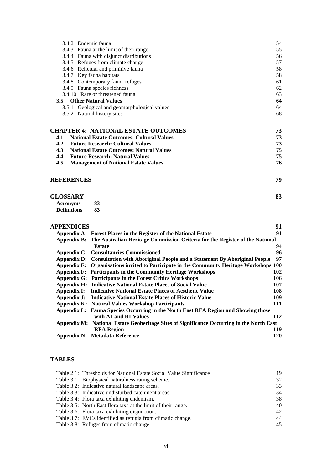| 3.4.2 Endemic fauna                                                                       | 54  |  |  |  |  |
|-------------------------------------------------------------------------------------------|-----|--|--|--|--|
| 3.4.3 Fauna at the limit of their range                                                   |     |  |  |  |  |
| 3.4.4 Fauna with disjunct distributions                                                   |     |  |  |  |  |
| 3.4.5 Refuges from climate change                                                         |     |  |  |  |  |
| 3.4.6 Relictual and primitive fauna                                                       |     |  |  |  |  |
| 3.4.7 Key fauna habitats                                                                  |     |  |  |  |  |
| 3.4.8 Contemporary fauna refuges                                                          |     |  |  |  |  |
| 3.4.9 Fauna species richness<br>3.4.10 Rare or threatened fauna                           |     |  |  |  |  |
|                                                                                           |     |  |  |  |  |
| 3.5.1 Geological and geomorphological values                                              |     |  |  |  |  |
| 3.5.2 Natural history sites                                                               | 68  |  |  |  |  |
| <b>CHAPTER 4: NATIONAL ESTATE OUTCOMES</b>                                                | 73  |  |  |  |  |
| 4.1<br><b>National Estate Outcomes: Cultural Values</b>                                   | 73  |  |  |  |  |
| 4.2<br><b>Future Research: Cultural Values</b>                                            | 73  |  |  |  |  |
| 4.3<br><b>National Estate Outcomes: Natural Values</b>                                    | 75  |  |  |  |  |
| $4.4^{\circ}$<br><b>Future Research: Natural Values</b>                                   | 75  |  |  |  |  |
| 4.5<br><b>Management of National Estate Values</b>                                        | 76  |  |  |  |  |
|                                                                                           |     |  |  |  |  |
| <b>REFERENCES</b>                                                                         | 79  |  |  |  |  |
| <b>GLOSSARY</b>                                                                           | 83  |  |  |  |  |
| <b>Acronyms</b><br>83                                                                     |     |  |  |  |  |
| <b>Definitions</b><br>83                                                                  |     |  |  |  |  |
| <b>APPENDICES</b>                                                                         | 91  |  |  |  |  |
| Appendix A: Forest Places in the Register of the National Estate                          | 91  |  |  |  |  |
| Appendix B: The Australian Heritage Commission Criteria for the Register of the National  |     |  |  |  |  |
| <b>Estate</b>                                                                             | 94  |  |  |  |  |
| <b>Appendix C: Consultancies Commissioned</b>                                             | 96  |  |  |  |  |
| Appendix D: Consultation with Aboriginal People and a Statement By Aboriginal People      | 97  |  |  |  |  |
| Appendix E: Organisations invited to Participate in the Community Heritage Workshops 100  |     |  |  |  |  |
| Appendix F: Participants in the Community Heritage Workshops                              | 102 |  |  |  |  |
| <b>Appendix G: Participants in the Forest Critics Workshops</b>                           | 106 |  |  |  |  |
| <b>Appendix H: Indicative National Estate Places of Social Value</b>                      | 107 |  |  |  |  |
| <b>Appendix I: Indicative National Estate Places of Aesthetic Value</b>                   | 108 |  |  |  |  |
| <b>Indicative National Estate Places of Historic Value</b><br>Appendix J:<br>109          |     |  |  |  |  |
| <b>Appendix K: Natural Values Workshop Participants</b>                                   | 111 |  |  |  |  |
| Appendix L: Fauna Species Occurring in the North East RFA Region and Showing those        |     |  |  |  |  |
| with A1 and B1 Values                                                                     | 112 |  |  |  |  |
| Appendix M: National Estate Geoheritage Sites of Significance Occurring in the North East |     |  |  |  |  |
| <b>RFA Region</b>                                                                         | 119 |  |  |  |  |
| Appendix N: Metadata Reference                                                            | 120 |  |  |  |  |

### **TABLES**

| Table 2.1: Thresholds for National Estate Social Value Significance | 19. |
|---------------------------------------------------------------------|-----|
| Table 3.1. Biophysical naturalness rating scheme.                   | 32  |
| Table 3.2: Indicative natural landscape areas.                      | 33  |
| Table 3.3: Indicative undisturbed catchment areas.                  | 34  |
| Table 3.4: Flora taxa exhibiting endemism.                          | 38  |
| Table 3.5: North East flora taxa at the limit of their range.       | 40  |
| Table 3.6: Flora taxa exhibiting disjunction.                       | 42  |
| Table 3.7: EVCs identified as refugia from climatic change.         | 44  |
| Table 3.8: Refuges from climatic change.                            | 45  |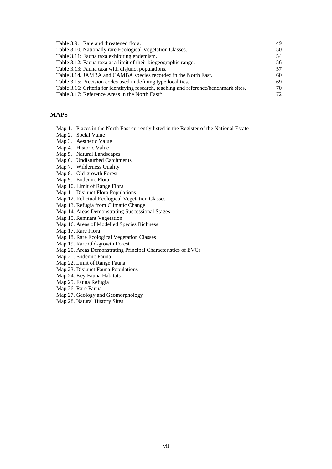| Table 3.9: Rare and threatened flora.                                                  | 49 |
|----------------------------------------------------------------------------------------|----|
| Table 3.10. Nationally rare Ecological Vegetation Classes.                             | 50 |
| Table 3.11: Fauna taxa exhibiting endemism.                                            | 54 |
| Table 3.12: Fauna taxa at a limit of their biogeographic range.                        | 56 |
| Table 3.13: Fauna taxa with disjunct populations.                                      | 57 |
| Table 3.14. JAMBA and CAMBA species recorded in the North East.                        | 60 |
| Table 3.15: Precision codes used in defining type localities.                          | 69 |
| Table 3.16: Criteria for identifying research, teaching and reference/benchmark sites. | 70 |
| Table 3.17: Reference Areas in the North East*.                                        | 72 |

### **MAPS**

- Map 1. Places in the North East currently listed in the Register of the National Estate
- Map 2. Social Value
- Map 3. Aesthetic Value
- Map 4. Historic Value
- Map 5. Natural Landscapes
- Map 6. Undisturbed Catchments
- Map 7. Wilderness Quality
- Map 8. Old-growth Forest
- Map 9. Endemic Flora
- Map 10. Limit of Range Flora
- Map 11. Disjunct Flora Populations
- Map 12. Relictual Ecological Vegetation Classes
- Map 13. Refugia from Climatic Change
- Map 14. Areas Demonstrating Successional Stages
- Map 15. Remnant Vegetation
- Map 16. Areas of Modelled Species Richness
- Map 17. Rare Flora
- Map 18. Rare Ecological Vegetation Classes
- Map 19. Rare Old-growth Forest
- Map 20. Areas Demonstrating Principal Characteristics of EVCs
- Map 21. Endemic Fauna
- Map 22. Limit of Range Fauna
- Map 23. Disjunct Fauna Populations
- Map 24. Key Fauna Habitats
- Map 25. Fauna Refugia
- Map 26. Rare Fauna
- Map 27. Geology and Geomorphology
- Map 28. Natural History Sites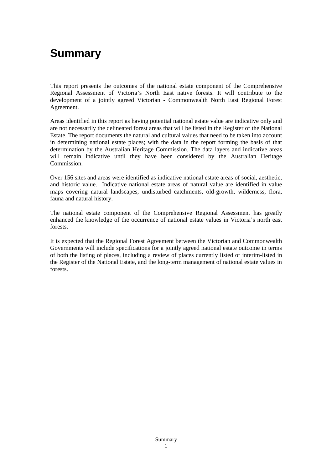# **Summary**

This report presents the outcomes of the national estate component of the Comprehensive Regional Assessment of Victoria's North East native forests. It will contribute to the development of a jointly agreed Victorian - Commonwealth North East Regional Forest Agreement.

Areas identified in this report as having potential national estate value are indicative only and are not necessarily the delineated forest areas that will be listed in the Register of the National Estate. The report documents the natural and cultural values that need to be taken into account in determining national estate places; with the data in the report forming the basis of that determination by the Australian Heritage Commission. The data layers and indicative areas will remain indicative until they have been considered by the Australian Heritage Commission.

Over 156 sites and areas were identified as indicative national estate areas of social, aesthetic, and historic value. Indicative national estate areas of natural value are identified in value maps covering natural landscapes, undisturbed catchments, old-growth, wilderness, flora, fauna and natural history.

The national estate component of the Comprehensive Regional Assessment has greatly enhanced the knowledge of the occurrence of national estate values in Victoria's north east forests.

It is expected that the Regional Forest Agreement between the Victorian and Commonwealth Governments will include specifications for a jointly agreed national estate outcome in terms of both the listing of places, including a review of places currently listed or interim-listed in the Register of the National Estate, and the long-term management of national estate values in forests.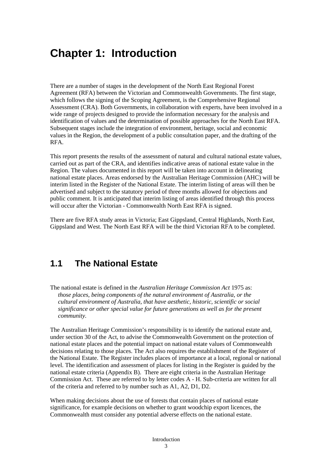# **Chapter 1: Introduction**

There are a number of stages in the development of the North East Regional Forest Agreement (RFA) between the Victorian and Commonwealth Governments. The first stage, which follows the signing of the Scoping Agreement, is the Comprehensive Regional Assessment (CRA). Both Governments, in collaboration with experts, have been involved in a wide range of projects designed to provide the information necessary for the analysis and identification of values and the determination of possible approaches for the North East RFA. Subsequent stages include the integration of environment, heritage, social and economic values in the Region, the development of a public consultation paper, and the drafting of the RFA.

This report presents the results of the assessment of natural and cultural national estate values, carried out as part of the CRA, and identifies indicative areas of national estate value in the Region. The values documented in this report will be taken into account in delineating national estate places. Areas endorsed by the Australian Heritage Commission (AHC) will be interim listed in the Register of the National Estate. The interim listing of areas will then be advertised and subject to the statutory period of three months allowed for objections and public comment. It is anticipated that interim listing of areas identified through this process will occur after the Victorian - Commonwealth North East RFA is signed.

There are five RFA study areas in Victoria; East Gippsland, Central Highlands, North East, Gippsland and West. The North East RFA will be the third Victorian RFA to be completed.

# **1.1 The National Estate**

The national estate is defined in the *Australian Heritage Commission Act* 1975 as: *those places, being components of the natural environment of Australia, or the cultural environment of Australia, that have aesthetic, historic, scientific or social significance or other special value for future generations as well as for the present community.*

The Australian Heritage Commission's responsibility is to identify the national estate and, under section 30 of the Act, to advise the Commonwealth Government on the protection of national estate places and the potential impact on national estate values of Commonwealth decisions relating to those places. The Act also requires the establishment of the Register of the National Estate. The Register includes places of importance at a local, regional or national level. The identification and assessment of places for listing in the Register is guided by the national estate criteria (Appendix B). There are eight criteria in the Australian Heritage Commission Act. These are referred to by letter codes A - H. Sub-criteria are written for all of the criteria and referred to by number such as A1, A2, D1, D2.

When making decisions about the use of forests that contain places of national estate significance, for example decisions on whether to grant woodchip export licences, the Commonwealth must consider any potential adverse effects on the national estate.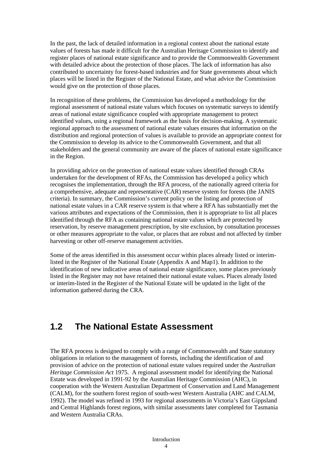In the past, the lack of detailed information in a regional context about the national estate values of forests has made it difficult for the Australian Heritage Commission to identify and register places of national estate significance and to provide the Commonwealth Government with detailed advice about the protection of those places. The lack of information has also contributed to uncertainty for forest-based industries and for State governments about which places will be listed in the Register of the National Estate, and what advice the Commission would give on the protection of those places.

In recognition of these problems, the Commission has developed a methodology for the regional assessment of national estate values which focuses on systematic surveys to identify areas of national estate significance coupled with appropriate management to protect identified values, using a regional framework as the basis for decision-making. A systematic regional approach to the assessment of national estate values ensures that information on the distribution and regional protection of values is available to provide an appropriate context for the Commission to develop its advice to the Commonwealth Government, and that all stakeholders and the general community are aware of the places of national estate significance in the Region.

In providing advice on the protection of national estate values identified through CRAs undertaken for the development of RFAs, the Commission has developed a policy which recognises the implementation, through the RFA process, of the nationally agreed criteria for a comprehensive, adequate and representative (CAR) reserve system for forests (the JANIS criteria). In summary, the Commission's current policy on the listing and protection of national estate values in a CAR reserve system is that where a RFA has substantially met the various attributes and expectations of the Commission, then it is appropriate to list all places identified through the RFA as containing national estate values which are protected by reservation, by reserve management prescription, by site exclusion, by consultation processes or other measures appropriate to the value, or places that are robust and not affected by timber harvesting or other off-reserve management activities.

Some of the areas identified in this assessment occur within places already listed or interimlisted in the Register of the National Estate (Appendix A and Map1). In addition to the identification of new indicative areas of national estate significance, some places previously listed in the Register may not have retained their national estate values. Places already listed or interim-listed in the Register of the National Estate will be updated in the light of the information gathered during the CRA.

## **1.2 The National Estate Assessment**

The RFA process is designed to comply with a range of Commonwealth and State statutory obligations in relation to the management of forests, including the identification of and provision of advice on the protection of national estate values required under the *Australian Heritage Commission Act* 1975. A regional assessment model for identifying the National Estate was developed in 1991-92 by the Australian Heritage Commission (AHC), in cooperation with the Western Australian Department of Conservation and Land Management (CALM), for the southern forest region of south-west Western Australia (AHC and CALM, 1992). The model was refined in 1993 for regional assessments in Victoria's East Gippsland and Central Highlands forest regions, with similar assessments later completed for Tasmania and Western Australia CRAs.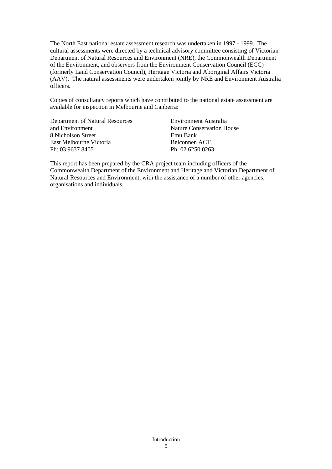The North East national estate assessment research was undertaken in 1997 - 1999. The cultural assessments were directed by a technical advisory committee consisting of Victorian Department of Natural Resources and Environment (NRE), the Commonwealth Department of the Environment, and observers from the Environment Conservation Council (ECC) (formerly Land Conservation Council), Heritage Victoria and Aboriginal Affairs Victoria (AAV). The natural assessments were undertaken jointly by NRE and Environment Australia officers.

Copies of consultancy reports which have contributed to the national estate assessment are available for inspection in Melbourne and Canberra:

Department of Natural Resources Environment Australia and Environment Nature Conservation House 8 Nicholson Street Emu Bank East Melbourne Victoria Belconnen ACT Ph: 03 9637 8405 Ph: 02 6250 0263

This report has been prepared by the CRA project team including officers of the Commonwealth Department of the Environment and Heritage and Victorian Department of Natural Resources and Environment, with the assistance of a number of other agencies, organisations and individuals.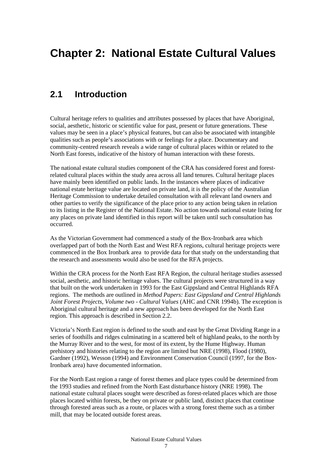# **Chapter 2: National Estate Cultural Values**

## **2.1 Introduction**

Cultural heritage refers to qualities and attributes possessed by places that have Aboriginal, social, aesthetic, historic or scientific value for past, present or future generations. These values may be seen in a place's physical features, but can also be associated with intangible qualities such as people's associations with or feelings for a place. Documentary and community-centred research reveals a wide range of cultural places within or related to the North East forests, indicative of the history of human interaction with these forests.

The national estate cultural studies component of the CRA has considered forest and forestrelated cultural places within the study area across all land tenures. Cultural heritage places have mainly been identified on public lands. In the instances where places of indicative national estate heritage value are located on private land, it is the policy of the Australian Heritage Commission to undertake detailed consultation with all relevant land owners and other parties to verify the significance of the place prior to any action being taken in relation to its listing in the Register of the National Estate. No action towards national estate listing for any places on private land identified in this report will be taken until such consultation has occurred.

As the Victorian Government had commenced a study of the Box-Ironbark area which overlapped part of both the North East and West RFA regions, cultural heritage projects were commenced in the Box Ironbark area to provide data for that study on the understanding that the research and assessments would also be used for the RFA projects.

Within the CRA process for the North East RFA Region, the cultural heritage studies assessed social, aesthetic, and historic heritage values. The cultural projects were structured in a way that built on the work undertaken in 1993 for the East Gippsland and Central Highlands RFA regions. The methods are outlined in *Method Papers: East Gippsland and Central Highlands Joint Forest Projects, Volume two - Cultural Values (AHC and CNR 1994b). The exception is* Aboriginal cultural heritage and a new approach has been developed for the North East region. This approach is described in Section 2.2.

Victoria's North East region is defined to the south and east by the Great Dividing Range in a series of foothills and ridges culminating in a scattered belt of highland peaks, to the north by the Murray River and to the west, for most of its extent, by the Hume Highway. Human prehistory and histories relating to the region are limited but NRE (1998), Flood (1980), Gardner (1992), Wesson (1994) and Environment Conservation Council (1997, for the Box-Ironbark area) have documented information.

For the North East region a range of forest themes and place types could be determined from the 1993 studies and refined from the North East disturbance history (NRE 1998). The national estate cultural places sought were described as forest-related places which are those places located within forests, be they on private or public land, distinct places that continue through forested areas such as a route, or places with a strong forest theme such as a timber mill, that may be located outside forest areas.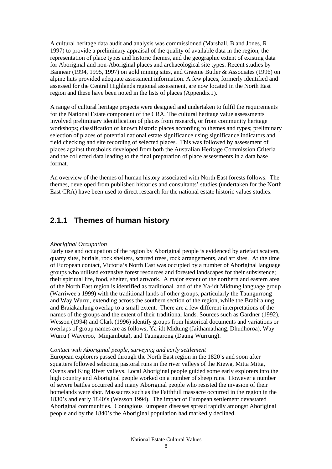A cultural heritage data audit and analysis was commissioned (Marshall, B and Jones, R 1997) to provide a preliminary appraisal of the quality of available data in the region, the representation of place types and historic themes, and the geographic extent of existing data for Aboriginal and non-Aboriginal places and archaeological site types. Recent studies by Bannear (1994, 1995, 1997) on gold mining sites, and Graeme Butler & Associates (1996) on alpine huts provided adequate assessment information. A few places, formerly identified and assessed for the Central Highlands regional assessment, are now located in the North East region and these have been noted in the lists of places (Appendix J).

A range of cultural heritage projects were designed and undertaken to fulfil the requirements for the National Estate component of the CRA. The cultural heritage value assessments involved preliminary identification of places from research, or from community heritage workshops; classification of known historic places according to themes and types; preliminary selection of places of potential national estate significance using significance indicators and field checking and site recording of selected places. This was followed by assessment of places against thresholds developed from both the Australian Heritage Commission Criteria and the collected data leading to the final preparation of place assessments in a data base format.

An overview of the themes of human history associated with North East forests follows. The themes, developed from published histories and consultants' studies (undertaken for the North East CRA) have been used to direct research for the national estate historic values studies.

### **2.1.1 Themes of human history**

#### *Aboriginal Occupation*

Early use and occupation of the region by Aboriginal people is evidenced by artefact scatters, quarry sites, burials, rock shelters, scarred trees, rock arrangements, and art sites. At the time of European contact, Victoria's North East was occupied by a number of Aboriginal language groups who utilised extensive forest resources and forested landscapes for their subsistence; their spiritual life, food, shelter, and artwork. A major extent of the northern and eastern area of the North East region is identified as traditional land of the Ya-idt Midtung language group (Warriwee'a 1999) with the traditional lands of other groups, particularly the Taungurrong and Way Wurru, extending across the southern section of the region, while the Brabiralung and Braiakaulung overlap to a small extent. There are a few different interpretations of the names of the groups and the extent of their traditional lands. Sources such as Gardner (1992), Wesson (1994) and Clark (1996) identify groups from historical documents and variations or overlaps of group names are as follows; Ya-idt Midtung (Jaithamathang, Dhudhoroa), Way Wurru ( Waveroo, Minjambuta), and Taungarong (Daung Wurrung).

#### *Contact with Aboriginal people, surveying and early settlement*

European explorers passed through the North East region in the 1820's and soon after squatters followed selecting pastoral runs in the river valleys of the Kiewa, Mitta Mitta, Ovens and King River valleys. Local Aboriginal people guided some early explorers into the high country and Aboriginal people worked on a number of sheep runs. However a number of severe battles occurred and many Aboriginal people who resisted the invasion of their homelands were shot. Massacres such as the Faithfull massacre occurred in the region in the 1830's and early 1840's (Wesson 1994). The impact of European settlement devastated Aboriginal communities. Contagious European diseases spread rapidly amongst Aboriginal people and by the 1840's the Aboriginal population had markedly declined.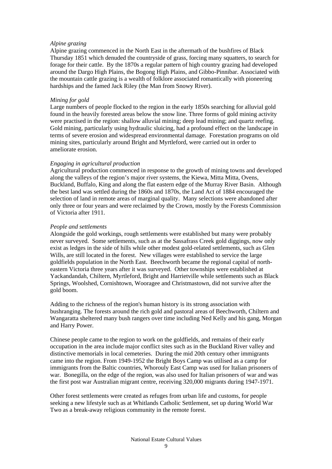#### *Alpine grazing*

Alpine grazing commenced in the North East in the aftermath of the bushfires of Black Thursday 1851 which denuded the countryside of grass, forcing many squatters, to search for forage for their cattle. By the 1870s a regular pattern of high country grazing had developed around the Dargo High Plains, the Bogong High Plains, and Gibbo-Pinnibar. Associated with the mountain cattle grazing is a wealth of folklore associated romantically with pioneering hardships and the famed Jack Riley (the Man from Snowy River).

#### *Mining for gold*

Large numbers of people flocked to the region in the early 1850s searching for alluvial gold found in the heavily forested areas below the snow line. Three forms of gold mining activity were practised in the region: shallow alluvial mining; deep lead mining; and quartz reefing. Gold mining, particularly using hydraulic sluicing, had a profound effect on the landscape in terms of severe erosion and widespread environmental damage. Forestation programs on old mining sites, particularly around Bright and Myrtleford, were carried out in order to ameliorate erosion.

### *Engaging in agricultural production*

Agricultural production commenced in response to the growth of mining towns and developed along the valleys of the region's major river systems, the Kiewa, Mitta Mitta, Ovens, Buckland, Buffalo, King and along the flat eastern edge of the Murray River Basin. Although the best land was settled during the 1860s and 1870s, the Land Act of 1884 encouraged the selection of land in remote areas of marginal quality. Many selections were abandoned after only three or four years and were reclaimed by the Crown, mostly by the Forests Commission of Victoria after 1911.

### *People and settlements*

Alongside the gold workings, rough settlements were established but many were probably never surveyed. Some settlements, such as at the Sassafrass Creek gold diggings, now only exist as ledges in the side of hills while other modest gold-related settlements, such as Glen Wills, are still located in the forest. New villages were established to service the large goldfields population in the North East. Beechworth became the regional capital of northeastern Victoria three years after it was surveyed. Other townships were established at Yackandandah, Chiltern, Myrtleford, Bright and Harrietville while settlements such as Black Springs, Woolshed, Cornishtown, Wooragee and Christmastown, did not survive after the gold boom.

Adding to the richness of the region's human history is its strong association with bushranging. The forests around the rich gold and pastoral areas of Beechworth, Chiltern and Wangaratta sheltered many bush rangers over time including Ned Kelly and his gang, Morgan and Harry Power.

Chinese people came to the region to work on the goldfields, and remains of their early occupation in the area include major conflict sites such as in the Buckland River valley and distinctive memorials in local cemeteries. During the mid 20th century other immigrants came into the region. From 1949-1952 the Bright Boys Camp was utilised as a camp for immigrants from the Baltic countries, Whorouly East Camp was used for Italian prisoners of war. Bonegilla, on the edge of the region, was also used for Italian prisoners of war and was the first post war Australian migrant centre, receiving 320,000 migrants during 1947-1971.

Other forest settlements were created as refuges from urban life and customs, for people seeking a new lifestyle such as at Whitlands Catholic Settlement, set up during World War Two as a break-away religious community in the remote forest.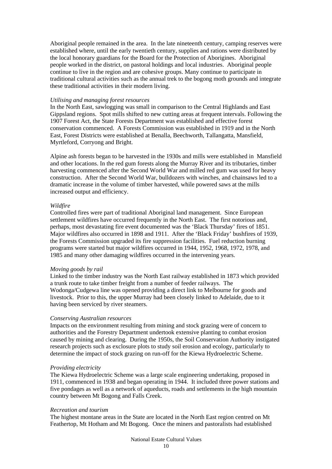Aboriginal people remained in the area. In the late nineteenth century, camping reserves were established where, until the early twentieth century, supplies and rations were distributed by the local honorary guardians for the Board for the Protection of Aborigines. Aboriginal people worked in the district, on pastoral holdings and local industries. Aboriginal people continue to live in the region and are cohesive groups. Many continue to participate in traditional cultural activities such as the annual trek to the bogong moth grounds and integrate these traditional activities in their modern living.

#### *Utilising and managing forest resources*

In the North East, sawlogging was small in comparison to the Central Highlands and East Gippsland regions. Spot mills shifted to new cutting areas at frequent intervals. Following the 1907 Forest Act, the State Forests Department was established and effective forest conservation commenced. A Forests Commission was established in 1919 and in the North East, Forest Districts were established at Benalla, Beechworth, Tallangatta, Mansfield, Myrtleford, Corryong and Bright.

Alpine ash forests began to be harvested in the 1930s and mills were established in Mansfield and other locations. In the red gum forests along the Murray River and its tributaries, timber harvesting commenced after the Second World War and milled red gum was used for heavy construction. After the Second World War, bulldozers with winches, and chainsaws led to a dramatic increase in the volume of timber harvested, while powered saws at the mills increased output and efficiency.

### *Wildfire*

Controlled fires were part of traditional Aboriginal land management. Since European settlement wildfires have occurred frequently in the North East. The first notorious and, perhaps, most devastating fire event documented was the 'Black Thursday' fires of 1851. Major wildfires also occurred in 1898 and 1911. After the 'Black Friday' bushfires of 1939, the Forests Commission upgraded its fire suppression facilities. Fuel reduction burning programs were started but major wildfires occurred in 1944, 1952, 1968, 1972, 1978, and 1985 and many other damaging wildfires occurred in the intervening years.

#### *Moving goods by rail*

Linked to the timber industry was the North East railway established in 1873 which provided a trunk route to take timber freight from a number of feeder railways. The Wodonga/Cudgewa line was opened providing a direct link to Melbourne for goods and livestock. Prior to this, the upper Murray had been closely linked to Adelaide, due to it having been serviced by river steamers.

### *Conserving Australian resources*

Impacts on the environment resulting from mining and stock grazing were of concern to authorities and the Forestry Department undertook extensive planting to combat erosion caused by mining and clearing. During the 1950s, the Soil Conservation Authority instigated research projects such as exclosure plots to study soil erosion and ecology, particularly to determine the impact of stock grazing on run-off for the Kiewa Hydroelectric Scheme.

#### *Providing electricity*

The Kiewa Hydroelectric Scheme was a large scale engineering undertaking, proposed in 1911, commenced in 1938 and began operating in 1944. It included three power stations and five pondages as well as a network of aqueducts, roads and settlements in the high mountain country between Mt Bogong and Falls Creek.

### *Recreation and tourism*

The highest montane areas in the State are located in the North East region centred on Mt Feathertop, Mt Hotham and Mt Bogong. Once the miners and pastoralists had established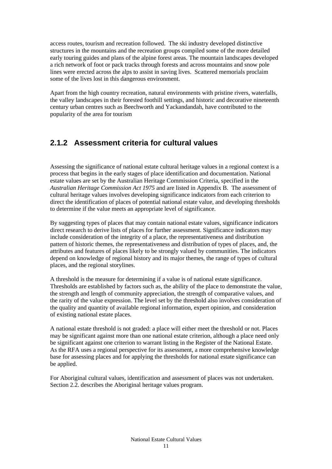access routes, tourism and recreation followed. The ski industry developed distinctive structures in the mountains and the recreation groups compiled some of the more detailed early touring guides and plans of the alpine forest areas. The mountain landscapes developed a rich network of foot or pack tracks through forests and across mountains and snow pole lines were erected across the alps to assist in saving lives. Scattered memorials proclaim some of the lives lost in this dangerous environment.

Apart from the high country recreation, natural environments with pristine rivers, waterfalls, the valley landscapes in their forested foothill settings, and historic and decorative nineteenth century urban centres such as Beechworth and Yackandandah, have contributed to the popularity of the area for tourism

### **2.1.2 Assessment criteria for cultural values**

Assessing the significance of national estate cultural heritage values in a regional context is a process that begins in the early stages of place identification and documentation. National estate values are set by the Australian Heritage Commission Criteria, specified in the *Australian Heritage Commission Act 1975* and are listed in Appendix B. The assessment of cultural heritage values involves developing significance indicators from each criterion to direct the identification of places of potential national estate value, and developing thresholds to determine if the value meets an appropriate level of significance.

By suggesting types of places that may contain national estate values, significance indicators direct research to derive lists of places for further assessment. Significance indicators may include consideration of the integrity of a place, the representativeness and distribution pattern of historic themes, the representativeness and distribution of types of places, and, the attributes and features of places likely to be strongly valued by communities. The indicators depend on knowledge of regional history and its major themes, the range of types of cultural places, and the regional storylines.

A threshold is the measure for determining if a value is of national estate significance. Thresholds are established by factors such as, the ability of the place to demonstrate the value, the strength and length of community appreciation, the strength of comparative values, and the rarity of the value expression. The level set by the threshold also involves consideration of the quality and quantity of available regional information, expert opinion, and consideration of existing national estate places.

A national estate threshold is not graded: a place will either meet the threshold or not. Places may be significant against more than one national estate criterion, although a place need only be significant against one criterion to warrant listing in the Register of the National Estate. As the RFA uses a regional perspective for its assessment, a more comprehensive knowledge base for assessing places and for applying the thresholds for national estate significance can be applied.

For Aboriginal cultural values, identification and assessment of places was not undertaken. Section 2.2. describes the Aboriginal heritage values program.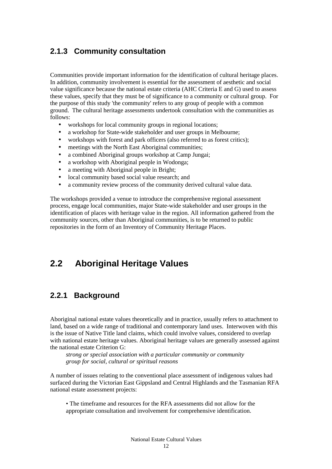### **2.1.3 Community consultation**

Communities provide important information for the identification of cultural heritage places. In addition, community involvement is essential for the assessment of aesthetic and social value significance because the national estate criteria (AHC Criteria E and G) used to assess these values, specify that they must be of significance to a community or cultural group. For the purpose of this study 'the community' refers to any group of people with a common ground. The cultural heritage assessments undertook consultation with the communities as follows:

- workshops for local community groups in regional locations;
- a workshop for State-wide stakeholder and user groups in Melbourne:
- workshops with forest and park officers (also referred to as forest critics):
- meetings with the North East Aboriginal communities:
- a combined Aboriginal groups workshop at Camp Jungai:
- a workshop with Aboriginal people in Wodonga;
- a meeting with Aboriginal people in Bright;
- local community based social value research; and
- a community review process of the community derived cultural value data.

The workshops provided a venue to introduce the comprehensive regional assessment process, engage local communities, major State-wide stakeholder and user groups in the identification of places with heritage value in the region. All information gathered from the community sources, other than Aboriginal communities, is to be returned to public repositories in the form of an Inventory of Community Heritage Places.

## **2.2 Aboriginal Heritage Values**

### **2.2.1 Background**

Aboriginal national estate values theoretically and in practice, usually refers to attachment to land, based on a wide range of traditional and contemporary land uses. Interwoven with this is the issue of Native Title land claims, which could involve values, considered to overlap with national estate heritage values. Aboriginal heritage values are generally assessed against the national estate Criterion G:

*strong or special association with a particular community or community group for social, cultural or spiritual reasons*

A number of issues relating to the conventional place assessment of indigenous values had surfaced during the Victorian East Gippsland and Central Highlands and the Tasmanian RFA national estate assessment projects:

• The timeframe and resources for the RFA assessments did not allow for the appropriate consultation and involvement for comprehensive identification.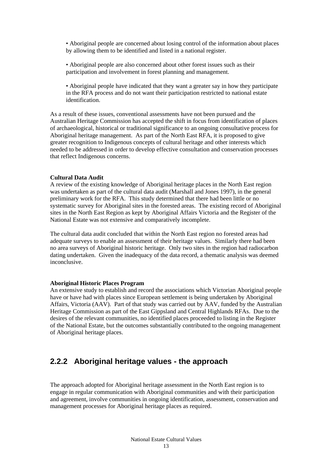• Aboriginal people are concerned about losing control of the information about places by allowing them to be identified and listed in a national register.

• Aboriginal people are also concerned about other forest issues such as their participation and involvement in forest planning and management.

• Aboriginal people have indicated that they want a greater say in how they participate in the RFA process and do not want their participation restricted to national estate identification.

As a result of these issues, conventional assessments have not been pursued and the Australian Heritage Commission has accepted the shift in focus from identification of places of archaeological, historical or traditional significance to an ongoing consultative process for Aboriginal heritage management. As part of the North East RFA, it is proposed to give greater recognition to Indigenous concepts of cultural heritage and other interests which needed to be addressed in order to develop effective consultation and conservation processes that reflect Indigenous concerns.

#### **Cultural Data Audit**

A review of the existing knowledge of Aboriginal heritage places in the North East region was undertaken as part of the cultural data audit (Marshall and Jones 1997), in the general preliminary work for the RFA. This study determined that there had been little or no systematic survey for Aboriginal sites in the forested areas.The existing record of Aboriginal sites in the North East Region as kept by Aboriginal Affairs Victoria and the Register of the National Estate was not extensive and comparatively incomplete.

The cultural data audit concluded that within the North East region no forested areas had adequate surveys to enable an assessment of their heritage values. Similarly there had been no area surveys of Aboriginal historic heritage. Only two sites in the region had radiocarbon dating undertaken. Given the inadequacy of the data record, a thematic analysis was deemed inconclusive.

### **Aboriginal Historic Places Program**

An extensive study to establish and record the associations which Victorian Aboriginal people have or have had with places since European settlement is being undertaken by Aboriginal Affairs, Victoria (AAV). Part of that study was carried out by AAV, funded by the Australian Heritage Commission as part of the East Gippsland and Central Highlands RFAs. Due to the desires of the relevant communities, no identified places proceeded to listing in the Register of the National Estate, but the outcomes substantially contributed to the ongoing management of Aboriginal heritage places.

### **2.2.2 Aboriginal heritage values - the approach**

The approach adopted for Aboriginal heritage assessment in the North East region is to engage in regular communication with Aboriginal communities and with their participation and agreement, involve communities in ongoing identification, assessment, conservation and management processes for Aboriginal heritage places as required.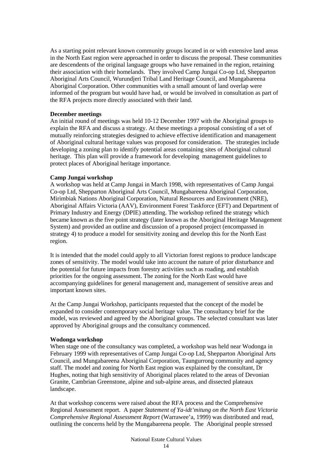As a starting point relevant known community groups located in or with extensive land areas in the North East region were approached in order to discuss the proposal. These communities are descendents of the original language groups who have remained in the region, retaining their association with their homelands. They involved Camp Jungai Co-op Ltd, Shepparton Aboriginal Arts Council, Wurundjeri Tribal Land Heritage Council, and Mungabareena Aboriginal Corporation. Other communities with a small amount of land overlap were informed of the program but would have had, or would be involved in consultation as part of the RFA projects more directly associated with their land.

#### **December meetings**

An initial round of meetings was held 10-12 December 1997 with the Aboriginal groups to explain the RFA and discuss a strategy. At these meetings a proposal consisting of a set of mutually reinforcing strategies designed to achieve effective identification and management of Aboriginal cultural heritage values was proposed for consideration. The strategies include developing a zoning plan to identify potential areas containing sites of Aboriginal cultural heritage. This plan will provide a framework for developing management guidelines to protect places of Aboriginal heritage importance.

### **Camp Jungai workshop**

A workshop was held at Camp Jungai in March 1998, with representatives of Camp Jungai Co-op Ltd, Shepparton Aboriginal Arts Council, Mungabareena Aboriginal Corporation, Mirimbiak Nations Aboriginal Corporation, Natural Resources and Environment (NRE), Aboriginal Affairs Victoria (AAV), Environment Forest Taskforce (EFT) and Department of Primary Industry and Energy (DPIE) attending. The workshop refined the strategy which became known as the five point strategy (later known as the Aboriginal Heritage Management System) and provided an outline and discussion of a proposed project (encompassed in strategy 4) to produce a model for sensitivity zoning and develop this for the North East region.

It is intended that the model could apply to all Victorian forest regions to produce landscape zones of sensitivity. The model would take into account the nature of prior disturbance and the potential for future impacts from forestry activities such as roading, and establish priorities for the ongoing assessment. The zoning for the North East would have accompanying guidelines for general management and, management of sensitive areas and important known sites.

At the Camp Jungai Workshop, participants requested that the concept of the model be expanded to consider contemporary social heritage value. The consultancy brief for the model, was reviewed and agreed by the Aboriginal groups. The selected consultant was later approved by Aboriginal groups and the consultancy commenced.

#### **Wodonga workshop**

When stage one of the consultancy was completed, a workshop was held near Wodonga in February 1999 with representatives of Camp Jungai Co-op Ltd, Shepparton Aboriginal Arts Council, and Mungabareena Aboriginal Corporation, Taungurrong community and agency staff. The model and zoning for North East region was explained by the consultant, Dr Hughes, noting that high sensitivity of Aboriginal places related to the areas of Devonian Granite, Cambrian Greenstone, alpine and sub-alpine areas, and dissected plateaux landscape.

At that workshop concerns were raised about the RFA process and the Comprehensive Regional Assessment report. A paper *Statement of Ya-idt'mitung on the North East Victoria Comprehensive Regional Assessment Report* (Warrawee'a, 1999) was distributed and read, outlining the concerns held by the Mungabareena people. The Aboriginal people stressed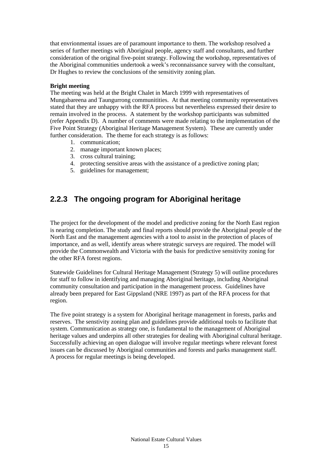that envrionmental issues are of paramount importance to them. The workshop resolved a series of further meetings with Aboriginal people, agency staff and consultants, and further consideration of the original five-point strategy. Following the workshop, representatives of the Aboriginal communities undertook a week's reconnaissance survey with the consultant, Dr Hughes to review the conclusions of the sensitivity zoning plan.

### **Bright meeting**

The meeting was held at the Bright Chalet in March 1999 with representatives of Mungabareena and Taungurrong communitities. At that meeting community representatives stated that they are unhappy with the RFA process but nevertheless expressed their desire to remain involved in the process. A statement by the workshop participants was submitted (refer Appendix D). A number of comments were made relating to the implementation of the Five Point Strategy (Aboriginal Heritage Management System). These are currently under further consideration. The theme for each strategy is as follows:

- 1. communication;
- 2. manage important known places;
- 3. cross cultural training;
- 4. protecting sensitive areas with the assistance of a predictive zoning plan;
- 5. guidelines for management;

### **2.2.3 The ongoing program for Aboriginal heritage**

The project for the development of the model and predictive zoning for the North East region is nearing completion. The study and final reports should provide the Aboriginal people of the North East and the management agencies with a tool to assist in the protection of places of importance, and as well, identify areas where strategic surveys are required. The model will provide the Commonwealth and Victoria with the basis for predictive sensitivity zoning for the other RFA forest regions.

Statewide Guidelines for Cultural Heritage Management (Strategy 5) will outline procedures for staff to follow in identifying and managing Aboriginal heritage, including Aboriginal community consultation and participation in the management process. Guidelines have already been prepared for East Gippsland (NRE 1997) as part of the RFA process for that region.

The five point strategy is a system for Aboriginal heritage management in forests, parks and reserves. The senstivity zoning plan and guidelines provide additional tools to facilitate that system. Communication as strategy one, is fundamental to the management of Aboriginal heritage values and underpins all other strategies for dealing with Aboriginal cultural heritage. Successfully achieving an open dialogue will involve regular meetings where relevant forest issues can be discussed by Aboriginal communities and forests and parks management staff. A process for regular meetings is being developed.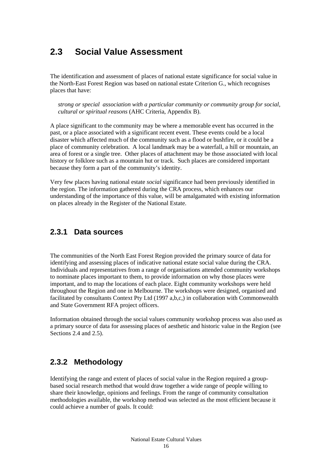## **2.3 Social Value Assessment**

The identification and assessment of places of national estate significance for social value in the North-East Forest Region was based on national estate Criterion G., which recognises places that have:

*strong or special association with a particular community or community group for social, cultural or spiritual reasons* (AHC Criteria, Appendix B).

A place significant to the community may be where a memorable event has occurred in the past, or a place associated with a significant recent event. These events could be a local disaster which affected much of the community such as a flood or bushfire, or it could be a place of community celebration. A local landmark may be a waterfall, a hill or mountain, an area of forest or a single tree. Other places of attachment may be those associated with local history or folklore such as a mountain hut or track. Such places are considered important because they form a part of the community's identity.

Very few places having national estate *social* significance had been previously identified in the region. The information gathered during the CRA process, which enhances our understanding of the importance of this value, will be amalgamated with existing information on places already in the Register of the National Estate.

### **2.3.1 Data sources**

The communities of the North East Forest Region provided the primary source of data for identifying and assessing places of indicative national estate social value during the CRA. Individuals and representatives from a range of organisations attended community workshops to nominate places important to them, to provide information on why those places were important, and to map the locations of each place. Eight community workshops were held throughout the Region and one in Melbourne. The workshops were designed, organised and facilitated by consultants Context Pty Ltd (1997 a,b,c,) in collaboration with Commonwealth and State Government RFA project officers.

Information obtained through the social values community workshop process was also used as a primary source of data for assessing places of aesthetic and historic value in the Region (see Sections 2.4 and 2.5).

### **2.3.2 Methodology**

Identifying the range and extent of places of social value in the Region required a groupbased social research method that would draw together a wide range of people willing to share their knowledge, opinions and feelings. From the range of community consultation methodologies available, the workshop method was selected as the most efficient because it could achieve a number of goals. It could: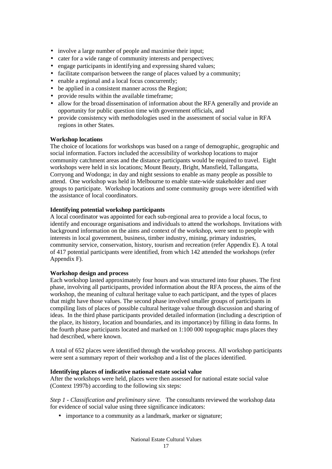- involve a large number of people and maximise their input;
- cater for a wide range of community interests and perspectives;
- engage participants in identifying and expressing shared values;
- facilitate comparison between the range of places valued by a community;
- enable a regional and a local focus concurrently;
- be applied in a consistent manner across the Region;
- provide results within the available timeframe;
- allow for the broad dissemination of information about the RFA generally and provide an opportunity for public question time with government officials, and
- provide consistency with methodologies used in the assessment of social value in RFA regions in other States.

### **Workshop locations**

The choice of locations for workshops was based on a range of demographic, geographic and social information. Factors included the accessibility of workshop locations to major community catchment areas and the distance participants would be required to travel. Eight workshops were held in six locations; Mount Beauty, Bright, Mansfield, Tallangatta, Corryong and Wodonga; in day and night sessions to enable as many people as possible to attend. One workshop was held in Melbourne to enable state-wide stakeholder and user groups to participate. Workshop locations and some community groups were identified with the assistance of local coordinators.

### **Identifying potential workshop participants**

A local coordinator was appointed for each sub-regional area to provide a local focus, to identify and encourage organisations and individuals to attend the workshops. Invitations with background information on the aims and context of the workshop, were sent to people with interests in local government, business, timber industry, mining, primary industries, community service, conservation, history, tourism and recreation (refer Appendix E). A total of 417 potential participants were identified, from which 142 attended the workshops (refer Appendix F).

#### **Workshop design and process**

Each workshop lasted approximately four hours and was structured into four phases. The first phase, involving all participants, provided information about the RFA process, the aims of the workshop, the meaning of cultural heritage value to each participant, and the types of places that might have those values. The second phase involved smaller groups of participants in compiling lists of places of possible cultural heritage value through discussion and sharing of ideas. In the third phase participants provided detailed information (including a description of the place, its history, location and boundaries, and its importance) by filling in data forms. In the fourth phase participants located and marked on 1:100 000 topographic maps places they had described, where known.

A total of 652 places were identified through the workshop process. All workshop participants were sent a summary report of their workshop and a list of the places identified.

#### **Identifying places of indicative national estate social value**

After the workshops were held, places were then assessed for national estate social value (Context 1997b) according to the following six steps:

*Step 1 - Classification and preliminary sieve.* The consultants reviewed the workshop data for evidence of social value using three significance indicators:

• importance to a community as a landmark, marker or signature;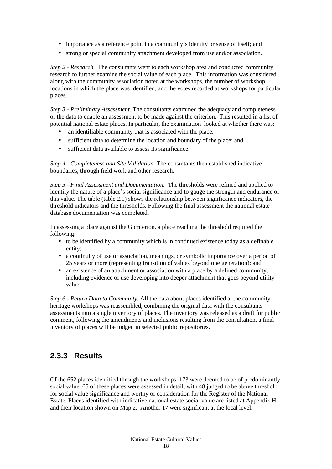- importance as a reference point in a community's identity or sense of itself; and
- strong or special community attachment developed from use and/or association.

*Step 2 - Research.* The consultants went to each workshop area and conducted community research to further examine the social value of each place. This information was considered along with the community association noted at the workshops, the number of workshop locations in which the place was identified, and the votes recorded at workshops for particular places.

*Step 3 - Preliminary Assessment.* The consultants examined the adequacy and completeness of the data to enable an assessment to be made against the criterion. This resulted in a list of potential national estate places. In particular, the examination looked at whether there was:

- an identifiable community that is associated with the place;
- sufficient data to determine the location and boundary of the place; and
- sufficient data available to assess its significance.

*Step 4 - Completeness and Site Validation.* The consultants then established indicative boundaries, through field work and other research.

*Step 5 - Final Assessment and Documentation.* The thresholds were refined and applied to identify the nature of a place's social significance and to gauge the strength and endurance of this value. The table (table 2.1) shows the relationship between significance indicators, the threshold indicators and the thresholds. Following the final assessment the national estate database documentation was completed.

In assessing a place against the G criterion, a place reaching the threshold required the following:

- to be identified by a community which is in continued existence today as a definable entity;
- a continuity of use or association, meanings, or symbolic importance over a period of 25 years or more (representing transition of values beyond one generation); and
- an existence of an attachment or association with a place by a defined community, including evidence of use developing into deeper attachment that goes beyond utility value.

*Step 6 - Return Data to Community.* All the data about places identified at the community heritage workshops was reassembled, combining the original data with the consultants assessments into a single inventory of places. The inventory was released as a draft for public comment, following the amendments and inclusions resulting from the consultation, a final inventory of places will be lodged in selected public repositories.

### **2.3.3 Results**

Of the 652 places identified through the workshops, 173 were deemed to be of predominantly social value, 65 of these places were assessed in detail, with 48 judged to be above threshold for social value significance and worthy of consideration for the Register of the National Estate. Places identified with indicative national estate social value are listed at Appendix H and their location shown on Map 2. Another 17 were significant at the local level.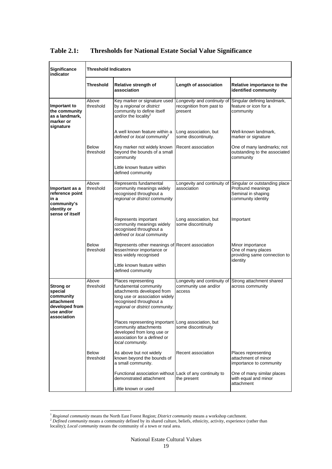| <b>Significance</b><br>indicator                                                               | <b>Threshold Indicators</b> |                                                                                                                                                                            |                                                                    |                                                                                                |
|------------------------------------------------------------------------------------------------|-----------------------------|----------------------------------------------------------------------------------------------------------------------------------------------------------------------------|--------------------------------------------------------------------|------------------------------------------------------------------------------------------------|
|                                                                                                | <b>Threshold</b>            | Relative strength of<br>association                                                                                                                                        | Length of association                                              | Relative importance to the<br>identified community                                             |
| Important to<br>the community<br>as a landmark,<br>marker or<br>signature                      | Above<br>threshold          | Key marker or signature used<br>by a regional or district<br>community to define itself<br>and/or the locality <sup>1</sup>                                                | Longevity and continuity of<br>recognition from past to<br>present | Singular defining landmark,<br>feature or icon for a<br>community                              |
|                                                                                                |                             | A well known feature within a<br>defined or local community <sup>2</sup>                                                                                                   | Long association, but<br>some discontinuity.                       | Well-known landmark,<br>marker or signature                                                    |
|                                                                                                | <b>Below</b><br>threshold   | Key marker not widely known<br>beyond the bounds of a small<br>community                                                                                                   | Recent association                                                 | One of many landmarks; not<br>outstanding to the associated<br>community                       |
|                                                                                                |                             | Little known feature within<br>defined community                                                                                                                           |                                                                    |                                                                                                |
| Important as a<br>reference point<br>in a<br>community's<br>identity or                        | Above<br>threshold          | Represents fundamental<br>community meanings widely<br>recognised throughout a<br>regional or district community                                                           | Longevity and continuity of<br>association                         | Singular or outstanding place<br>Profound meanings<br>Seminal in shaping<br>community identity |
| sense of itself                                                                                |                             | Represents important<br>community meanings widely<br>recognised throughout a<br>defined or local community                                                                 | Long association, but<br>some discontinuity                        | Important                                                                                      |
|                                                                                                | <b>Below</b><br>threshold   | Represents other meanings of Recent association<br>lesser/minor importance or<br>less widely recognised                                                                    |                                                                    | Minor importance<br>One of many places<br>providing same connection to<br>identity             |
|                                                                                                |                             | Little known feature within<br>defined community                                                                                                                           |                                                                    |                                                                                                |
| Strong or<br>special<br>community<br>attachment<br>developed from<br>use and/or<br>association | Above<br>threshold          | Places representing<br>fundamental community<br>attachments developed from<br>long use or association widely<br>recognised throughout a<br>regional or district community: | Longevity and continuity of<br>community use and/or<br>access      | Strong attachment shared<br>across community                                                   |
|                                                                                                |                             | Places representing important Long association, but<br>community attachments<br>developed from long use or<br>association for a defined or<br>local community.             | some discontinuity                                                 |                                                                                                |
|                                                                                                | <b>Below</b><br>threshold   | As above but not widely<br>known beyond the bounds of<br>a small community.                                                                                                | Recent association                                                 | Places representing<br>attachment of minor<br>importance to community                          |
|                                                                                                |                             | Functional association without<br>demonstrated attachment                                                                                                                  | Lack of any continuity to<br>the present                           | One of many similar places<br>with equal and minor<br>attachment                               |
|                                                                                                |                             | Little known or used                                                                                                                                                       |                                                                    |                                                                                                |

### **Table 2.1: Thresholds for National Estate Social Value Significance**

 $\overline{a}$ 

<sup>1</sup> *Regional community* means the North East Forest Region; *District community* means a workshop catchment.

<sup>&</sup>lt;sup>2</sup> Defined community means a community defined by its shared culture, beliefs, ethnicity, activity, experience (rather than locality); *Local community* means the community of a town or rural area.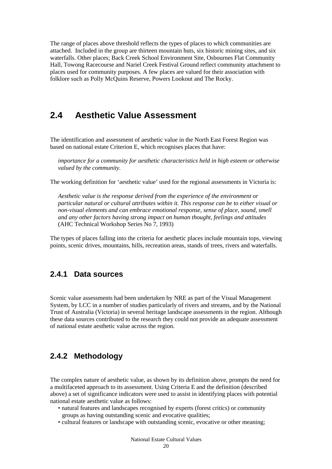The range of places above threshold reflects the types of places to which communities are attached. Included in the group are thirteen mountain huts, six historic mining sites, and six waterfalls. Other places; Back Creek School Environment Site, Osbournes Flat Community Hall, Towong Racecourse and Nariel Creek Festival Ground reflect community attachment to places used for community purposes. A few places are valued for their association with folklore such as Polly McQuins Reserve, Powers Lookout and The Rocky.

## **2.4 Aesthetic Value Assessment**

The identification and assessment of aesthetic value in the North East Forest Region was based on national estate Criterion E, which recognises places that have:

*importance for a community for aesthetic characteristics held in high esteem or otherwise valued by the community.*

The working definition for 'aesthetic value' used for the regional assessments in Victoria is:

*Aesthetic value is the response derived from the experience of the environment or particular natural or cultural attributes within it. This response can be to either visual or non-visual elements and can embrace emotional response, sense of place, sound, smell and any other factors having strong impact on human thought, feelings and attitudes* (AHC Technical Workshop Series No 7, 1993)

The types of places falling into the criteria for aesthetic places include mountain tops, viewing points, scenic drives, mountains, hills, recreation areas, stands of trees, rivers and waterfalls.

### **2.4.1 Data sources**

Scenic value assessments had been undertaken by NRE as part of the Visual Management System, by LCC in a number of studies particularly of rivers and streams, and by the National Trust of Australia (Victoria) in several heritage landscape assessments in the region. Although these data sources contributed to the research they could not provide an adequate assessment of national estate aesthetic value across the region.

### **2.4.2 Methodology**

The complex nature of aesthetic value, as shown by its definition above, prompts the need for a multifaceted approach to its assessment. Using Criteria E and the definition (described above) a set of significance indicators were used to assist in identifying places with potential national estate aesthetic value as follows:

- natural features and landscapes recognised by experts (forest critics) or community groups as having outstanding scenic and evocative qualities;
- cultural features or landscape with outstanding scenic, evocative or other meaning;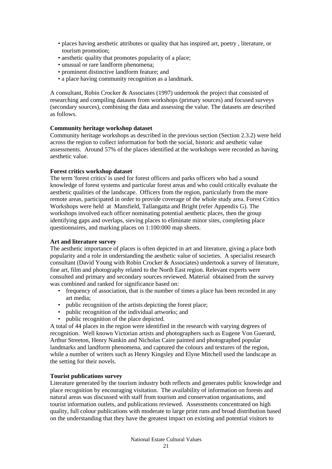- places having aesthetic attributes or quality that has inspired art, poetry , literature, or tourism promotion;
- aesthetic quality that promotes popularity of a place;
- unusual or rare landform phenomena;
- prominent distinctive landform feature; and
- a place having community recognition as a landmark.

A consultant, Robin Crocker & Associates (1997) undertook the project that consisted of researching and compiling datasets from workshops (primary sources) and focused surveys (secondary sources), combining the data and assessing the value. The datasets are described as follows.

### **Community heritage workshop dataset**

Community heritage workshops as described in the previous section (Section 2.3.2) were held across the region to collect information for both the social, historic and aesthetic value assessments. Around 57% of the places identified at the workshops were recorded as having aesthetic value.

### **Forest critics workshop dataset**

The term 'forest critics' is used for forest officers and parks officers who had a sound knowledge of forest systems and particular forest areas and who could critically evaluate the aesthetic qualities of the landscape. Officers from the region, particularly from the more remote areas, participated in order to provide coverage of the whole study area. Forest Critics Workshops were held at Mansfield, Tallangatta and Bright (refer Appendix G). The workshops involved each officer nominating potential aesthetic places, then the group identifying gaps and overlaps, sieving places to eliminate minor sites, completing place questionnaires, and marking places on 1:100:000 map sheets.

### **Art and literature survey**

The aesthetic importance of places is often depicted in art and literature, giving a place both popularity and a role in understanding the aesthetic value of societies. A specialist research consultant (David Young with Robin Crocker & Associates) undertook a survey of literature, fine art, film and photography related to the North East region. Relevant experts were consulted and primary and secondary sources reviewed. Material obtained from the survey was combined and ranked for significance based on:

- frequency of association, that is the number of times a place has been recorded in any art media;
- public recognition of the artists depicting the forest place;
- public recognition of the individual artworks; and
- public recognition of the place depicted.

A total of 44 places in the region were identified in the research with varying degrees of recognition. Well known Victorian artists and photographers such as Eugene Von Guerard, Arthur Streeton, Henry Nankin and Nicholas Caire painted and photographed popular landmarks and landform phenomena, and captured the colours and textures of the region, while a number of writers such as Henry Kingsley and Elyne Mitchell used the landscape as the setting for their novels.

### **Tourist publications survey**

Literature generated by the tourism industry both reflects and generates public knowledge and place recognition by encouraging visitation. The availability of information on forests and natural areas was discussed with staff from tourism and conservation organisations, and tourist information outlets, and publications reviewed. Assessments concentrated on high quality, full colour publications with moderate to large print runs and broad distribution based on the understanding that they have the greatest impact on existing and potential visitors to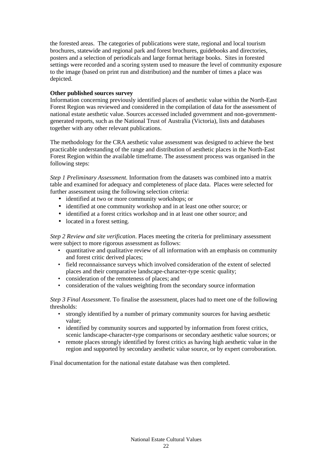the forested areas. The categories of publications were state, regional and local tourism brochures, statewide and regional park and forest brochures, guidebooks and directories, posters and a selection of periodicals and large format heritage books. Sites in forested settings were recorded and a scoring system used to measure the level of community exposure to the image (based on print run and distribution) and the number of times a place was depicted.

### **Other published sources survey**

Information concerning previously identified places of aesthetic value within the North-East Forest Region was reviewed and considered in the compilation of data for the assessment of national estate aesthetic value. Sources accessed included government and non-governmentgenerated reports, such as the National Trust of Australia (Victoria), lists and databases together with any other relevant publications.

The methodology for the CRA aesthetic value assessment was designed to achieve the best practicable understanding of the range and distribution of aesthetic places in the North-East Forest Region within the available timeframe. The assessment process was organised in the following steps:

*Step 1 Preliminary Assessment.* Information from the datasets was combined into a matrix table and examined for adequacy and completeness of place data. Places were selected for further assessment using the following selection criteria:

- identified at two or more community workshops; or
- identified at one community workshop and in at least one other source; or
- identified at a forest critics workshop and in at least one other source; and
- located in a forest setting.

*Step 2 Review and site verification*. Places meeting the criteria for preliminary assessment were subject to more rigorous assessment as follows:

- quantitative and qualitative review of all information with an emphasis on community and forest critic derived places;
- field reconnaissance surveys which involved consideration of the extent of selected places and their comparative landscape-character-type scenic quality;
- consideration of the remoteness of places; and
- consideration of the values weighting from the secondary source information

*Step 3 Final Assessment*. To finalise the assessment, places had to meet one of the following thresholds:

- strongly identified by a number of primary community sources for having aesthetic value;
- identified by community sources and supported by information from forest critics, scenic landscape-character-type comparisons or secondary aesthetic value sources; or
- remote places strongly identified by forest critics as having high aesthetic value in the region and supported by secondary aesthetic value source, or by expert corroboration.

Final documentation for the national estate database was then completed.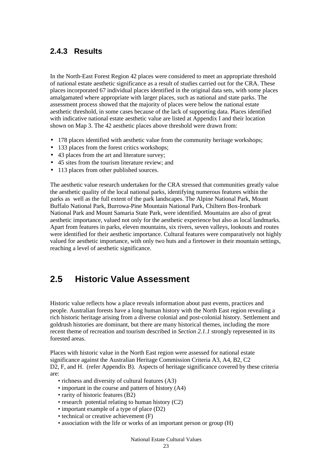### **2.4.3 Results**

In the North-East Forest Region 42 places were considered to meet an appropriate threshold of national estate aesthetic significance as a result of studies carried out for the CRA. These places incorporated 67 individual places identified in the original data sets, with some places amalgamated where appropriate with larger places, such as national and state parks. The assessment process showed that the majority of places were below the national estate aesthetic threshold, in some cases because of the lack of supporting data. Places identified with indicative national estate aesthetic value are listed at Appendix I and their location shown on Map 3. The 42 aesthetic places above threshold were drawn from:

- 178 places identified with aesthetic value from the community heritage workshops;
- 133 places from the forest critics workshops;
- 43 places from the art and literature survey;
- 45 sites from the tourism literature review; and
- 113 places from other published sources.

The aesthetic value research undertaken for the CRA stressed that communities greatly value the aesthetic quality of the local national parks, identifying numerous features within the parks as well as the full extent of the park landscapes. The Alpine National Park, Mount Buffalo National Park, Burrowa-Pine Mountain National Park, Chiltern Box-Ironbark National Park and Mount Samaria State Park, were identified. Mountains are also of great aesthetic importance, valued not only for the aesthetic experience but also as local landmarks. Apart from features in parks, eleven mountains, six rivers, seven valleys, lookouts and routes were identified for their aesthetic importance. Cultural features were comparatively not highly valued for aesthetic importance, with only two huts and a firetower in their mountain settings, reaching a level of aesthetic significance.

## **2.5 Historic Value Assessment**

Historic value reflects how a place reveals information about past events, practices and people. Australian forests have a long human history with the North East region revealing a rich historic heritage arising from a diverse colonial and post-colonial history. Settlement and goldrush histories are dominant, but there are many historical themes, including the more recent theme of recreation and tourism described in *Section 2.1.1* strongly represented in its forested areas.

Places with historic value in the North East region were assessed for national estate significance against the Australian Heritage Commission Criteria A3, A4, B2, C2 D<sub>2</sub>, F, and H. (refer Appendix B). Aspects of heritage significance covered by these criteria are:

- richness and diversity of cultural features (A3)
- important in the course and pattern of history (A4)
- rarity of historic features (B2)
- research potential relating to human history (C2)
- important example of a type of place (D2)
- technical or creative achievement (F)
- association with the life or works of an important person or group (H)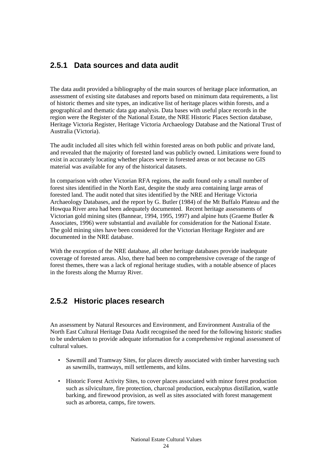### **2.5.1 Data sources and data audit**

The data audit provided a bibliography of the main sources of heritage place information, an assessment of existing site databases and reports based on minimum data requirements, a list of historic themes and site types, an indicative list of heritage places within forests, and a geographical and thematic data gap analysis. Data bases with useful place records in the region were the Register of the National Estate, the NRE Historic Places Section database, Heritage Victoria Register, Heritage Victoria Archaeology Database and the National Trust of Australia (Victoria).

The audit included all sites which fell within forested areas on both public and private land, and revealed that the majority of forested land was publicly owned. Limitations were found to exist in accurately locating whether places were in forested areas or not because no GIS material was available for any of the historical datasets.

In comparison with other Victorian RFA regions, the audit found only a small number of forest sites identified in the North East, despite the study area containing large areas of forested land. The audit noted that sites identified by the NRE and Heritage Victoria Archaeology Databases, and the report by G. Butler (1984) of the Mt Buffalo Plateau and the Howqua River area had been adequately documented. Recent heritage assessments of Victorian gold mining sites (Bannear, 1994, 1995, 1997) and alpine huts (Graeme Butler & Associates, 1996) were substantial and available for consideration for the National Estate. The gold mining sites have been considered for the Victorian Heritage Register and are documented in the NRE database.

With the exception of the NRE database, all other heritage databases provide inadequate coverage of forested areas. Also, there had been no comprehensive coverage of the range of forest themes, there was a lack of regional heritage studies, with a notable absence of places in the forests along the Murray River.

### **2.5.2 Historic places research**

An assessment by Natural Resources and Environment, and Environment Australia of the North East Cultural Heritage Data Audit recognised the need for the following historic studies to be undertaken to provide adequate information for a comprehensive regional assessment of cultural values.

- Sawmill and Tramway Sites, for places directly associated with timber harvesting such as sawmills, tramways, mill settlements, and kilns.
- Historic Forest Activity Sites, to cover places associated with minor forest production such as silviculture, fire protection, charcoal production, eucalyptus distillation, wattle barking, and firewood provision, as well as sites associated with forest management such as arboreta, camps, fire towers.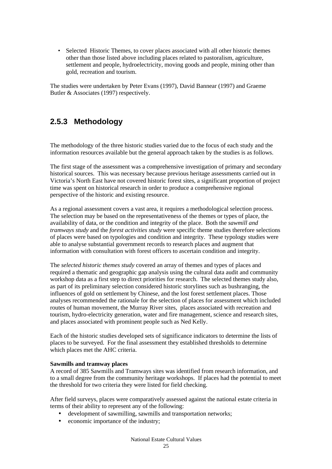• Selected Historic Themes, to cover places associated with all other historic themes other than those listed above including places related to pastoralism, agriculture, settlement and people, hydroelectricity, moving goods and people, mining other than gold, recreation and tourism.

The studies were undertaken by Peter Evans (1997), David Bannear (1997) and Graeme Butler & Associates (1997) respectively.

### **2.5.3 Methodology**

The methodology of the three historic studies varied due to the focus of each study and the information resources available but the general approach taken by the studies is as follows.

The first stage of the assessment was a comprehensive investigation of primary and secondary historical sources. This was necessary because previous heritage assessments carried out in Victoria's North East have not covered historic forest sites, a significant proportion of project time was spent on historical research in order to produce a comprehensive regional perspective of the historic and existing resource.

As a regional assessment covers a vast area, it requires a methodological selection process. The selection may be based on the representativeness of the themes or types of place, the availability of data, or the condition and integrity of the place. Both the *sawmill and tramways study* and the *forest activities study* were specific theme studies therefore selections of places were based on typologies and condition and integrity. These typology studies were able to analyse substantial government records to research places and augment that information with consultation with forest officers to ascertain condition and integrity.

The *selected historic themes study* covered an array of themes and types of places and required a thematic and geographic gap analysis using the cultural data audit and community workshop data as a first step to direct priorities for research. The selected themes study also, as part of its preliminary selection considered historic storylines such as bushranging, the influences of gold on settlement by Chinese, and the lost forest settlement places. Those analyses recommended the rationale for the selection of places for assessment which included routes of human movement, the Murray River sites, places associated with recreation and tourism, hydro-electricity generation, water and fire management, science and research sites, and places associated with prominent people such as Ned Kelly.

Each of the historic studies developed sets of significance indicators to determine the lists of places to be surveyed. For the final assessment they established thresholds to determine which places met the AHC criteria.

### **Sawmills and tramway places**

A record of 385 Sawmills and Tramways sites was identified from research information, and to a small degree from the community heritage workshops. If places had the potential to meet the threshold for two criteria they were listed for field checking.

After field surveys, places were comparatively assessed against the national estate criteria in terms of their ability to represent any of the following:

- development of sawmilling, sawmills and transportation networks;
- economic importance of the industry;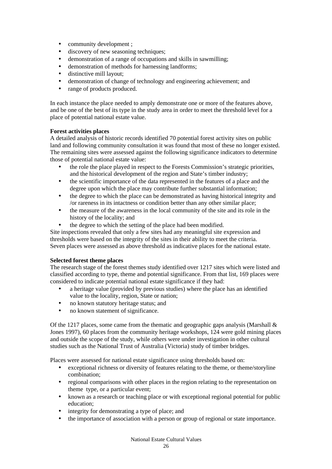- community development ;
- discovery of new seasoning techniques;
- demonstration of a range of occupations and skills in sawmilling;
- demonstration of methods for harnessing landforms;
- distinctive mill layout;
- demonstration of change of technology and engineering achievement; and
- range of products produced.

In each instance the place needed to amply demonstrate one or more of the features above, and be one of the best of its type in the study area in order to meet the threshold level for a place of potential national estate value.

### **Forest activities places**

A detailed analysis of historic records identified 70 potential forest activity sites on public land and following community consultation it was found that most of these no longer existed. The remaining sites were assessed against the following significance indicators to determine those of potential national estate value:

- the role the place played in respect to the Forests Commission's strategic priorities, and the historical development of the region and State's timber industry;
- the scientific importance of the data represented in the features of a place and the degree upon which the place may contribute further substantial information;
- the degree to which the place can be demonstrated as having historical integrity and /or rareness in its intactness or condition better than any other similar place;
- the measure of the awareness in the local community of the site and its role in the history of the locality; and
- the degree to which the setting of the place had been modified.

Site inspections revealed that only a few sites had any meaningful site expression and thresholds were based on the integrity of the sites in their ability to meet the criteria. Seven places were assessed as above threshold as indicative places for the national estate.

### **Selected forest theme places**

The research stage of the forest themes study identified over 1217 sites which were listed and classified according to type, theme and potential significance. From that list, 169 places were considered to indicate potential national estate significance if they had:

- a heritage value (provided by previous studies) where the place has an identified value to the locality, region, State or nation;
- no known statutory heritage status; and
- no known statement of significance.

Of the 1217 places, some came from the thematic and geographic gaps analysis (Marshall  $\&$ Jones 1997), 60 places from the community heritage workshops, 124 were gold mining places and outside the scope of the study, while others were under investigation in other cultural studies such as the National Trust of Australia (Victoria) study of timber bridges.

Places were assessed for national estate significance using thresholds based on:

- exceptional richness or diversity of features relating to the theme, or theme/storyline combination;
- regional comparisons with other places in the region relating to the representation on theme type, or a particular event;
- known as a research or teaching place or with exceptional regional potential for public education;
- integrity for demonstrating a type of place; and
- the importance of association with a person or group of regional or state importance.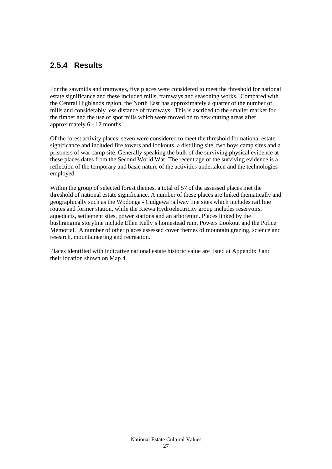### **2.5.4 Results**

For the sawmills and tramways, five places were considered to meet the threshold for national estate significance and these included mills, tramways and seasoning works. Compared with the Central Highlands region, the North East has approximately a quarter of the number of mills and considerably less distance of tramways. This is ascribed to the smaller market for the timber and the use of spot mills which were moved on to new cutting areas after approximately 6 - 12 months.

Of the forest activity places, seven were considered to meet the threshold for national estate significance and included fire towers and lookouts, a distilling site, two boys camp sites and a prisoners of war camp site. Generally speaking the bulk of the surviving physical evidence at these places dates from the Second World War. The recent age of the surviving evidence is a reflection of the temporary and basic nature of the activities undertaken and the technologies employed.

Within the group of selected forest themes, a total of 57 of the assessed places met the threshold of national estate significance. A number of these places are linked thematically and geographically such as the Wodonga - Cudgewa railway line sites which includes rail line routes and former station, while the Kiewa Hydroelectricity group includes reservoirs, aqueducts, settlement sites, power stations and an arboretum. Places linked by the bushranging storyline include Ellen Kelly's homestead ruin, Powers Lookout and the Police Memorial. A number of other places assessed cover themes of mountain grazing, science and research, mountaineering and recreation.

Places identified with indicative national estate historic value are listed at Appendix J and their location shown on Map 4.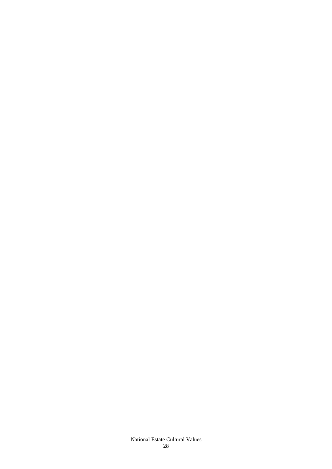#### National Estate Cultural Values 28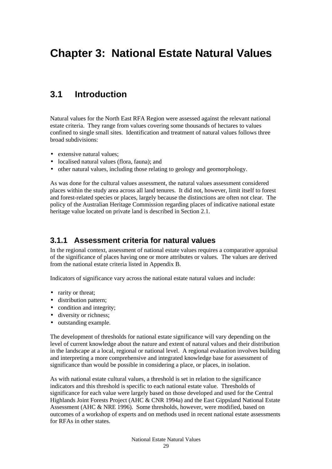# **Chapter 3: National Estate Natural Values**

# **3.1 Introduction**

Natural values for the North East RFA Region were assessed against the relevant national estate criteria. They range from values covering some thousands of hectares to values confined to single small sites. Identification and treatment of natural values follows three broad subdivisions:

- extensive natural values:
- localised natural values (flora, fauna); and
- other natural values, including those relating to geology and geomorphology.

As was done for the cultural values assessment, the natural values assessment considered places within the study area across all land tenures. It did not, however, limit itself to forest and forest-related species or places, largely because the distinctions are often not clear. The policy of the Australian Heritage Commission regarding places of indicative national estate heritage value located on private land is described in Section 2.1.

### **3.1.1 Assessment criteria for natural values**

In the regional context, assessment of national estate values requires a comparative appraisal of the significance of places having one or more attributes or values. The values are derived from the national estate criteria listed in Appendix B.

Indicators of significance vary across the national estate natural values and include:

- rarity or threat;
- distribution pattern;
- condition and integrity;
- diversity or richness;
- outstanding example.

The development of thresholds for national estate significance will vary depending on the level of current knowledge about the nature and extent of natural values and their distribution in the landscape at a local, regional or national level. A regional evaluation involves building and interpreting a more comprehensive and integrated knowledge base for assessment of significance than would be possible in considering a place, or places, in isolation.

As with national estate cultural values, a threshold is set in relation to the significance indicators and this threshold is specific to each national estate value. Thresholds of significance for each value were largely based on those developed and used for the Central Highlands Joint Forests Project (AHC & CNR 1994a) and the East Gippsland National Estate Assessment (AHC & NRE 1996). Some thresholds, however, were modified, based on outcomes of a workshop of experts and on methods used in recent national estate assessments for RFAs in other states.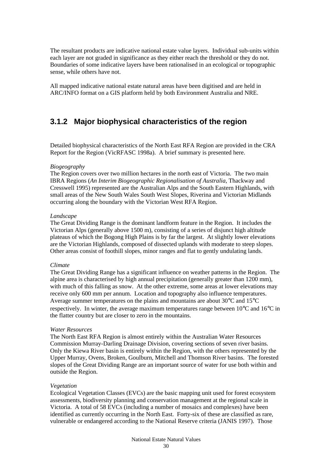The resultant products are indicative national estate value layers. Individual sub-units within each layer are not graded in significance as they either reach the threshold or they do not. Boundaries of some indicative layers have been rationalised in an ecological or topographic sense, while others have not.

All mapped indicative national estate natural areas have been digitised and are held in ARC/INFO format on a GIS platform held by both Environment Australia and NRE.

# **3.1.2 Major biophysical characteristics of the region**

Detailed biophysical characteristics of the North East RFA Region are provided in the CRA Report for the Region (VicRFASC 1998a). A brief summary is presented here.

#### *Biogeography*

The Region covers over two million hectares in the north east of Victoria. The two main IBRA Regions (*An Interim Biogeographic Regionalisation of Australia*, Thackway and Cresswell 1995) represented are the Australian Alps and the South Eastern Highlands, with small areas of the New South Wales South West Slopes, Riverina and Victorian Midlands occurring along the boundary with the Victorian West RFA Region.

#### *Landscape*

The Great Dividing Range is the dominant landform feature in the Region. It includes the Victorian Alps (generally above 1500 m), consisting of a series of disjunct high altitude plateaus of which the Bogong High Plains is by far the largest. At slightly lower elevations are the Victorian Highlands, composed of dissected uplands with moderate to steep slopes. Other areas consist of foothill slopes, minor ranges and flat to gently undulating lands.

#### *Climate*

The Great Dividing Range has a significant influence on weather patterns in the Region. The alpine area is characterised by high annual precipitation (generally greater than 1200 mm), with much of this falling as snow. At the other extreme, some areas at lower elevations may receive only 600 mm per annum. Location and topography also influence temperatures. Average summer temperatures on the plains and mountains are about 30°C and 15°C respectively. In winter, the average maximum temperatures range between 10°C and 16°C in the flatter country but are closer to zero in the mountains.

#### *Water Resources*

The North East RFA Region is almost entirely within the Australian Water Resources Commission Murray-Darling Drainage Division, covering sections of seven river basins. Only the Kiewa River basin is entirely within the Region, with the others represented by the Upper Murray, Ovens, Broken, Goulburn, Mitchell and Thomson River basins. The forested slopes of the Great Dividing Range are an important source of water for use both within and outside the Region.

#### *Vegetation*

Ecological Vegetation Classes (EVCs) are the basic mapping unit used for forest ecosystem assessments, biodiversity planning and conservation management at the regional scale in Victoria. A total of 58 EVCs (including a number of mosaics and complexes) have been identified as currently occurring in the North East. Forty-six of these are classified as rare, vulnerable or endangered according to the National Reserve criteria (JANIS 1997). Those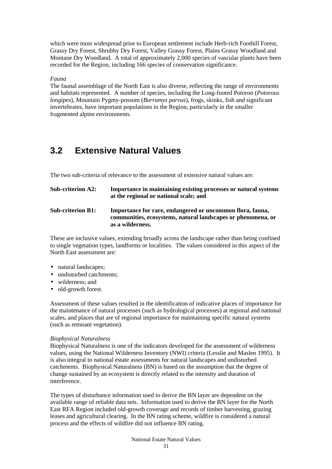which were most widespread prior to European settlement include Herb-rich Foothill Forest, Grassy Dry Forest, Shrubby Dry Forest, Valley Grassy Forest, Plains Grassy Woodland and Montane Dry Woodland. A total of approximately 2,000 species of vascular plants have been recorded for the Region, including 166 species of conservation significance.

*Fauna*

The faunal assemblage of the North East is also diverse, reflecting the range of environments and habitats represented. A number of species, including the Long-footed Potoroo (*Potorous longipes*), Mountain Pygmy-possum (*Burramys parvus*), frogs, skinks, fish and significant invertebrates, have important populations in the Region, particularly in the smaller fragmented alpine environments.

# **3.2 Extensive Natural Values**

The two sub-criteria of relevance to the assessment of extensive natural values are:

| <b>Sub-criterion A2:</b> | Importance in maintaining existing processes or natural systems<br>at the regional or national scale; and                                     |
|--------------------------|-----------------------------------------------------------------------------------------------------------------------------------------------|
| <b>Sub-criterion B1:</b> | Importance for rare, endangered or uncommon flora, fauna,<br>communities, ecosystems, natural landscapes or phenomena, or<br>as a wilderness. |

These are inclusive values, extending broadly across the landscape rather than being confined to single vegetation types, landforms or localities. The values considered in this aspect of the North East assessment are:

- natural landscapes;
- undisturbed catchments;
- wilderness; and
- old-growth forest.

Assessment of these values resulted in the identification of indicative places of importance for the maintenance of natural processes (such as hydrological processes) at regional and national scales, and places that are of regional importance for maintaining specific natural systems (such as remnant vegetation).

### *Biophysical Naturalness*

Biophysical Naturalness is one of the indicators developed for the assessment of wilderness values, using the National Wilderness Inventory (NWI) criteria (Lesslie and Maslen 1995). It is also integral to national estate assessments for natural landscapes and undisturbed catchments. Biophysical Naturalness (BN) is based on the assumption that the degree of change sustained by an ecosystem is directly related to the intensity and duration of interference.

The types of disturbance information used to derive the BN layer are dependent on the available range of reliable data sets. Information used to derive the BN layer for the North East RFA Region included old-growth coverage and records of timber harvesting, grazing leases and agricultural clearing. In the BN rating scheme, wildfire is considered a natural process and the effects of wildfire did not influence BN rating.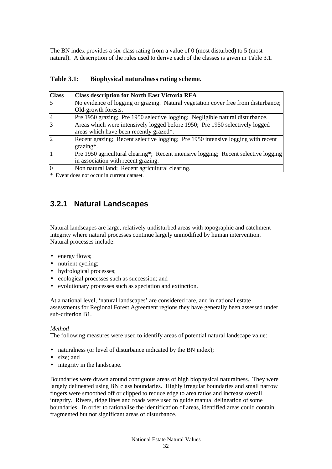The BN index provides a six-class rating from a value of 0 (most disturbed) to 5 (most natural). A description of the rules used to derive each of the classes is given in Table 3.1.

# **Table 3.1: Biophysical naturalness rating scheme.**

| <b>Class</b>   | <b>Class description for North East Victoria RFA</b>                                |
|----------------|-------------------------------------------------------------------------------------|
| $\overline{5}$ | No evidence of logging or grazing. Natural vegetation cover free from disturbance;  |
|                | Old-growth forests.                                                                 |
| $\overline{4}$ | Pre 1950 grazing; Pre 1950 selective logging; Negligible natural disturbance.       |
| $\overline{3}$ | Areas which were intensively logged before 1950; Pre 1950 selectively logged        |
|                | areas which have been recently grazed*.                                             |
| $\overline{2}$ | Recent grazing; Recent selective logging; Pre 1950 intensive logging with recent    |
|                | grazing*.                                                                           |
|                | Pre 1950 agricultural clearing*; Recent intensive logging; Recent selective logging |
|                | in association with recent grazing.                                                 |
| $\overline{0}$ | Non natural land; Recent agricultural clearing.                                     |

\* Event does not occur in current dataset.

# **3.2.1 Natural Landscapes**

Natural landscapes are large, relatively undisturbed areas with topographic and catchment integrity where natural processes continue largely unmodified by human intervention. Natural processes include:

- energy flows:
- nutrient cycling;
- hydrological processes;
- ecological processes such as succession; and
- evolutionary processes such as speciation and extinction.

At a national level, 'natural landscapes' are considered rare, and in national estate assessments for Regional Forest Agreement regions they have generally been assessed under sub-criterion B1.

### *Method*

The following measures were used to identify areas of potential natural landscape value:

- naturalness (or level of disturbance indicated by the BN index);
- size: and
- integrity in the landscape.

Boundaries were drawn around contiguous areas of high biophysical naturalness. They were largely delineated using BN class boundaries. Highly irregular boundaries and small narrow fingers were smoothed off or clipped to reduce edge to area ratios and increase overall integrity. Rivers, ridge lines and roads were used to guide manual delineation of some boundaries. In order to rationalise the identification of areas, identified areas could contain fragmented but not significant areas of disturbance.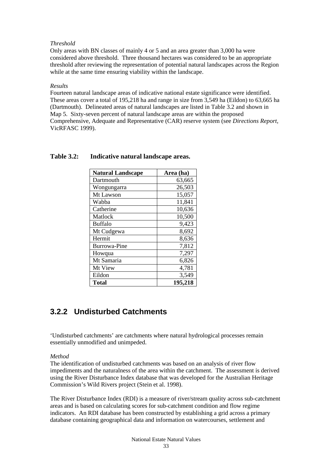#### *Threshold*

Only areas with BN classes of mainly 4 or 5 and an area greater than 3,000 ha were considered above threshold. Three thousand hectares was considered to be an appropriate threshold after reviewing the representation of potential natural landscapes across the Region while at the same time ensuring viability within the landscape.

#### *Results*

Fourteen natural landscape areas of indicative national estate significance were identified. These areas cover a total of 195,218 ha and range in size from 3,549 ha (Eildon) to 63,665 ha (Dartmouth). Delineated areas of natural landscapes are listed in Table 3.2 and shown in Map 5. Sixty-seven percent of natural landscape areas are within the proposed Comprehensive, Adequate and Representative (CAR) reserve system (see *Directions Report*, VicRFASC 1999).

| <b>Natural Landscape</b> | Area (ha) |
|--------------------------|-----------|
| Dartmouth                | 63,665    |
| Wongungarra              | 26,503    |
| Mt Lawson                | 15,057    |
| Wabba                    | 11,841    |
| Catherine                | 10,636    |
| Matlock                  | 10,500    |
| <b>Buffalo</b>           | 9,423     |
| Mt Cudgewa               | 8,692     |
| Hermit                   | 8,636     |
| <b>Burrowa-Pine</b>      | 7,812     |
| Howqua                   | 7,297     |
| Mt Samaria               | 6,826     |
| Mt View                  | 4,781     |
| Eildon                   | 3,549     |
| Total                    | 195,218   |

## **Table 3.2: Indicative natural landscape areas.**

# **3.2.2 Undisturbed Catchments**

'Undisturbed catchments' are catchments where natural hydrological processes remain essentially unmodified and unimpeded.

#### *Method*

The identification of undisturbed catchments was based on an analysis of river flow impediments and the naturalness of the area within the catchment. The assessment is derived using the River Disturbance Index database that was developed for the Australian Heritage Commission's Wild Rivers project (Stein et al. 1998).

The River Disturbance Index (RDI) is a measure of river/stream quality across sub-catchment areas and is based on calculating scores for sub-catchment condition and flow regime indicators. An RDI database has been constructed by establishing a grid across a primary database containing geographical data and information on watercourses, settlement and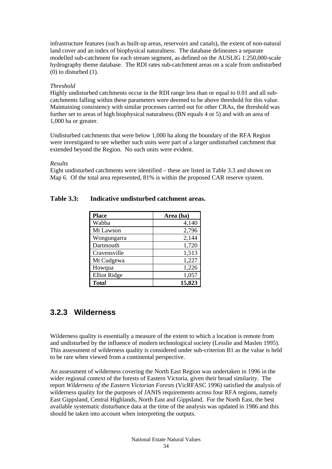infrastructure features (such as built-up areas, reservoirs and canals), the extent of non-natural land cover and an index of biophysical naturalness. The database delineates a separate modelled sub-catchment for each stream segment, as defined on the AUSLIG 1:250,000-scale hydrography theme database. The RDI rates sub-catchment areas on a scale from undisturbed (0) to disturbed (1).

## *Threshold*

Highly undisturbed catchments occur in the RDI range less than or equal to 0.01 and all subcatchments falling within these parameters were deemed to be above threshold for this value. Maintaining consistency with similar processes carried out for other CRAs, the threshold was further set to areas of high biophysical naturalness (BN equals 4 or 5) and with an area of 1,000 ha or greater.

Undisturbed catchments that were below 1,000 ha along the boundary of the RFA Region were investigated to see whether such units were part of a larger undisturbed catchment that extended beyond the Region. No such units were evident.

*Results*

Eight undisturbed catchments were identified – these are listed in Table 3.3 and shown on Map 6. Of the total area represented, 81% is within the proposed CAR reserve system.

| <b>Place</b>        | Area (ha) |  |  |
|---------------------|-----------|--|--|
| Wabba               | 4,140     |  |  |
| Mt Lawson           | 2,796     |  |  |
| Wongungarra         | 2,144     |  |  |
| Dartmouth           | 1,720     |  |  |
| Cravensville        | 1,513     |  |  |
| Mt Cudgewa          | 1,227     |  |  |
| Howqua              | 1,226     |  |  |
| <b>Elliot Ridge</b> | 1,057     |  |  |
| <b>Total</b>        | 15,823    |  |  |

# **Table 3.3: Indicative undisturbed catchment areas.**

# **3.2.3 Wilderness**

Wilderness quality is essentially a measure of the extent to which a location is remote from and undisturbed by the influence of modern technological society (Lesslie and Maslen 1995). This assessment of wilderness quality is considered under sub-criterion B1 as the value is held to be rare when viewed from a continental perspective.

An assessment of wilderness covering the North East Region was undertaken in 1996 in the wider regional context of the forests of Eastern Victoria, given their broad similarity. The report *Wilderness of the Eastern Victorian Forests* (VicRFASC 1996) satisfied the analysis of wilderness quality for the purposes of JANIS requirements across four RFA regions, namely East Gippsland, Central Highlands, North East and Gippsland. For the North East, the best available systematic disturbance data at the time of the analysis was updated in 1986 and this should be taken into account when interpreting the outputs.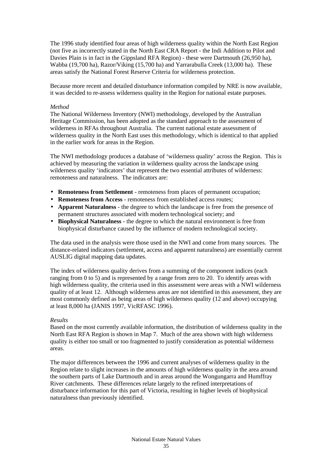The 1996 study identified four areas of high wilderness quality within the North East Region (not five as incorrectly stated in the North East CRA Report - the Indi Addition to Pilot and Davies Plain is in fact in the Gippsland RFA Region) - these were Dartmouth (26,950 ha), Wabba (19,700 ha), Razor/Viking (15,700 ha) and Yarrarabulla Creek (13,000 ha). These areas satisfy the National Forest Reserve Criteria for wilderness protection.

Because more recent and detailed disturbance information compiled by NRE is now available, it was decided to re-assess wilderness quality in the Region for national estate purposes.

#### *Method*

The National Wilderness Inventory (NWI) methodology, developed by the Australian Heritage Commission, has been adopted as the standard approach to the assessment of wilderness in RFAs throughout Australia. The current national estate assessment of wilderness quality in the North East uses this methodology, which is identical to that applied in the earlier work for areas in the Region.

The NWI methodology produces a database of 'wilderness quality' across the Region. This is achieved by measuring the variation in wilderness quality across the landscape using wilderness quality 'indicators' that represent the two essential attributes of wilderness: remoteness and naturalness. The indicators are:

- **Remoteness from Settlement** remoteness from places of permanent occupation;
- **Remoteness from Access** remoteness from established access routes;
- **Apparent Naturalness** the degree to which the landscape is free from the presence of permanent structures associated with modern technological society; and
- **Biophysical Naturalness** the degree to which the natural environment is free from biophysical disturbance caused by the influence of modern technological society.

The data used in the analysis were those used in the NWI and come from many sources. The distance-related indicators (settlement, access and apparent naturalness) are essentially current AUSLIG digital mapping data updates.

The index of wilderness quality derives from a summing of the component indices (each ranging from 0 to 5) and is represented by a range from zero to 20. To identify areas with high wilderness quality, the criteria used in this assessment were areas with a NWI wilderness quality of at least 12. Although wilderness areas are not identified in this assessment, they are most commonly defined as being areas of high wilderness quality (12 and above) occupying at least 8,000 ha (JANIS 1997, VicRFASC 1996).

#### *Results*

Based on the most currently available information, the distribution of wilderness quality in the North East RFA Region is shown in Map 7. Much of the area shown with high wilderness quality is either too small or too fragmented to justify consideration as potential wilderness areas.

The major differences between the 1996 and current analyses of wilderness quality in the Region relate to slight increases in the amounts of high wilderness quality in the area around the southern parts of Lake Dartmouth and in areas around the Wongungarra and Humffray River catchments. These differences relate largely to the refined interpretations of disturbance information for this part of Victoria, resulting in higher levels of biophysical naturalness than previously identified.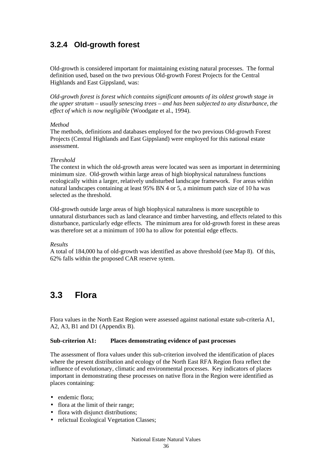# **3.2.4 Old-growth forest**

Old-growth is considered important for maintaining existing natural processes. The formal definition used, based on the two previous Old-growth Forest Projects for the Central Highlands and East Gippsland, was:

*Old-growth forest is forest which contains significant amounts of its oldest growth stage in the upper stratum – usually senescing trees – and has been subjected to any disturbance, the effect of which is now negligible* (Woodgate et al., 1994).

### *Method*

The methods, definitions and databases employed for the two previous Old-growth Forest Projects (Central Highlands and East Gippsland) were employed for this national estate assessment.

#### *Threshold*

The context in which the old-growth areas were located was seen as important in determining minimum size. Old-growth within large areas of high biophysical naturalness functions ecologically within a larger, relatively undisturbed landscape framework. For areas within natural landscapes containing at least 95% BN 4 or 5, a minimum patch size of 10 ha was selected as the threshold.

Old-growth outside large areas of high biophysical naturalness is more susceptible to unnatural disturbances such as land clearance and timber harvesting, and effects related to this disturbance, particularly edge effects. The minimum area for old-growth forest in these areas was therefore set at a minimum of 100 ha to allow for potential edge effects.

#### *Results*

A total of 184,000 ha of old-growth was identified as above threshold (see Map 8). Of this, 62% falls within the proposed CAR reserve sytem.

# **3.3 Flora**

Flora values in the North East Region were assessed against national estate sub-criteria A1, A2, A3, B1 and D1 (Appendix B).

#### **Sub-criterion A1: Places demonstrating evidence of past processes**

The assessment of flora values under this sub-criterion involved the identification of places where the present distribution and ecology of the North East RFA Region flora reflect the influence of evolutionary, climatic and environmental processes. Key indicators of places important in demonstrating these processes on native flora in the Region were identified as places containing:

- endemic flora:
- flora at the limit of their range;
- flora with disjunct distributions;
- relictual Ecological Vegetation Classes;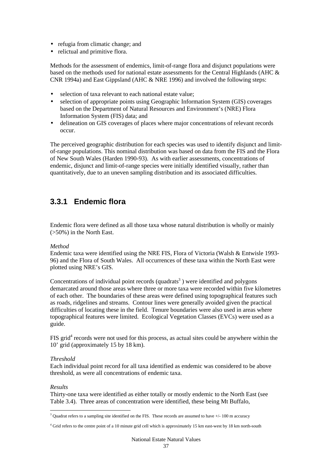- refugia from climatic change; and
- relictual and primitive flora.

Methods for the assessment of endemics, limit-of-range flora and disjunct populations were based on the methods used for national estate assessments for the Central Highlands (AHC & CNR 1994a) and East Gippsland (AHC & NRE 1996) and involved the following steps:

- selection of taxa relevant to each national estate value:
- selection of appropriate points using Geographic Information System (GIS) coverages based on the Department of Natural Resources and Environment's (NRE) Flora Information System (FIS) data; and
- delineation on GIS coverages of places where major concentrations of relevant records occur.

The perceived geographic distribution for each species was used to identify disjunct and limitof-range populations. This nominal distribution was based on data from the FIS and the Flora of New South Wales (Harden 1990-93). As with earlier assessments, concentrations of endemic, disjunct and limit-of-range species were initially identified visually, rather than quantitatively, due to an uneven sampling distribution and its associated difficulties.

# **3.3.1 Endemic flora**

Endemic flora were defined as all those taxa whose natural distribution is wholly or mainly (>50%) in the North East.

### *Method*

Endemic taxa were identified using the NRE FIS, Flora of Victoria (Walsh & Entwisle 1993- 96) and the Flora of South Wales. All occurrences of these taxa within the North East were plotted using NRE's GIS.

Concentrations of individual point records (quadrats<sup>3</sup>) were identified and polygons demarcated around those areas where three or more taxa were recorded within five kilometres of each other. The boundaries of these areas were defined using topographical features such as roads, ridgelines and streams. Contour lines were generally avoided given the practical difficulties of locating these in the field. Tenure boundaries were also used in areas where topographical features were limited. Ecological Vegetation Classes (EVCs) were used as a guide.

FIS grid<sup>4</sup> records were not used for this process, as actual sites could be anywhere within the 10' grid (approximately 15 by 18 km).

### *Threshold*

Each individual point record for all taxa identified as endemic was considered to be above threshold, as were all concentrations of endemic taxa.

### *Results*

 $\overline{a}$ 

Thirty-one taxa were identified as either totally or mostly endemic to the North East (see Table 3.4). Three areas of concentration were identified, these being Mt Buffalo,

<sup>&</sup>lt;sup>3</sup> Quadrat refers to a sampling site identified on the FIS. These records are assumed to have  $+/$  100 m accuracy

<sup>&</sup>lt;sup>4</sup> Grid refers to the centre point of a 10 minute grid cell which is approximately 15 km east-west by 18 km north-south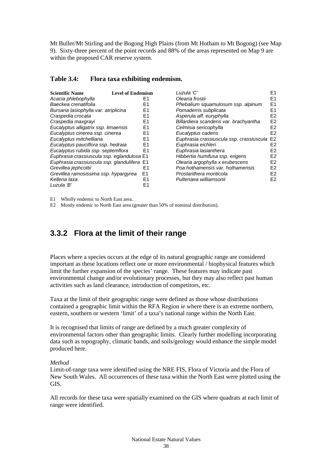Mt Buller/Mt Stirling and the Bogong High Plains (from Mt Hotham to Mt Bogong) (see Map 9). Sixty-three percent of the point records and 88% of the areas represented on Map 9 are within the proposed CAR reserve system.

# **Table 3.4: Flora taxa exhibiting endemism.**

| <b>Level of Endemism</b><br><b>Scientific Name</b> |                |
|----------------------------------------------------|----------------|
| Acacia phlebophylla                                | F1             |
| Baeckea crenatifolia                               | F1             |
| Bursaria lasiophylla var. atriplicina              | F1             |
| Craspedia crocata                                  | F <sub>1</sub> |
| Craspedia maxgrayi                                 | F <sub>1</sub> |
| Eucalyptus alligatrix ssp. limaensis               | F1             |
| Eucalyptus cinerea ssp. cinerea                    | F <sub>1</sub> |
| Eucalyptus mitchelliana                            | F <sub>1</sub> |
| Eucalyptus pauciflora ssp. hedraia                 | F1             |
| Eucalyptus rubida ssp. septemflora                 | F1             |
| Euphrasia crassiuscula ssp. eglandulosa E1         |                |
| Euphrasia crassiuscula ssp. glandulifera           | F1             |
| Grevillea jephcottii                               | F1             |
| Grevillea ramosissima ssp. hypargyrea              | F1             |
| Kelleria laxa                                      | F1             |
| Luzula 'B'                                         | F1             |

| Luzula 'C'                               | F1             |
|------------------------------------------|----------------|
| Olearia frostii                          | F1             |
| Phebalium squamulosum ssp. alpinum       | F1             |
| Pomaderris subplicata                    | F1             |
| Asperula aff. euryphylla                 | E2             |
| Billardiera scandens var. brachyantha    | E <sub>2</sub> |
| Celmisia sericophylla                    | E <sub>2</sub> |
| Eucalyptus cadens                        | F <sub>2</sub> |
| Euphrasia crassiuscula ssp. crassiuscula | E <sub>2</sub> |
| Euphrasia eichleri                       | E2             |
| Euphrasia lasianthera                    | E2             |
| Hibbertia humifusa ssp. erigens          | E2             |
| Olearia argophylla x erubescens          | E <sub>2</sub> |
| Poa hothamensis var. hothamensis         | E <sub>2</sub> |
| Prostanthera monticola                   | F2             |
| Pultenaea williamsonii                   | F2             |

E1 Wholly endemic to North East area.

E2 Mostly endemic to North East area (greater than 50% of nominal distribution).

# **3.3.2 Flora at the limit of their range**

Places where a species occurs at the edge of its natural geographic range are considered important as these locations reflect one or more environmental / biophysical features which limit the further expansion of the species' range. These features may indicate past environmental change and/or evolutionary processes, but they may also reflect past human activities such as land clearance, introduction of competitors, etc.

Taxa at the limit of their geographic range were defined as those whose distributions contained a geographic limit within the RFA Region *ie* where there is an extreme northern, eastern, southern or western 'limit' of a taxa's national range within the North East.

It is recognised that limits of range are defined by a much greater complexity of environmental factors other than geographic limits. Clearly further modelling incorporating data such as topography, climatic bands, and soils/geology would enhance the simple model produced here.

#### *Method*

Limit-of-range taxa were identified using the NRE FIS, Flora of Victoria and the Flora of New South Wales. All occurrences of these taxa within the North East were plotted using the GIS.

All records for these taxa were spatially examined on the GIS where quadrats at each limit of range were identified.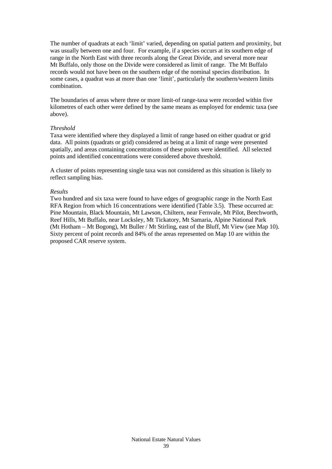The number of quadrats at each 'limit' varied, depending on spatial pattern and proximity, but was usually between one and four. For example, if a species occurs at its southern edge of range in the North East with three records along the Great Divide, and several more near Mt Buffalo, only those on the Divide were considered as limit of range. The Mt Buffalo records would not have been on the southern edge of the nominal species distribution. In some cases, a quadrat was at more than one 'limit', particularly the southern/western limits combination.

The boundaries of areas where three or more limit-of range-taxa were recorded within five kilometres of each other were defined by the same means as employed for endemic taxa (see above).

#### *Threshold*

Taxa were identified where they displayed a limit of range based on either quadrat or grid data. All points (quadrats or grid) considered as being at a limit of range were presented spatially, and areas containing concentrations of these points were identified. All selected points and identified concentrations were considered above threshold.

A cluster of points representing single taxa was not considered as this situation is likely to reflect sampling bias.

#### *Results*

Two hundred and six taxa were found to have edges of geographic range in the North East RFA Region from which 16 concentrations were identified (Table 3.5). These occurred at: Pine Mountain, Black Mountain, Mt Lawson, Chiltern, near Fernvale, Mt Pilot, Beechworth, Reef Hills, Mt Buffalo, near Locksley, Mt Tickatory, Mt Samaria, Alpine National Park (Mt Hotham – Mt Bogong), Mt Buller / Mt Stirling, east of the Bluff, Mt View (see Map 10). Sixty percent of point records and 84% of the areas represented on Map 10 are within the proposed CAR reserve system.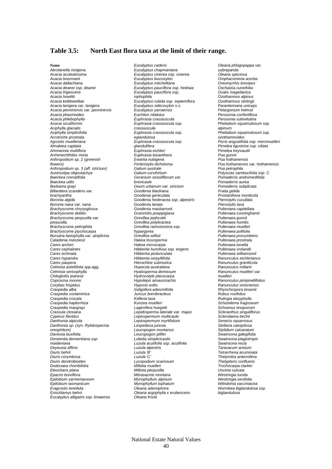## **Table 3.5: North East flora taxa at the limit of their range.**

**Name** *Abrotanella nivigena Acacia aculeatissima Acacia boormanii Acacia dallachiana Acacia deanei ssp. deanei Acacia frigescens Acacia howittii Acacia kettlewelliae Acacia lanigera var. lanigera Acacia penninervis var. penninervis Acacia phasmoides Acacia phlebophylla Acacia siculiformis Aciphylla glacialis Aciphylla simplicifolia Acrotriche prostrata Agrostis muelleriana Almaleea capitata Ammannia multiflora Arrhenechthites mixta Arthropodium sp. 2 (greenish flowers) Arthropodium sp. 3 (aff. strictum) Austrostipa oligostachya Baeckea crenatifolia Baeckea utilis Barbarea grayi Billardiera scandens var. brachyantha Boronia algida Boronia nana var. nana Brachyscome chrysoglossa Brachyscome debilis Brachyscome perpusilla var. perpusilla Brachyscome petrophila Brachyscome ptychocarpa Bursaria lasiophylla var. atriplicina Caladenia menziesii Carex archeri Carex cephalotes Carex echinata Carex hypandra Carex paupera Celmisia asteliifolia spp.agg. Celmisia sericophylla Chiloglottis jeanesii Coprosma moorei Corybas hispidus Craspedia alba Craspedia coolaminica Craspedia crocata Craspedia haplorrhiza Craspedia maxgrayi Crassula closiana Cyperus flavidus Danthonia alpicola Danthonia sp. (syn. Rytidosperma oreophilum) Daviesia buxifolia Derwentia derwentiana ssp. maideniana Deyeuxia affinis Diuris behrii Diuris corymbosa Diuris dendrobioides Dodonaea rhombifolia Eleocharis plana Epacris breviflora Epilobium sarmentaceum Epilobium tasmanicum Eragrostis tenellula Eriochlamys behrii Eucalyptus alligatrix ssp. limaensis*

*Eucalyptus cadens Eucalyptus chapmaniana Eucalyptus cinerea ssp. cinerea Eucalyptus leucoxylon Eucalyptus mitchelliana Eucalyptus pauciflora ssp. hedraia Eucalyptus pauciflora ssp. niphophila Eucalyptus rubida ssp. septemflora Eucalyptus sideroxylon s.s. Eucalyptus yarraensis Euchiton nitidulus Euphrasia crassiuscula Euphrasia crassiuscula ssp. crassiuscula Euphrasia crassiuscula ssp. eglandulosa Euphrasia crassiuscula ssp. glandulifera Euphrasia eichleri Euphrasia lasianthera Ewartia nubigena Fimbristylis dichotoma Galium australe Galium curvihirtum Geranium sessiliflorum var. brevicaule Geum urbanum var. strictum Goodenia blackiana Goodenia geniculata Goodenia hederacea ssp. alpestris Goodenia lanata Goodenia macbarronii Grammitis poeppigiana Grevillea jephcottii Grevillea polybractea Grevillea ramosissima ssp. hypargyrea Grevillea willisii Hakea lissosperma Hakea microcarpa Hibbertia humifusa ssp. erigens Hibbertia pedunculata Hibbertia serpyllifolia Hierochloe submutica Huperzia australiana Hyalosperma demissum Hydrocotyle pterocarpa Hypolepis amaurorachis Hypoxis exilis Indigofera adesmiifolia Juncus brevibracteus Kelleria laxa Kunzea muelleri Lagenifera huegelii Lepidosperma laterale var. majus Leptospermum multicaule Leptospermum myrtifolium Lespedeza juncea Leucopogon montanus Leucopogon pilifer Lobelia simplicicaulis Luzula acutifolia ssp. acutifolia Luzula alpestris Luzula 'B' Luzula 'C' Lycopodium scariosum Millotia muelleri Millotia perpusilla Mitrasacme montana Myriophyllum alpinum Myriophyllum lophatum Olearia adenophora Olearia argophylla x erubescens Olearia frostii*

*Olearia phlogopappa var. subrepanda Olearia speciosa Omphacomeria acerba Oreomyrrhis brevipes Oschatzia cuneifolia Oxalis magellanica Ozothamnus alpinus Ozothamnus stirlingii Parantennaria uniceps Pelargonium helmsii Persoonia confertiflora Persoonia subvelutina Phebalium squamulosum ssp. alpinum Phebalium squamulosum ssp. ozothamnoides Picris angustifolia ssp. merxmuelleri Pimelea ligustrina ssp. ciliata Pimelea treyvaudii Poa gunnii Poa hothamensis Poa hothamensis var. hothamensis Poa petrophila Polyscias sambucifolia ssp. C Pomaderris andromedifolia Pomaderris aurea Pomaderris subplicata Pratia gelida Prostanthera monticola Pterostylis cucullata Pterostylis laxa Pultenaea capitellata Pultenaea cunninghamii Pultenaea gunnii Pultenaea humilis Pultenaea muelleri Pultenaea polifolia Pultenaea procumbens Pultenaea prostrata Pultenaea tenella Pultenaea vrolandii Pultenaea williamsonii Ranunculus eichlerianus Ranunculus graniticola Ranunculus millanii Ranunculus muelleri var. muelleri Ranunculus pimpinellifolius Ranunculus victoriensis Rhynchospora brownii Rubus rosifolius Rulingia dasyphylla Schizeilema fragoseum Schoenus tesquorum Scleranthus singuliflorus Sclerolaena birchii Senecio squarrosus Stellaria caespitosa Stylidium calcaratum Swainsona galegifolia Swainsona plagiotropis Swainsona recta Taraxacum aristum Tetrarrhena acuminata Thelymitra antennifera Thelypteris confluens Trochocarpa clarkei Uncinia sulcata Westringia lucida Westringia senifolia Wittsteinia vacciniacea Wurmbea biglandulosa ssp. biglandulosa*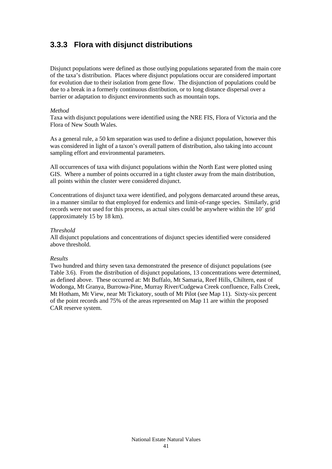# **3.3.3 Flora with disjunct distributions**

Disjunct populations were defined as those outlying populations separated from the main core of the taxa's distribution. Places where disjunct populations occur are considered important for evolution due to their isolation from gene flow. The disjunction of populations could be due to a break in a formerly continuous distribution, or to long distance dispersal over a barrier or adaptation to disjunct environments such as mountain tops.

### *Method*

Taxa with disjunct populations were identified using the NRE FIS, Flora of Victoria and the Flora of New South Wales.

As a general rule, a 50 km separation was used to define a disjunct population, however this was considered in light of a taxon's overall pattern of distribution, also taking into account sampling effort and environmental parameters.

All occurrences of taxa with disjunct populations within the North East were plotted using GIS. Where a number of points occurred in a tight cluster away from the main distribution, all points within the cluster were considered disjunct.

Concentrations of disjunct taxa were identified, and polygons demarcated around these areas, in a manner similar to that employed for endemics and limit-of-range species. Similarly, grid records were not used for this process, as actual sites could be anywhere within the 10' grid (approximately 15 by 18 km).

#### *Threshold*

All disjunct populations and concentrations of disjunct species identified were considered above threshold.

### *Results*

Two hundred and thirty seven taxa demonstrated the presence of disjunct populations (see Table 3.6). From the distribution of disjunct populations, 13 concentrations were determined, as defined above. These occurred at: Mt Buffalo, Mt Samaria, Reef Hills, Chiltern, east of Wodonga, Mt Granya, Burrowa-Pine, Murray River/Cudgewa Creek confluence, Falls Creek, Mt Hotham, Mt View, near Mt Tickatory, south of Mt Pilot (see Map 11). Sixty-six percent of the point records and 75% of the areas represented on Map 11 are within the proposed CAR reserve system.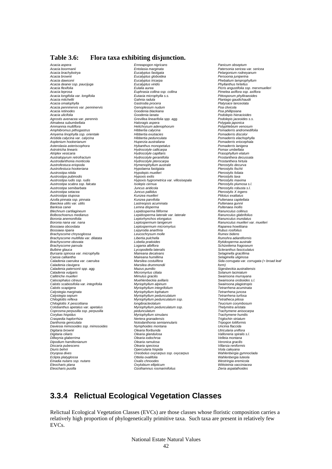#### **Table 3.6: Flora taxa exhibiting disjunction.**

*Acacia aspera Acacia boormanii Acacia brachybotrya Acacia brownii Acacia dawsonii Acacia deanei ssp. paucijuga Acacia flexifolia Acacia leprosa Acacia longifolia var. longifolia Acacia mitchellii Acacia omalophylla Acacia penninervis var. penninervis Acacia retinodes Acacia ulicifolia Agrostis avenacea var. perennis Almaleea subumbellata Ammannia multiflora Amphibromus pithogastrus Amyema linophylla ssp. orientale Aristida calycina var. calycina Asplenium hookerianum Asterolasia asteriscophora Astrotricha linearis Atriplex vesicaria Australopyrum retrofractum Austrodanthonia monticola Austrofestuca eriopoda Austrofestuca hookeriana Austrostipa nitida Austrostipa pubinodis Austrostipa rudis ssp. rudis Austrostipa scabra ssp. falcata Austrostipa semibarbata Austrostipa setacea Austrostipa stuposa Azolla pinnata ssp. pinnata Baeckea utilis var. utilis Banksia canei Blechnum cartilagineum Bolboschoenus medianus Boronia anemonifolia Boronia nana var. nana Bossiaea obcordata Bossiaea riparia Brachyscome chrysoglossa Brachyscome multifida var. dilatata Brachyscome obovata Brachyscome parvula Bulbine glauca Bursaria spinosa var. microphylla Caesia calliantha Caladenia caerulea var. caerulea Caladenia clavigera Caladenia patersonii spp. agg. Caladenia vulgaris Callitriche muelleri Calocephalus citreus Calotis scabiosifolia var. integrifolia Calotis scapigera Calystegia marginata Calystegia sepium Chiloglottis reflexa Chiloglottis X pescottiana Colobanthus apetalus var. apetalus Coprosma perpusilla ssp. perpusilla Corybas hispidus Craspedia haplorrhiza Danthonia geniculata Daviesia mimosoides ssp. mimosoides Digitaria brownii Digitaria ciliaris Dillwynia glaberrima Dipodium hamiltonianum Discaria pubescens Diuris behrii Dryopoa dives Eclipta platyglossa Einadia nutans ssp. nutans Eleocharis plana Eleocharis pusilla*

*Enneapogon nigricans Entolasia marginata Eucalyptus fastigata Eucalyptus globoidea Eucalyptus tricarpa Eucalyptus viridis Eulalia aurea Euphrasia collina ssp. collina Eutaxia microphylla s.s. Gahnia radula Gastrodia procera Genoplesium nudum Goodenia blackiana Goodenia lanata Grevillea linearifolia spp. agg. Haloragis aspera Helichrysum adenophorum Hibbertia calycina Hibbertia exutiacies Hibbertia pedunculata Huperzia australiana Hybanthus monopetalus Hydrocotyle callicarpa Hydrocotyle capillaris Hydrocotyle geraniifolia Hydrocotyle pterocarpa Hymenophyllum australe Hypolaena fastigiata Hypolepis muelleri Hypoxis exilis Hypoxis hygrometrica var. villosisepala Isolepis cernua Juncus aridicola Juncus pallidus Kunzea muelleri Kunzea parvifolia Lastreopsis acuminata Lemna disperma Lepidosperma filiforme Lepidosperma laterale var. laterale Leptorhynchos elongatus Leptospermum lanigerum Leptospermum micromyrtus Lepyrodia anarthria Leucochrysum molle Libertia pulchella Lobelia pratioides Logania albiflora Lycopodiella lateralis Maireana decalvans Maireana humillima Marsilea costulifera Marsilea drummondii Mazus pumilio Micromyrtus ciliata Mimulus gracilis Muehlenbeckia axillaris Myriophyllum alpinum Myriophyllum integrifolium Myriophyllum lophatum Myriophyllum pedunculatum Myriophyllum pedunculatum ssp. longibracteolatum Myriophyllum pedunculatum ssp. pedunculatum Myriophyllum simulans Nertera granadensis Notodanthonia semiannularis Nymphoides montana Olearia floribunda Olearia glandulosa Olearia iodochroa Olearia ramulosa Olearia speciosa Opercularia hispida Oreobolus oxycarpus ssp. oxycarpus Ottelia ovalifolia Oxalis chnoodes Oxylobium ellipticum Ozothamnus rosmarinifolius*

*Panicum obseptum Patersonia sericea var. sericea Pelargonium rodneyanum Persoonia juniperina Phebalium lamprophyllum Phyllanthus hirtellus Picris angustifolia ssp. merxmuelleri Pimelea axiflora ssp. axiflora Pittosporum phylliraeoides Plantago gaudichaudii Platysace lanceolata Poa clivicola Poa phillipsiana Podolepis hieracioides Podolepis jaceoides s.s. Polygala japonica Polyphlebium venosum Pomaderris andromedifolia Pomaderris discolor Pomaderris elachophylla Pomaderris eriocephala Pomaderris lanigera Pomax umbellata Prasophyllum elatum Prostanthera decussata Prostanthera hirtula Pterostylis decurva Pterostylis fischii Pterostylis foliata Pterostylis laxa Pterostylis maxima Pterostylis plumosa s.l. Pterostylis robusta s.l. Pterostylis X ingens Ptilotus exaltatus Pultenaea capitellata Pultenaea gunnii Pultenaea mollis Ranunculus collinus Ranunculus glabrifolius Ranunculus inundatus Ranunculus muelleri var. muelleri Rapanea howittiana Rubus rosifolius Rumex bidens Rumohra adiantiformis Rytidosperma australe Schizeilema fragoseum Scleranthus fasciculatus Selaginella gracillima Selaginella uliginosa Sida corrugata var. corrugata (= broad leaf form) Sigesbeckia australiensis Solanum laciniatum Swainsona murrayana Swainsona oroboides s.l. Swainsona plagiotropis Tetrarrhena acuminata Tetrarrhena juncea Tetrarrhena turfosa Tetratheca pilosa Teucrium corymbosum Thelymitra aristata Trachymene anisocarpa Trachymene humilis Triglochin striatum Tripogon loliiformis Uncinia flaccida Utricularia uniflora Vallisneria spiralis s.l. Velleia montana Veronica gracilis Villarsia reniformis Viola caleyana Wahlenbergia gymnoclada Wahlenbergia luteola Westringia eremicola Wittsteinia vacciniacea Zieria aspalathoides*

# **3.3.4 Relictual Ecological Vegetation Classes**

Relictual Ecological Vegetation Classes (EVCs) are those classes whose floristic composition carries a relatively high proportion of phylogenetically primitive taxa. Such taxa are present in relatively few EVCs.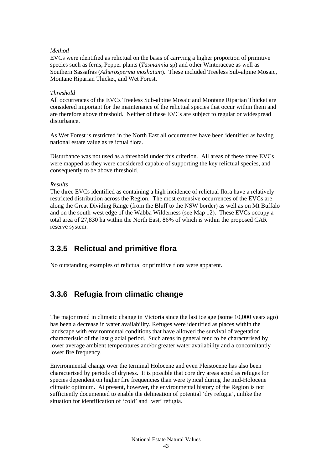### *Method*

EVCs were identified as relictual on the basis of carrying a higher proportion of primitive species such as ferns, Pepper plants (*Tasmannia* sp) and other Winteraceae as well as Southern Sassafras (*Atherosperma moshatum*). These included Treeless Sub-alpine Mosaic, Montane Riparian Thicket, and Wet Forest.

#### *Threshold*

All occurrences of the EVCs Treeless Sub-alpine Mosaic and Montane Riparian Thicket are considered important for the maintenance of the relictual species that occur within them and are therefore above threshold. Neither of these EVCs are subject to regular or widespread disturbance.

As Wet Forest is restricted in the North East all occurrences have been identified as having national estate value as relictual flora.

Disturbance was not used as a threshold under this criterion. All areas of these three EVCs were mapped as they were considered capable of supporting the key relictual species, and consequently to be above threshold.

#### *Results*

The three EVCs identified as containing a high incidence of relictual flora have a relatively restricted distribution across the Region. The most extensive occurrences of the EVCs are along the Great Dividing Range (from the Bluff to the NSW border) as well as on Mt Buffalo and on the south-west edge of the Wabba Wilderness (see Map 12). These EVCs occupy a total area of 27,830 ha within the North East, 86% of which is within the proposed CAR reserve system.

# **3.3.5 Relictual and primitive flora**

No outstanding examples of relictual or primitive flora were apparent.

# **3.3.6 Refugia from climatic change**

The major trend in climatic change in Victoria since the last ice age (some 10,000 years ago) has been a decrease in water availability. Refuges were identified as places within the landscape with environmental conditions that have allowed the survival of vegetation characteristic of the last glacial period. Such areas in general tend to be characterised by lower average ambient temperatures and/or greater water availability and a concomitantly lower fire frequency.

Environmental change over the terminal Holocene and even Pleistocene has also been characterised by periods of dryness. It is possible that core dry areas acted as refuges for species dependent on higher fire frequencies than were typical during the mid-Holocene climatic optimum. At present, however, the environmental history of the Region is not sufficiently documented to enable the delineation of potential 'dry refugia', unlike the situation for identification of 'cold' and 'wet' refugia.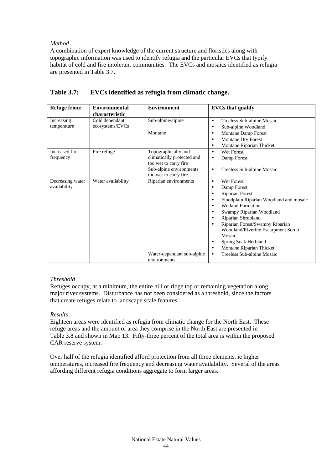# *Method*

A combination of expert knowledge of the current structure and floristics along with topographic information was used to identify refugia and the particular EVCs that typify habitat of cold and fire intolerant communities. The EVCs and mosaics identified as refugia are presented in Table 3.7.

| <b>Refuge from:</b>              | <b>Environmental</b><br>characteristic | <b>Environment</b>                                                         | <b>EVCs that qualify</b>                                                                                                                                                                                                                                                                                                                                                                    |
|----------------------------------|----------------------------------------|----------------------------------------------------------------------------|---------------------------------------------------------------------------------------------------------------------------------------------------------------------------------------------------------------------------------------------------------------------------------------------------------------------------------------------------------------------------------------------|
| Increasing<br>temperature        | Cold dependant<br>ecosystems/EVCs      | Sub-alpine/alpine                                                          | Treeless Sub-alpine Mosaic<br>$\bullet$<br>Sub-alpine Woodland<br>٠                                                                                                                                                                                                                                                                                                                         |
|                                  |                                        | Montane                                                                    | Montane Damp Forest<br>$\bullet$<br>Montane Dry Forest<br>$\bullet$<br>Montane Riparian Thicket<br>٠                                                                                                                                                                                                                                                                                        |
| Increased fire<br>frequency      | Fire refuge                            | Topographically and<br>climatically protected and<br>too wet to carry fire | Wet Forest<br>$\bullet$<br>Damp Forest<br>٠                                                                                                                                                                                                                                                                                                                                                 |
|                                  |                                        | Sub-alpine environments<br>too wet to carry fire.                          | Treeless Sub-alpine Mosaic<br>$\bullet$                                                                                                                                                                                                                                                                                                                                                     |
| Decreasing water<br>availability | Water availability                     | Riparian environments                                                      | Wet Forest<br>$\bullet$<br>Damp Forest<br>٠<br><b>Riparian Forest</b><br>٠<br>Floodplain Riparian Woodland and mosaic<br>٠<br><b>Wetland Formation</b><br>Swampy Riparian Woodland<br>Riparian Shrubland<br>$\bullet$<br>Riparian Forest/Swampy Riparian<br>$\bullet$<br>Woodland/Riverine Escarpment Scrub<br>Mosaic<br>Spring Soak Herbland<br>٠<br>Montane Riparian Thicket<br>$\bullet$ |
|                                  |                                        | Water-dependant sub-alpine<br>environments                                 | Treeless Sub-alpine Mosaic<br>$\bullet$                                                                                                                                                                                                                                                                                                                                                     |

# **Table 3.7: EVCs identified as refugia from climatic change.**

# *Threshold*

Refuges occupy, at a minimum, the entire hill or ridge top or remaining vegetation along major river systems. Disturbance has not been considered as a threshold, since the factors that create refuges relate to landscape scale features.

# *Results*

Eighteen areas were identified as refugia from climatic change for the North East. These refuge areas and the amount of area they comprise in the North East are presented in Table 3.8 and shown in Map 13. Fifty-three percent of the total area is within the proposed CAR reserve system.

Over half of the refugia identified afford protection from all three elements, ie higher temperatures, increased fire frequency and decreasing water availability. Several of the areas affording different refugia conditions aggregate to form larger areas.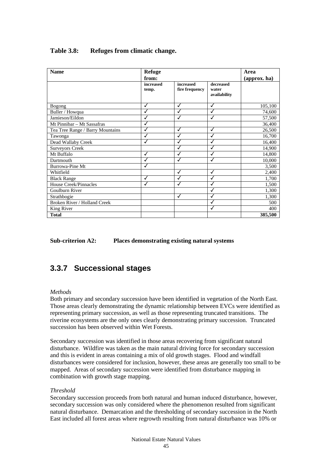| <b>Name</b>                      | <b>Refuge</b>      |                             |                                    | Area         |  |
|----------------------------------|--------------------|-----------------------------|------------------------------------|--------------|--|
|                                  | from:              |                             |                                    | (approx. ha) |  |
|                                  | increased<br>temp. | increased<br>fire frequency | decreased<br>water<br>availability |              |  |
| <b>Bogong</b>                    | ✓                  | ✓                           | ✓                                  | 105,100      |  |
| Buller / Howqua                  | J                  | √                           | $\checkmark$                       | 74,600       |  |
| Jamieson/Eildon                  |                    |                             | ✓                                  | 57,500       |  |
| Mt Pinnibar - Mt Sassafras       | J                  |                             |                                    | 36,400       |  |
| Tea Tree Range / Barry Mountains | J                  | √                           | √                                  | 26,500       |  |
| Tawonga                          |                    | √                           | $\checkmark$                       | 16,700       |  |
| Dead Wallaby Creek               |                    | √                           | √                                  | 16,400       |  |
| <b>Surveyors Creek</b>           |                    | √                           | √                                  | 14,900       |  |
| Mt Buffalo                       | √                  | √                           | $\checkmark$                       | 14,800       |  |
| Dartmouth                        | ✓                  | ✓                           | J                                  | 10,000       |  |
| Burrowa-Pine Mt                  | ℐ                  |                             |                                    | 3,500        |  |
| Whitfield                        |                    | ✓                           | J                                  | 2,400        |  |
| <b>Black Range</b>               | ✓                  | ✓                           | √                                  | 1,700        |  |
| House Creek/Pinnacles            | ✓                  | ✓                           | $\checkmark$                       | 1,500        |  |
| Goulburn River                   |                    |                             | √                                  | 1,300        |  |
| Strathbogie                      |                    | ✓                           | √                                  | 1,300        |  |
| Broken River / Holland Creek     |                    |                             | √                                  | 500          |  |
| King River                       |                    |                             | $\checkmark$                       | 400          |  |
| <b>Total</b>                     |                    |                             |                                    | 385,500      |  |

# **Table 3.8: Refuges from climatic change.**

**Sub-criterion A2: Places demonstrating existing natural systems**

# **3.3.7 Successional stages**

### *Methods*

Both primary and secondary succession have been identified in vegetation of the North East. Those areas clearly demonstrating the dynamic relationship between EVCs were identified as representing primary succession, as well as those representing truncated transitions. The riverine ecosystems are the only ones clearly demonstrating primary succession. Truncated succession has been observed within Wet Forests*.*

Secondary succession was identified in those areas recovering from significant natural disturbance. Wildfire was taken as the main natural driving force for secondary succession and this is evident in areas containing a mix of old growth stages. Flood and windfall disturbances were considered for inclusion, however, these areas are generally too small to be mapped. Areas of secondary succession were identified from disturbance mapping in combination with growth stage mapping.

### *Threshold*

Secondary succession proceeds from both natural and human induced disturbance, however, secondary succession was only considered where the phenomenon resulted from significant natural disturbance. Demarcation and the thresholding of secondary succession in the North East included all forest areas where regrowth resulting from natural disturbance was 10% or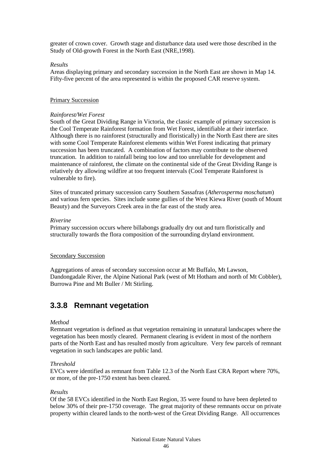greater of crown cover. Growth stage and disturbance data used were those described in the Study of Old-growth Forest in the North East (NRE,1998).

#### *Results*

Areas displaying primary and secondary succession in the North East are shown in Map 14. Fifty-five percent of the area represented is within the proposed CAR reserve system.

#### Primary Succession

#### *Rainforest/Wet Forest*

South of the Great Dividing Range in Victoria, the classic example of primary succession is the Cool Temperate Rainforest formation from Wet Forest, identifiable at their interface. Although there is no rainforest (structurally and floristically) in the North East there are sites with some Cool Temperate Rainforest elements within Wet Forest indicating that primary succession has been truncated. A combination of factors may contribute to the observed truncation. In addition to rainfall being too low and too unreliable for development and maintenance of rainforest, the climate on the continental side of the Great Dividing Range is relatively dry allowing wildfire at too frequent intervals (Cool Temperate Rainforest is vulnerable to fire).

Sites of truncated primary succession carry Southern Sassafras (*Atherosperma moschatum*) and various fern species. Sites include some gullies of the West Kiewa River (south of Mount Beauty) and the Surveyors Creek area in the far east of the study area.

#### *Riverine*

Primary succession occurs where billabongs gradually dry out and turn floristically and structurally towards the flora composition of the surrounding dryland environment.

### Secondary Succession

Aggregations of areas of secondary succession occur at Mt Buffalo, Mt Lawson, Dandongadale River, the Alpine National Park (west of Mt Hotham and north of Mt Cobbler), Burrowa Pine and Mt Buller / Mt Stirling.

# **3.3.8 Remnant vegetation**

### *Method*

Remnant vegetation is defined as that vegetation remaining in unnatural landscapes where the vegetation has been mostly cleared. Permanent clearing is evident in most of the northern parts of the North East and has resulted mostly from agriculture. Very few parcels of remnant vegetation in such landscapes are public land.

#### *Threshold*

EVCs were identified as remnant from Table 12.3 of the North East CRA Report where 70%, or more, of the pre-1750 extent has been cleared.

#### *Results*

Of the 58 EVCs identified in the North East Region, 35 were found to have been depleted to below 30% of their pre-1750 coverage. The great majority of these remnants occur on private property within cleared lands to the north-west of the Great Dividing Range. All occurrences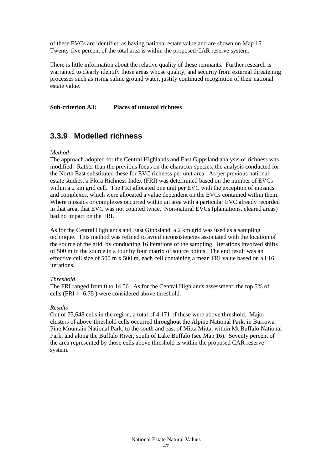of these EVCs are identified as having national estate value and are shown on Map 15. Twenty-five percent of the total area is within the proposed CAR reserve system.

There is little information about the relative quality of these remnants. Further research is warranted to clearly identify those areas whose quality, and security from external threatening processes such as rising saline ground water, justify continued recognition of their national estate value.

### **Sub-criterion A3: Places of unusual richness**

# **3.3.9 Modelled richness**

#### *Method*

The approach adopted for the Central Highlands and East Gippsland analysis of richness was modified. Rather than the previous focus on the character species, the analysis conducted for the North East substituted these for EVC richness per unit area. As per previous national estate studies, a Flora Richness Index (FRI) was determined based on the number of EVCs within a 2 km grid cell. The FRI allocated one unit per EVC with the exception of mosaics and complexes, which were allocated a value dependent on the EVCs contained within them. Where mosaics or complexes occurred within an area with a particular EVC already recorded in that area, that EVC was not counted twice. Non-natural EVCs (plantations, cleared areas) had no impact on the FRI.

As for the Central Highlands and East Gippsland, a 2 km grid was used as a sampling technique. This method was refined to avoid inconsistencies associated with the location of the source of the grid, by conducting 16 iterations of the sampling. Iterations involved shifts of 500 m in the source in a four by four matrix of source points. The end result was an effective cell size of 500 m x 500 m, each cell containing a mean FRI value based on all 16 iterations.

#### *Threshold*

The FRI ranged from 0 to 14.56. As for the Central Highlands assessment, the top 5% of cells (FRI >=6.75 ) were considered above threshold.

#### *Results*

Out of 73,648 cells in the region, a total of 4,171 of these were above threshold. Major clusters of above-threshold cells occurred throughout the Alpine National Park, in Burrowa-Pine Mountain National Park, to the south and east of Mitta Mitta, within Mt Buffalo National Park, and along the Buffalo River, south of Lake Buffalo (see Map 16). Seventy percent of the area represented by those cells above threshold is within the proposed CAR reserve system.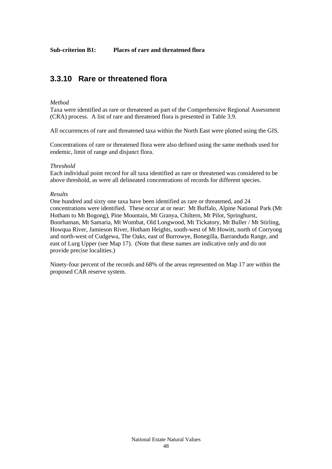**Sub-criterion B1: Places of rare and threatened flora**

# **3.3.10 Rare or threatened flora**

## *Method*

Taxa were identified as rare or threatened as part of the Comprehensive Regional Assessment (CRA) process. A list of rare and threatened flora is presented in Table 3.9.

All occurrences of rare and threatened taxa within the North East were plotted using the GIS.

Concentrations of rare or threatened flora were also defined using the same methods used for endemic, limit of range and disjunct flora.

## *Threshold*

Each individual point record for all taxa identified as rare or threatened was considered to be above threshold, as were all delineated concentrations of records for different species.

### *Results*

One hundred and sixty one taxa have been identified as rare or threatened, and 24 concentrations were identified. These occur at or near: Mt Buffalo, Alpine National Park (Mt Hotham to Mt Bogong), Pine Mountain, Mt Granya, Chiltern, Mt Pilot, Springhurst, Boorhaman, Mt Samaria, Mt Wombat, Old Longwood, Mt Tickatory, Mt Buller / Mt Stirling, Howqua River, Jamieson River, Hotham Heights, south-west of Mt Howitt, north of Corryong and north-west of Cudgewa, The Oaks, east of Burrowye, Bonegilla, Barranduda Range, and east of Lurg Upper (see Map 17). (Note that these names are indicative only and do not provide precise localities.)

Ninety-four percent of the records and 68% of the areas represented on Map 17 are within the proposed CAR reserve system.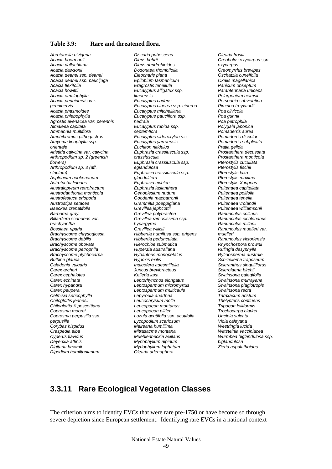#### **Table 3.9: Rare and threatened flora.**

*Abrotanella nivigena Acacia boormanii Acacia dallachiana Acacia dawsonii Acacia deanei ssp. deanei Acacia deanei ssp. paucijuga Acacia flexifolia Acacia howittii Acacia omalophylla Acacia penninervis var. penninervis Acacia phasmoides Acacia phlebophylla Agrostis avenacea var. perennis Almaleea capitata Ammannia multiflora Amphibromus pithogastrus Amyema linophylla ssp. orientale Aristida calycina var. calycina Arthropodium sp. 2 (greenish flowers) Arthropodium sp. 3 (aff. strictum) Asplenium hookerianum Astrotricha linearis Australopyrum retrofractum Austrodanthonia monticola Austrofestuca eriopoda Austrostipa setacea Baeckea crenatifolia Barbarea grayi Billardiera scandens var. brachyantha Bossiaea riparia Brachyscome chrysoglossa Brachyscome debilis Brachyscome obovata Brachyscome petrophila Brachyscome ptychocarpa Bulbine glauca Caladenia vulgaris Carex archeri Carex cephalotes Carex echinata Carex hypandra Carex paupera Celmisia sericophylla Chiloglottis jeanesii Chiloglottis X pescottiana Coprosma moorei Coprosma perpusilla ssp. perpusilla Corybas hispidus Craspedia alba Cyperus flavidus Deyeuxia affinis Digitaria brownii Dipodium hamiltonianum*

*Discaria pubescens Diuris behrii Diuris dendrobioides Dodonaea rhombifolia Eleocharis plana Epilobium tasmanicum Eragrostis tenellula Eucalyptus alligatrix ssp. limaensis Eucalyptus cadens Eucalyptus cinerea ssp. cinerea Eucalyptus mitchelliana Eucalyptus pauciflora ssp. hedraia Eucalyptus rubida ssp. septemflora Eucalyptus sideroxylon s.s. Eucalyptus yarraensis Euchiton nitidulus Euphrasia crassiuscula ssp. crassiuscula Euphrasia crassiuscula ssp. eglandulosa Euphrasia crassiuscula ssp. glandulifera Euphrasia eichleri Euphrasia lasianthera Genoplesium nudum Goodenia macbarronii Grammitis poeppigiana Grevillea jephcottii Grevillea polybractea Grevillea ramosissima ssp. hypargyrea Grevillea willisii Hibbertia humifusa ssp. erigens Hibbertia pedunculata Hierochloe submutica Huperzia australiana Hybanthus monopetalus Hypoxis exilis Indigofera adesmiifolia Juncus brevibracteus Kelleria laxa Leptorhynchos elongatus Leptospermum micromyrtus Leptospermum multicaule Lepyrodia anarthria Leucochrysum molle Leucopogon montanus Leucopogon pilifer Luzula acutifolia ssp. acutifolia Lycopodium scariosum Maireana humillima Mitrasacme montana Muehlenbeckia axillaris Myriophyllum alpinum Myriophyllum lophatum Olearia adenophora*

*Olearia frostii Oreobolus oxycarpus ssp. oxycarpus Oreomyrrhis brevipes Oschatzia cuneifolia Oxalis magellanica Panicum obseptum Parantennaria uniceps Pelargonium helmsii Persoonia subvelutina Pimelea treyvaudii Poa clivicola Poa gunnii Poa petrophila Polygala japonica Pomaderris aurea Pomaderris discolor Pomaderris subplicata Pratia gelida Prostanthera decussata Prostanthera monticola Pterostylis cucullata Pterostylis fischii Pterostylis laxa Pterostylis maxima Pterostylis X ingens Pultenaea capitellata Pultenaea polifolia Pultenaea tenella Pultenaea vrolandii Pultenaea williamsonii Ranunculus collinus Ranunculus eichlerianus Ranunculus millanii Ranunculus muelleri var. muelleri Ranunculus victoriensis Rhynchospora brownii Rulingia dasyphylla Rytidosperma australe Schizeilema fragoseum Scleranthus singuliflorus Sclerolaena birchii Swainsona galegifolia Swainsona murrayana Swainsona plagiotropis Swainsona recta Taraxacum aristum Thelypteris confluens Tripogon loliiformis Trochocarpa clarkei Uncinia sulcata Viola caleyana Westringia lucida Wittsteinia vacciniacea Wurmbea biglandulosa ssp. biglandulosa Zieria aspalathoides*

# **3.3.11 Rare Ecological Vegetation Classes**

The criterion aims to identify EVCs that were rare pre-1750 or have become so through severe depletion since European settlement. Identifying rare EVCs in a national context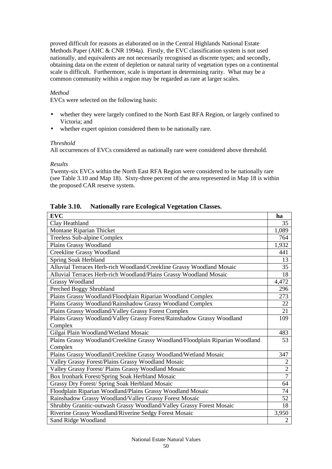proved difficult for reasons as elaborated on in the Central Highlands National Estate Methods Paper (AHC & CNR 1994a). Firstly, the EVC classification system is not used nationally, and equivalents are not necessarily recognised as discrete types; and secondly, obtaining data on the extent of depletion or natural rarity of vegetation types on a continental scale is difficult. Furthermore, scale is important in determining rarity. What may be a common community within a region may be regarded as rare at larger scales.

## *Method*

EVCs were selected on the following basis:

- whether they were largely confined to the North East RFA Region, or largely confined to Victoria; and
- whether expert opinion considered them to be nationally rare.

## *Threshold*

All occurrences of EVCs considered as nationally rare were considered above threshold.

## *Results*

Twenty-six EVCs within the North East RFA Region were considered to be nationally rare (see Table 3.10 and Map 18). Sixty-three percent of the area represented in Map 18 is within the proposed CAR reserve system.

| <b>EVC</b>                                                                    | ha             |
|-------------------------------------------------------------------------------|----------------|
| Clay Heathland                                                                | 35             |
| Montane Riparian Thicket                                                      | 1,089          |
| Treeless Sub-alpine Complex                                                   | 764            |
| Plains Grassy Woodland                                                        | 1,932          |
| Creekline Grassy Woodland                                                     | 441            |
| Spring Soak Herbland                                                          | 13             |
| Alluvial Terraces Herb-rich Woodland/Creekline Grassy Woodland Mosaic         | 35             |
| Alluvial Terraces Herb-rich Woodland/Plains Grassy Woodland Mosaic            | 18             |
| <b>Grassy Woodland</b>                                                        | 4,472          |
| Perched Boggy Shrubland                                                       | 296            |
| Plains Grassy Woodland/Floodplain Riparian Woodland Complex                   | 273            |
| Plains Grassy Woodland/Rainshadow Grassy Woodland Complex                     | 22             |
| Plains Grassy Woodland/Valley Grassy Forest Complex                           | 21             |
| Plains Grassy Woodland/Valley Grassy Forest/Rainshadow Grassy Woodland        | 109            |
| Complex                                                                       |                |
| Gilgai Plain Woodland/Wetland Mosaic                                          | 483            |
| Plains Grassy Woodland/Creekline Grassy Woodland/Floodplain Riparian Woodland | 53             |
| Complex                                                                       |                |
| Plains Grassy Woodland/Creekline Grassy Woodland/Wetland Mosaic               | 347            |
| Valley Grassy Forest/Plains Grassy Woodland Mosaic                            | $\overline{2}$ |
| Valley Grassy Forest/ Plains Grassy Woodland Mosaic                           | $\overline{2}$ |
| Box Ironbark Forest/Spring Soak Herbland Mosaic                               | $\overline{7}$ |
| Grassy Dry Forest/ Spring Soak Herbland Mosaic                                | 64             |
| Floodplain Riparian Woodland/Plains Grassy Woodland Mosaic                    | 74             |
| Rainshadow Grassy Woodland/Valley Grassy Forest Mosaic                        | 52             |
| Shrubby Granitic-outwash Grassy Woodland/Valley Grassy Forest Mosaic          | 18             |
| Riverine Grassy Woodland/Riverine Sedgy Forest Mosaic                         | 3,950          |
| Sand Ridge Woodland                                                           | $\overline{2}$ |

**Table 3.10. Nationally rare Ecological Vegetation Classes.**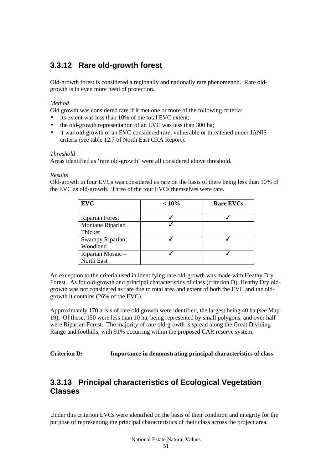# **3.3.12 Rare old-growth forest**

Old-growth forest is considered a regionally and nationally rare phenomenon. Rare oldgrowth is in even more need of protection.

## *Method*

Old growth was considered rare if it met one or more of the following criteria:

- its extent was less than 10% of the total EVC extent;
- the old-growth representation of an EVC was less than 300 ha;
- it was old-growth of an EVC considered rare, vulnerable or threatened under JANIS criteria (see table 12.7 of North East CRA Report).

## *Threshold*

Areas identified as 'rare old-growth' were all considered above threshold.

## *Results*

Old-growth in four EVCs was considered as rare on the basis of there being less than 10% of the EVC as old-growth. Three of the four EVCs themselves were rare.

| <b>EVC</b>             | $< 10\%$ | <b>Rare EVCs</b> |
|------------------------|----------|------------------|
|                        |          |                  |
| <b>Riparian Forest</b> |          |                  |
| Montane Riparian       |          |                  |
| Thicket                |          |                  |
| Swampy Riparian        |          |                  |
| Woodland               |          |                  |
| Riparian Mosaic -      |          |                  |
| North East             |          |                  |

An exception to the criteria used in identifying rare old-growth was made with Heathy Dry Forest. As for old-growth and principal characteristics of class (criterion D), Heathy Dry oldgrowth was not considered as rare due to total area and extent of both the EVC and the oldgrowth it contains (26% of the EVC).

Approximately 170 areas of rare old growth were identified, the largest being 40 ha (see Map 19). Of these, 150 were less than 10 ha, being represented by small polygons, and over half were Riparian Forest. The majority of rare old-growth is spread along the Great Dividing Range and foothills, with 91% occurring within the proposed CAR reserve system.

**Criterion D: Importance in demonstrating principal characteristics of class**

# **3.3.13 Principal characteristics of Ecological Vegetation Classes**

Under this criterion EVCs were identified on the basis of their condition and integrity for the purpose of representing the principal characteristics of their class across the project area.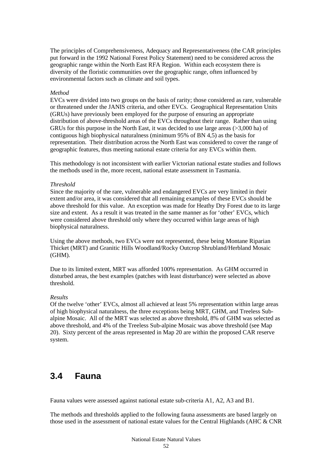The principles of Comprehensiveness, Adequacy and Representativeness (the CAR principles put forward in the 1992 National Forest Policy Statement) need to be considered across the geographic range within the North East RFA Region. Within each ecosystem there is diversity of the floristic communities over the geographic range, often influenced by environmental factors such as climate and soil types.

#### *Method*

EVCs were divided into two groups on the basis of rarity; those considered as rare, vulnerable or threatened under the JANIS criteria, and other EVCs. Geographical Representation Units (GRUs) have previously been employed for the purpose of ensuring an appropriate distribution of above-threshold areas of the EVCs throughout their range. Rather than using GRUs for this purpose in the North East, it was decided to use large areas (>3,000 ha) of contiguous high biophysical naturalness (minimum 95% of BN 4,5) as the basis for representation. Their distribution across the North East was considered to cover the range of geographic features, thus meeting national estate criteria for any EVCs within them.

This methodology is not inconsistent with earlier Victorian national estate studies and follows the methods used in the, more recent, national estate assessment in Tasmania.

#### *Threshold*

Since the majority of the rare, vulnerable and endangered EVCs are very limited in their extent and/or area, it was considered that all remaining examples of these EVCs should be above threshold for this value. An exception was made for Heathy Dry Forest due to its large size and extent. As a result it was treated in the same manner as for 'other' EVCs, which were considered above threshold only where they occurred within large areas of high biophysical naturalness.

Using the above methods, two EVCs were not represented, these being Montane Riparian Thicket (MRT) and Granitic Hills Woodland/Rocky Outcrop Shrubland/Herbland Mosaic (GHM).

Due to its limited extent, MRT was afforded 100% representation. As GHM occurred in disturbed areas, the best examples (patches with least disturbance) were selected as above threshold.

#### *Results*

Of the twelve 'other' EVCs, almost all achieved at least 5% representation within large areas of high biophysical naturalness, the three exceptions being MRT, GHM, and Treeless Subalpine Mosaic. All of the MRT was selected as above threshold, 8% of GHM was selected as above threshold, and 4% of the Treeless Sub-alpine Mosaic was above threshold (see Map 20). Sixty percent of the areas represented in Map 20 are within the proposed CAR reserve system.

# **3.4 Fauna**

Fauna values were assessed against national estate sub-criteria A1, A2, A3 and B1.

The methods and thresholds applied to the following fauna assessments are based largely on those used in the assessment of national estate values for the Central Highlands (AHC & CNR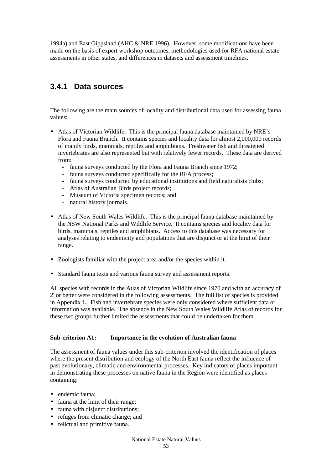1994a) and East Gippsland (AHC & NRE 1996). However, some modifications have been made on the basis of expert workshop outcomes, methodologies used for RFA national estate assessments in other states, and differences in datasets and assessment timelines.

# **3.4.1 Data sources**

The following are the main sources of locality and distributional data used for assessing fauna values:

- Atlas of Victorian Wildlife. This is the principal fauna database maintained by NRE's Flora and Fauna Branch. It contains species and locality data for almost 2,000,000 records of mainly birds, mammals, reptiles and amphibians. Freshwater fish and threatened invertebrates are also represented but with relatively fewer records. These data are derived from:
	- fauna surveys conducted by the Flora and Fauna Branch since 1972;
	- fauna surveys conducted specifically for the RFA process;
	- fauna surveys conducted by educational institutions and field naturalists clubs;
	- Atlas of Australian Birds project records;
	- Museum of Victoria specimen records; and
	- natural history journals.
- Atlas of New South Wales Wildlife. This is the principal fauna database maintained by the NSW National Parks and Wildlife Service. It contains species and locality data for birds, mammals, reptiles and amphibians. Access to this database was necessary for analyses relating to endemicity and populations that are disjunct or at the limit of their range.
- Zoologists familiar with the project area and/or the species within it.
- Standard fauna texts and various fauna survey and assessment reports.

All species with records in the Atlas of Victorian Wildlife since 1970 and with an accuracy of 2' or better were considered in the following assessments. The full list of species is provided in Appendix L. Fish and invertebrate species were only considered where sufficient data or information was available. The absence in the New South Wales Wildlife Atlas of records for these two groups further limited the assessments that could be undertaken for them.

### **Sub-criterion A1: Importance in the evolution of Australian fauna**

The assessment of fauna values under this sub-criterion involved the identification of places where the present distribution and ecology of the North East fauna reflect the influence of past evolutionary, climatic and environmental processes. Key indicators of places important in demonstrating these processes on native fauna in the Region were identified as places containing:

- endemic fauna:
- fauna at the limit of their range;
- fauna with disjunct distributions;
- refuges from climatic change; and
- relictual and primitive fauna.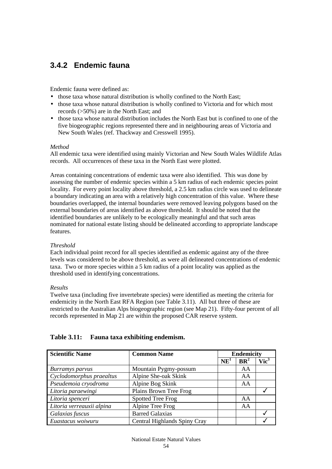# **3.4.2 Endemic fauna**

Endemic fauna were defined as:

- those taxa whose natural distribution is wholly confined to the North East;
- those taxa whose natural distribution is wholly confined to Victoria and for which most records (>50%) are in the North East; and
- those taxa whose natural distribution includes the North East but is confined to one of the five biogeographic regions represented there and in neighbouring areas of Victoria and New South Wales (ref. Thackway and Cresswell 1995).

### *Method*

All endemic taxa were identified using mainly Victorian and New South Wales Wildlife Atlas records. All occurrences of these taxa in the North East were plotted.

Areas containing concentrations of endemic taxa were also identified. This was done by assessing the number of endemic species within a 5 km radius of each endemic species point locality. For every point locality above threshold, a 2.5 km radius circle was used to delineate a boundary indicating an area with a relatively high concentration of this value. Where these boundaries overlapped, the internal boundaries were removed leaving polygons based on the external boundaries of areas identified as above threshold. It should be noted that the identified boundaries are unlikely to be ecologically meaningful and that such areas nominated for national estate listing should be delineated according to appropriate landscape features.

### *Threshold*

Each individual point record for all species identified as endemic against any of the three levels was considered to be above threshold, as were all delineated concentrations of endemic taxa. Two or more species within a 5 km radius of a point locality was applied as the threshold used in identifying concentrations.

### *Results*

Twelve taxa (including five invertebrate species) were identified as meeting the criteria for endemicity in the North East RFA Region (see Table 3.11). All but three of these are restricted to the Australian Alps biogeographic region (see Map 21). Fifty-four percent of all records represented in Map 21 are within the proposed CAR reserve system.

| <b>Scientific Name</b>    | <b>Common Name</b>           | <b>Endemicity</b> |                 |                  |
|---------------------------|------------------------------|-------------------|-----------------|------------------|
|                           |                              | NE <sup>1</sup>   | BR <sup>2</sup> | $\mathbf{Vic}^3$ |
| <b>Burramys</b> parvus    | Mountain Pygmy-possum        |                   | AA              |                  |
| Cyclodomorphus praealtus  | Alpine She-oak Skink         |                   | AA              |                  |
| Pseudemoia cryodroma      | Alpine Bog Skink             |                   | AA              |                  |
| Litoria paraewingi        | Plains Brown Tree Frog       |                   |                 |                  |
| Litoria spenceri          | <b>Spotted Tree Frog</b>     |                   | AA              |                  |
| Litoria verreauxii alpina | Alpine Tree Frog             |                   | AA              |                  |
| Galaxias fuscus           | <b>Barred Galaxias</b>       |                   |                 |                  |
| Euastacus woiwuru         | Central Highlands Spiny Cray |                   |                 |                  |

# **Table 3.11: Fauna taxa exhibiting endemism.**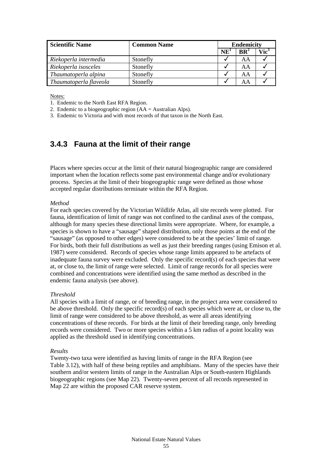| <b>Scientific Name</b> | <b>Common Name</b> | <b>Endemicity</b> |                 |                  |
|------------------------|--------------------|-------------------|-----------------|------------------|
|                        |                    | NE'               | BR <sup>2</sup> | $\mathbf{Vic}^3$ |
| Riekoperla intermedia  | Stonefly           |                   | AА              |                  |
| Riekoperla isosceles   | Stonefly           |                   | ΑA              |                  |
| Thaumatoperla alpina   | Stonefly           |                   | AA              |                  |
| Thaumatoperla flaveola | Stonefly           |                   |                 |                  |

Notes:

1. Endemic to the North East RFA Region.

2. Endemic to a biogeographic region (AA = Australian Alps).

3. Endemic to Victoria and with most records of that taxon in the North East.

# **3.4.3 Fauna at the limit of their range**

Places where species occur at the limit of their natural biogeographic range are considered important when the location reflects some past environmental change and/or evolutionary process. Species at the limit of their biogeographic range were defined as those whose accepted regular distributions terminate within the RFA Region.

#### *Method*

For each species covered by the Victorian Wildlife Atlas, all site records were plotted. For fauna, identification of limit of range was not confined to the cardinal axes of the compass, although for many species these directional limits were appropriate. Where, for example, a species is shown to have a "sausage" shaped distribution, only those points at the end of the "sausage" (as opposed to other edges) were considered to be at the species' limit of range. For birds, both their full distributions as well as just their breeding ranges (using Emison et al. 1987) were considered. Records of species whose range limits appeared to be artefacts of inadequate fauna survey were excluded. Only the specific record(s) of each species that were at, or close to, the limit of range were selected. Limit of range records for all species were combined and concentrations were identified using the same method as described in the endemic fauna analysis (see above).

#### *Threshold*

All species with a limit of range, or of breeding range, in the project area were considered to be above threshold. Only the specific record(s) of each species which were at, or close to, the limit of range were considered to be above threshold, as were all areas identifying concentrations of these records. For birds at the limit of their breeding range, only breeding records were considered. Two or more species within a 5 km radius of a point locality was applied as the threshold used in identifying concentrations.

#### *Results*

Twenty-two taxa were identified as having limits of range in the RFA Region (see Table 3.12), with half of these being reptiles and amphibians. Many of the species have their southern and/or western limits of range in the Australian Alps or South-eastern Highlands biogeographic regions (see Map 22). Twenty-seven percent of all records represented in Map 22 are within the proposed CAR reserve system.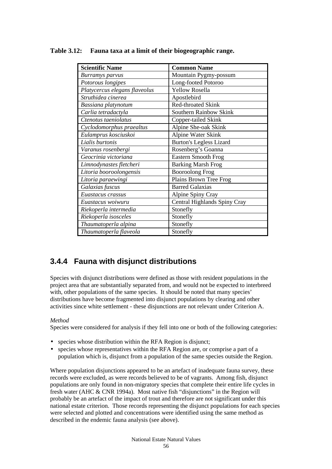| <b>Scientific Name</b>        | <b>Common Name</b>             |  |
|-------------------------------|--------------------------------|--|
| <b>Burramys parvus</b>        | Mountain Pygmy-possum          |  |
| Potorous longipes             | Long-footed Potoroo            |  |
| Platycercus elegans flaveolus | <b>Yellow Rosella</b>          |  |
| Struthidea cinerea            | Apostlebird                    |  |
| Bassiana platynotum           | <b>Red-throated Skink</b>      |  |
| Carlia tetradactyla           | Southern Rainbow Skink         |  |
| Ctenotus taeniolatus          | Copper-tailed Skink            |  |
| Cyclodomorphus praealtus      | Alpine She-oak Skink           |  |
| Eulamprus kosciuskoi          | Alpine Water Skink             |  |
| Lialis burtonis               | <b>Burton's Legless Lizard</b> |  |
| Varanus rosenbergi            | Rosenberg's Goanna             |  |
| Geocrinia victoriana          | <b>Eastern Smooth Frog</b>     |  |
| Limnodynastes fletcheri       | <b>Barking Marsh Frog</b>      |  |
| Litoria booroolongensis       | <b>Booroolong Frog</b>         |  |
| Litoria paraewingi            | Plains Brown Tree Frog         |  |
| Galaxias fuscus               | <b>Barred Galaxias</b>         |  |
| Euastacus crassus             | Alpine Spiny Cray              |  |
| Euastacus woiwuru             | Central Highlands Spiny Cray   |  |
| Riekoperla intermedia         | Stonefly                       |  |
| Riekoperla isosceles          | Stonefly                       |  |
| Thaumatoperla alpina          | Stonefly                       |  |
| Thaumatoperla flaveola        | Stonefly                       |  |

# **Table 3.12: Fauna taxa at a limit of their biogeographic range.**

# **3.4.4 Fauna with disjunct distributions**

Species with disjunct distributions were defined as those with resident populations in the project area that are substantially separated from, and would not be expected to interbreed with, other populations of the same species. It should be noted that many species' distributions have become fragmented into disjunct populations by clearing and other activities since white settlement - these disjunctions are not relevant under Criterion A.

# *Method*

Species were considered for analysis if they fell into one or both of the following categories:

- species whose distribution within the RFA Region is disjunct;
- species whose representatives within the RFA Region are, or comprise a part of a population which is, disjunct from a population of the same species outside the Region.

Where population disjunctions appeared to be an artefact of inadequate fauna survey, these records were excluded, as were records believed to be of vagrants. Among fish, disjunct populations are only found in non-migratory species that complete their entire life cycles in fresh water (AHC & CNR 1994a). Most native fish "disjunctions" in the Region will probably be an artefact of the impact of trout and therefore are not significant under this national estate criterion. Those records representing the disjunct populations for each species were selected and plotted and concentrations were identified using the same method as described in the endemic fauna analysis (see above).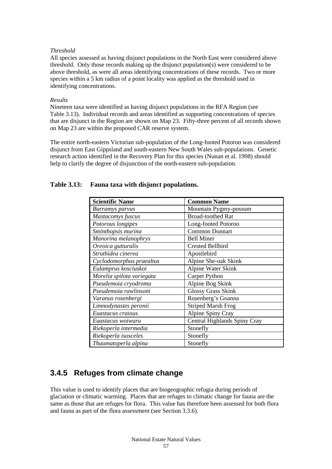## *Threshold*

All species assessed as having disjunct populations in the North East were considered above threshold. Only those records making up the disjunct population(s) were considered to be above threshold, as were all areas identifying concentrations of these records. Two or more species within a 5 km radius of a point locality was applied as the threshold used in identifying concentrations.

### *Results*

Nineteen taxa were identified as having disjunct populations in the RFA Region (see Table 3.13). Individual records and areas identified as supporting concentrations of species that are disjunct in the Region are shown on Map 23. Fifty-three percent of all records shown on Map 23 are within the proposed CAR reserve system.

The entire north-eastern Victorian sub-population of the Long-footed Potoroo was considered disjunct from East Gippsland and south-eastern New South Wales sub-populations. Genetic research action identified in the Recovery Plan for this species (Nunan et al. 1998) should help to clarify the degree of disjunction of the north-eastern sub-population.

| <b>Scientific Name</b>    | <b>Common Name</b>           |  |
|---------------------------|------------------------------|--|
| <b>Burramys</b> parvus    | Mountain Pygmy-possum        |  |
| Mastacomys fuscus         | <b>Broad-toothed Rat</b>     |  |
| Potorous longipes         | Long-footed Potoroo          |  |
| Sminthopsis murina        | <b>Common Dunnart</b>        |  |
| Manorina melanophrys      | <b>Bell Miner</b>            |  |
| Oreoica gutturalis        | <b>Crested Bellbird</b>      |  |
| Struthidea cinerea        | Apostlebird                  |  |
| Cyclodomorphus praealtus  | Alpine She-oak Skink         |  |
| Eulamprus kosciuskoi      | Alpine Water Skink           |  |
| Morelia spilota variegata | Carpet Python                |  |
| Pseudemoia cryodroma      | Alpine Bog Skink             |  |
| Pseudemoia rawlinsoni     | <b>Glossy Grass Skink</b>    |  |
| Varanus rosenbergi        | Rosenberg's Goanna           |  |
| Limnodynastes peronii     | <b>Striped Marsh Frog</b>    |  |
| Euastacus crassus         | Alpine Spiny Cray            |  |
| Euastacus woiwuru         | Central Highlands Spiny Cray |  |
| Riekoperla intermedia     | Stonefly                     |  |
| Riekoperla isosceles      | Stonefly                     |  |
| Thaumatoperla alpina      | Stonefly                     |  |

# **Table 3.13: Fauna taxa with disjunct populations.**

# **3.4.5 Refuges from climate change**

This value is used to identify places that are biogeographic refugia during periods of glaciation or climatic warming. Places that are refuges to climatic change for fauna are the same as those that are refuges for flora. This value has therefore been assessed for both flora and fauna as part of the flora assessment (see Section 3.3.6).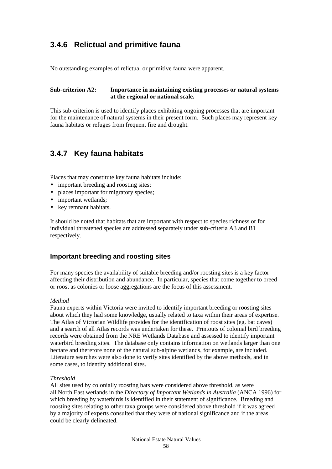# **3.4.6 Relictual and primitive fauna**

No outstanding examples of relictual or primitive fauna were apparent.

### **Sub-criterion A2: Importance in maintaining existing processes or natural systems at the regional or national scale.**

This sub-criterion is used to identify places exhibiting ongoing processes that are important for the maintenance of natural systems in their present form. Such places may represent key fauna habitats or refuges from frequent fire and drought.

# **3.4.7 Key fauna habitats**

Places that may constitute key fauna habitats include:

- important breeding and roosting sites;
- places important for migratory species;
- important wetlands;
- key remnant habitats.

It should be noted that habitats that are important with respect to species richness or for individual threatened species are addressed separately under sub-criteria A3 and B1 respectively.

# **Important breeding and roosting sites**

For many species the availability of suitable breeding and/or roosting sites is a key factor affecting their distribution and abundance. In particular, species that come together to breed or roost as colonies or loose aggregations are the focus of this assessment.

### *Method*

Fauna experts within Victoria were invited to identify important breeding or roosting sites about which they had some knowledge, usually related to taxa within their areas of expertise. The Atlas of Victorian Wildlife provides for the identification of roost sites (eg. bat caves) and a search of all Atlas records was undertaken for these. Printouts of colonial bird breeding records were obtained from the NRE Wetlands Database and assessed to identify important waterbird breeding sites. The database only contains information on wetlands larger than one hectare and therefore none of the natural sub-alpine wetlands, for example, are included. Literature searches were also done to verify sites identified by the above methods, and in some cases, to identify additional sites.

#### *Threshold*

All sites used by colonially roosting bats were considered above threshold, as were all North East wetlands in the *Directory of Important Wetlands in Australia* (ANCA 1996) for which breeding by waterbirds is identified in their statement of significance. Breeding and roosting sites relating to other taxa groups were considered above threshold if it was agreed by a majority of experts consulted that they were of national significance and if the areas could be clearly delineated.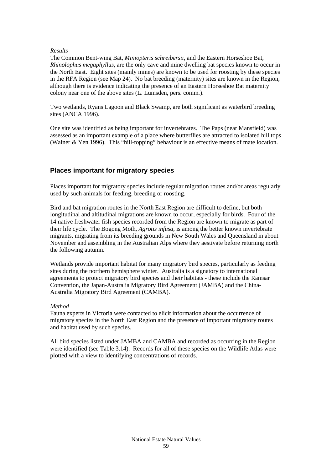#### *Results*

The Common Bent-wing Bat, *Miniopteris schreibersii*, and the Eastern Horseshoe Bat, *Rhinolophus megaphyllus*, are the only cave and mine dwelling bat species known to occur in the North East. Eight sites (mainly mines) are known to be used for roosting by these species in the RFA Region (see Map 24). No bat breeding (maternity) sites are known in the Region, although there is evidence indicating the presence of an Eastern Horseshoe Bat maternity colony near one of the above sites (L. Lumsden, pers. comm*.*).

Two wetlands, Ryans Lagoon and Black Swamp, are both significant as waterbird breeding sites (ANCA 1996).

One site was identified as being important for invertebrates. The Paps (near Mansfield) was assessed as an important example of a place where butterflies are attracted to isolated hill tops (Wainer & Yen 1996). This "hill-topping" behaviour is an effective means of mate location.

## **Places important for migratory species**

Places important for migratory species include regular migration routes and/or areas regularly used by such animals for feeding, breeding or roosting.

Bird and bat migration routes in the North East Region are difficult to define, but both longitudinal and altitudinal migrations are known to occur, especially for birds. Four of the 14 native freshwater fish species recorded from the Region are known to migrate as part of their life cycle. The Bogong Moth, *Agrotis infusa*, is among the better known invertebrate migrants, migrating from its breeding grounds in New South Wales and Queensland in about November and assembling in the Australian Alps where they aestivate before returning north the following autumn.

Wetlands provide important habitat for many migratory bird species, particularly as feeding sites during the northern hemisphere winter. Australia is a signatory to international agreements to protect migratory bird species and their habitats - these include the Ramsar Convention, the Japan-Australia Migratory Bird Agreement (JAMBA) and the China-Australia Migratory Bird Agreement (CAMBA).

#### *Method*

Fauna experts in Victoria were contacted to elicit information about the occurrence of migratory species in the North East Region and the presence of important migratory routes and habitat used by such species.

All bird species listed under JAMBA and CAMBA and recorded as occurring in the Region were identified (see Table 3.14). Records for all of these species on the Wildlife Atlas were plotted with a view to identifying concentrations of records.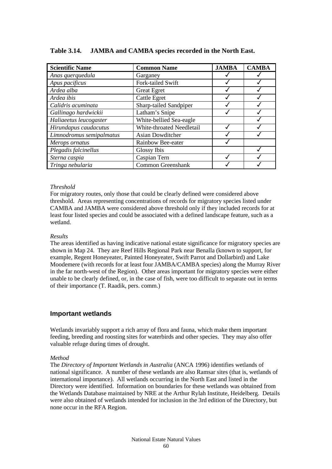| <b>Scientific Name</b>   | <b>Common Name</b>        | <b>JAMBA</b> | <b>CAMBA</b> |
|--------------------------|---------------------------|--------------|--------------|
| Anas querquedula         | Garganey                  |              |              |
| Apus pacificus           | Fork-tailed Swift         |              |              |
| Ardea alba               | <b>Great Egret</b>        |              |              |
| Ardea ibis               | <b>Cattle Egret</b>       |              |              |
| Calidris acuminata       | Sharp-tailed Sandpiper    |              |              |
| Gallinago hardwickii     | Latham's Snipe            |              |              |
| Haliaeetus leucogaster   | White-bellied Sea-eagle   |              |              |
| Hirundapus caudacutus    | White-throated Needletail |              |              |
| Limnodromus semipalmatus | Asian Dowditcher          |              |              |
| Merops ornatus           | Rainbow Bee-eater         |              |              |
| Plegadis falcinellus     | Glossy Ibis               |              |              |
| Sterna caspia            | Caspian Tern              |              |              |
| Tringa nebularia         | <b>Common Greenshank</b>  |              |              |

# **Table 3.14. JAMBA and CAMBA species recorded in the North East.**

## *Threshold*

For migratory routes, only those that could be clearly defined were considered above threshold. Areas representing concentrations of records for migratory species listed under CAMBA and JAMBA were considered above threshold only if they included records for at least four listed species and could be associated with a defined landscape feature, such as a wetland.

### *Results*

The areas identified as having indicative national estate significance for migratory species are shown in Map 24. They are Reef Hills Regional Park near Benalla (known to support, for example, Regent Honeyeater, Painted Honeyeater, Swift Parrot and Dollarbird) and Lake Moodemere (with records for at least four JAMBA/CAMBA species) along the Murray River in the far north-west of the Region). Other areas important for migratory species were either unable to be clearly defined, or, in the case of fish, were too difficult to separate out in terms of their importance (T. Raadik, pers. comm.)

# **Important wetlands**

Wetlands invariably support a rich array of flora and fauna, which make them important feeding, breeding and roosting sites for waterbirds and other species. They may also offer valuable refuge during times of drought.

### *Method*

The *Directory of Important Wetlands in Australia* (ANCA 1996) identifies wetlands of national significance. A number of these wetlands are also Ramsar sites (that is, wetlands of international importance). All wetlands occurring in the North East and listed in the Directory were identified. Information on boundaries for these wetlands was obtained from the Wetlands Database maintained by NRE at the Arthur Rylah Institute, Heidelberg. Details were also obtained of wetlands intended for inclusion in the 3rd edition of the Directory, but none occur in the RFA Region.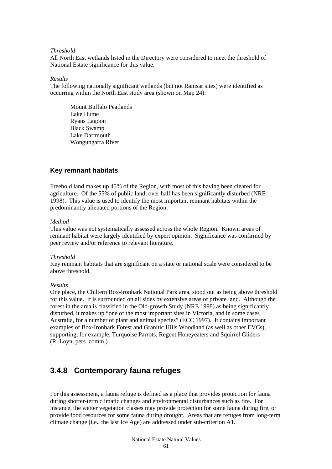#### *Threshold*

All North East wetlands listed in the Directory were considered to meet the threshold of National Estate significance for this value.

#### *Results*

The following nationally significant wetlands (but not Ramsar sites) were identified as occurring within the North East study area (shown on Map 24):

Mount Buffalo Peatlands Lake Hume Ryans Lagoon Black Swamp Lake Dartmouth Wongungarra River

#### **Key remnant habitats**

Freehold land makes up 45% of the Region, with most of this having been cleared for agriculture. Of the 55% of public land, over half has been significantly disturbed (NRE 1998). This value is used to identify the most important remnant habitats within the predominantly alienated portions of the Region.

#### *Method*

This value was not systematically assessed across the whole Region. Known areas of remnant habitat were largely identified by expert opinion. Significance was confirmed by peer review and/or reference to relevant literature.

#### *Threshold*

Key remnant habitats that are significant on a state or national scale were considered to be above threshold.

#### *Results*

One place, the Chiltern Box-Ironbark National Park area, stood out as being above threshold for this value. It is surrounded on all sides by extensive areas of private land. Although the forest in the area is classified in the Old-growth Study (NRE 1998) as being significantly disturbed, it makes up "one of the most important sites in Victoria, and in some cases Australia, for a number of plant and animal species" (ECC 1997). It contains important examples of Box-Ironbark Forest and Granitic Hills Woodland (as well as other EVCs), supporting, for example, Turquoise Parrots, Regent Honeyeaters and Squirrel Gliders (R. Loyn, pers. comm.).

# **3.4.8 Contemporary fauna refuges**

For this assessment, a fauna refuge is defined as a place that provides protection for fauna during shorter-term climatic changes and environmental disturbances such as fire. For instance, the wetter vegetation classes may provide protection for some fauna during fire, or provide food resources for some fauna during drought. Areas that are refuges from long-term climate change (i.e., the last Ice Age) are addressed under sub-criterion A1.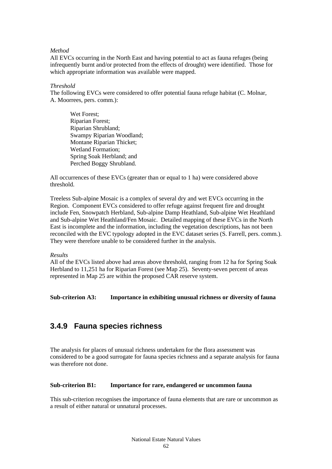#### *Method*

All EVCs occurring in the North East and having potential to act as fauna refuges (being infrequently burnt and/or protected from the effects of drought) were identified. Those for which appropriate information was available were mapped.

#### *Threshold*

The following EVCs were considered to offer potential fauna refuge habitat (C. Molnar, A. Moorrees, pers. comm*.*):

Wet Forest<sup>.</sup> Riparian Forest; Riparian Shrubland; Swampy Riparian Woodland; Montane Riparian Thicket; Wetland Formation; Spring Soak Herbland; and Perched Boggy Shrubland.

All occurrences of these EVCs (greater than or equal to 1 ha) were considered above threshold.

Treeless Sub-alpine Mosaic is a complex of several dry and wet EVCs occurring in the Region. Component EVCs considered to offer refuge against frequent fire and drought include Fen, Snowpatch Herbland, Sub-alpine Damp Heathland, Sub-alpine Wet Heathland and Sub-alpine Wet Heathland/Fen Mosaic. Detailed mapping of these EVCs in the North East is incomplete and the information, including the vegetation descriptions, has not been reconciled with the EVC typology adopted in the EVC dataset series (S. Farrell, pers. comm*.*). They were therefore unable to be considered further in the analysis.

#### *Results*

All of the EVCs listed above had areas above threshold, ranging from 12 ha for Spring Soak Herbland to 11,251 ha for Riparian Forest (see Map 25). Seventy-seven percent of areas represented in Map 25 are within the proposed CAR reserve system.

**Sub-criterion A3: Importance in exhibiting unusual richness or diversity of fauna**

# **3.4.9 Fauna species richness**

The analysis for places of unusual richness undertaken for the flora assessment was considered to be a good surrogate for fauna species richness and a separate analysis for fauna was therefore not done.

#### **Sub-criterion B1: Importance for rare, endangered or uncommon fauna**

This sub-criterion recognises the importance of fauna elements that are rare or uncommon as a result of either natural or unnatural processes.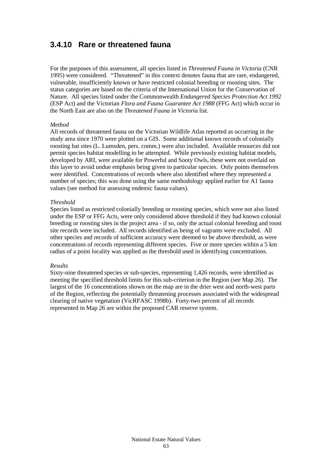# **3.4.10 Rare or threatened fauna**

For the purposes of this assessment, all species listed in *Threatened Fauna in Victoria* (CNR 1995) were considered. "Threatened" in this context denotes fauna that are rare, endangered, vulnerable, insufficiently known or have restricted colonial breeding or roosting sites. The status categories are based on the criteria of the International Union for the Conservation of Nature. All species listed under the Commonwealth *Endangered Species Protection Act 1992* (ESP Act) and the Victorian *Flora and Fauna Guarantee Act 1988* (FFG Act) which occur in the North East are also on the *Threatened Fauna in Victoria* list.

#### *Method*

All records of threatened fauna on the Victorian Wildlife Atlas reported as occurring in the study area since 1970 were plotted on a GIS. Some additional known records of colonially roosting bat sites (L. Lumsden, pers. comm*.*) were also included. Available resources did not permit species habitat modelling to be attempted. While previously existing habitat models, developed by ARI, were available for Powerful and Sooty Owls, these were not overlaid on this layer to avoid undue emphasis being given to particular species. Only points themselves were identified. Concentrations of records where also identified where they represented a number of species; this was done using the same methodology applied earlier for A1 fauna values (see method for assessing endemic fauna values).

#### *Threshold*

Species listed as restricted colonially breeding or roosting species, which were not also listed under the ESP or FFG Acts, were only considered above threshold if they had known colonial breeding or roosting sites in the project area - if so, only the actual colonial breeding and roost site records were included. All records identified as being of vagrants were excluded. All other species and records of sufficient accuracy were deemed to be above threshold, as were concentrations of records representing different species. Five or more species within a 5 km radius of a point locality was applied as the threshold used in identifying concentrations.

#### *Results*

Sixty-nine threatened species or sub-species, representing 1,426 records, were identified as meeting the specified threshold limits for this sub-criterion in the Region (see Map 26). The largest of the 16 concentrations shown on the map are in the drier west and north-west parts of the Region, reflecting the potentially threatening processes associated with the widespread clearing of native vegetation (VicRFASC 1998b). Forty-two percent of all records represented in Map 26 are within the proposed CAR reserve system.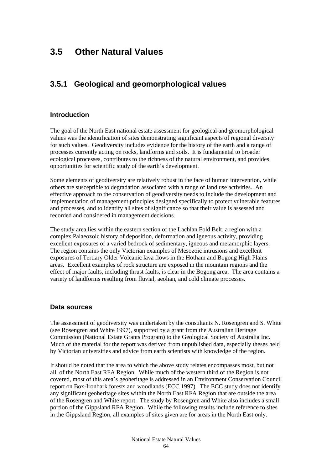# **3.5 Other Natural Values**

# **3.5.1 Geological and geomorphological values**

# **Introduction**

The goal of the North East national estate assessment for geological and geomorphological values was the identification of sites demonstrating significant aspects of regional diversity for such values. Geodiversity includes evidence for the history of the earth and a range of processes currently acting on rocks, landforms and soils. It is fundamental to broader ecological processes, contributes to the richness of the natural environment, and provides opportunities for scientific study of the earth's development.

Some elements of geodiversity are relatively robust in the face of human intervention, while others are susceptible to degradation associated with a range of land use activities. An effective approach to the conservation of geodiversity needs to include the development and implementation of management principles designed specifically to protect vulnerable features and processes, and to identify all sites of significance so that their value is assessed and recorded and considered in management decisions.

The study area lies within the eastern section of the Lachlan Fold Belt, a region with a complex Palaeozoic history of deposition, deformation and igneous activity, providing excellent exposures of a varied bedrock of sedimentary, igneous and metamorphic layers. The region contains the only Victorian examples of Mesozoic intrusions and excellent exposures of Tertiary Older Volcanic lava flows in the Hotham and Bogong High Plains areas. Excellent examples of rock structure are exposed in the mountain regions and the effect of major faults, including thrust faults, is clear in the Bogong area. The area contains a variety of landforms resulting from fluvial, aeolian, and cold climate processes.

# **Data sources**

The assessment of geodiversity was undertaken by the consultants N. Rosengren and S. White (see Rosengren and White 1997), supported by a grant from the Australian Heritage Commission (National Estate Grants Program) to the Geological Society of Australia Inc. Much of the material for the report was derived from unpublished data, especially theses held by Victorian universities and advice from earth scientists with knowledge of the region.

It should be noted that the area to which the above study relates encompasses most, but not all, of the North East RFA Region. While much of the western third of the Region is not covered, most of this area's geoheritage is addressed in an Environment Conservation Council report on Box-Ironbark forests and woodlands (ECC 1997). The ECC study does not identify any significant geoheritage sites within the North East RFA Region that are outside the area of the Rosengren and White report. The study by Rosengren and White also includes a small portion of the Gippsland RFA Region. While the following results include reference to sites in the Gippsland Region, all examples of sites given are for areas in the North East only.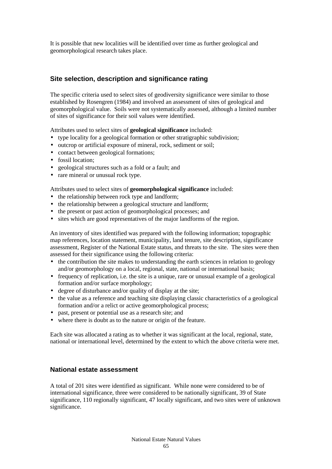It is possible that new localities will be identified over time as further geological and geomorphological research takes place.

# **Site selection, description and significance rating**

The specific criteria used to select sites of geodiversity significance were similar to those established by Rosengren (1984) and involved an assessment of sites of geological and geomorphological value. Soils were not systematically assessed, although a limited number of sites of significance for their soil values were identified.

Attributes used to select sites of **geological significance** included:

- type locality for a geological formation or other stratigraphic subdivision;
- outcrop or artificial exposure of mineral, rock, sediment or soil;
- contact between geological formations;
- fossil location;
- geological structures such as a fold or a fault; and
- rare mineral or unusual rock type.

Attributes used to select sites of **geomorphological significance** included:

- the relationship between rock type and landform;
- the relationship between a geological structure and landform;
- the present or past action of geomorphological processes; and
- sites which are good representatives of the major landforms of the region.

An inventory of sites identified was prepared with the following information; topographic map references, location statement, municipality, land tenure, site description, significance assessment, Register of the National Estate status, and threats to the site. The sites were then assessed for their significance using the following criteria:

- the contribution the site makes to understanding the earth sciences in relation to geology and/or geomorphology on a local, regional, state, national or international basis;
- frequency of replication, i.e. the site is a unique, rare or unusual example of a geological formation and/or surface morphology;
- degree of disturbance and/or quality of display at the site;
- the value as a reference and teaching site displaying classic characteristics of a geological formation and/or a relict or active geomorphological process;
- past, present or potential use as a research site; and
- where there is doubt as to the nature or origin of the feature.

Each site was allocated a rating as to whether it was significant at the local, regional, state, national or international level, determined by the extent to which the above criteria were met.

# **National estate assessment**

A total of 201 sites were identified as significant. While none were considered to be of international significance, three were considered to be nationally significant, 39 of State significance, 110 regionally significant, 47 locally significant, and two sites were of unknown significance.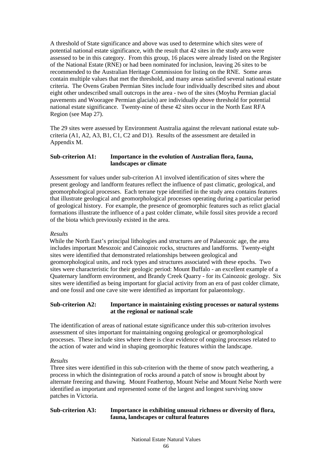A threshold of State significance and above was used to determine which sites were of potential national estate significance, with the result that 42 sites in the study area were assessed to be in this category. From this group, 16 places were already listed on the Register of the National Estate (RNE) or had been nominated for inclusion, leaving 26 sites to be recommended to the Australian Heritage Commission for listing on the RNE. Some areas contain multiple values that met the threshold, and many areas satisfied several national estate criteria. The Ovens Graben Permian Sites include four individually described sites and about eight other undescribed small outcrops in the area - two of the sites (Moyhu Permian glacial pavements and Wooragee Permian glacials) are individually above threshold for potential national estate significance. Twenty-nine of these 42 sites occur in the North East RFA Region (see Map 27).

The 29 sites were assessed by Environment Australia against the relevant national estate subcriteria (A1, A2, A3, B1, C1, C2 and D1). Results of the assessment are detailed in Appendix M.

### **Sub-criterion A1: Importance in the evolution of Australian flora, fauna, landscapes or climate**

Assessment for values under sub-criterion A1 involved identification of sites where the present geology and landform features reflect the influence of past climatic, geological, and geomorphological processes. Each terrane type identified in the study area contains features that illustrate geological and geomorphological processes operating during a particular period of geological history. For example, the presence of geomorphic features such as relict glacial formations illustrate the influence of a past colder climate, while fossil sites provide a record of the biota which previously existed in the area.

### *Results*

While the North East's principal lithologies and structures are of Palaeozoic age, the area includes important Mesozoic and Cainozoic rocks, structures and landforms. Twenty-eight sites were identified that demonstrated relationships between geological and geomorphological units, and rock types and structures associated with these epochs. Two sites were characteristic for their geologic period: Mount Buffalo - an excellent example of a Quaternary landform environment, and Brandy Creek Quarry - for its Cainozoic geology. Six sites were identified as being important for glacial activity from an era of past colder climate, and one fossil and one cave site were identified as important for palaeontology.

### **Sub-criterion A2: Importance in maintaining existing processes or natural systems at the regional or national scale**

The identification of areas of national estate significance under this sub-criterion involves assessment of sites important for maintaining ongoing geological or geomorphological processes. These include sites where there is clear evidence of ongoing processes related to the action of water and wind in shaping geomorphic features within the landscape.

### *Results*

Three sites were identified in this sub-criterion with the theme of snow patch weathering, a process in which the disintegration of rocks around a patch of snow is brought about by alternate freezing and thawing. Mount Feathertop, Mount Nelse and Mount Nelse North were identified as important and represented some of the largest and longest surviving snow patches in Victoria.

### **Sub-criterion A3: Importance in exhibiting unusual richness or diversity of flora, fauna, landscapes or cultural features**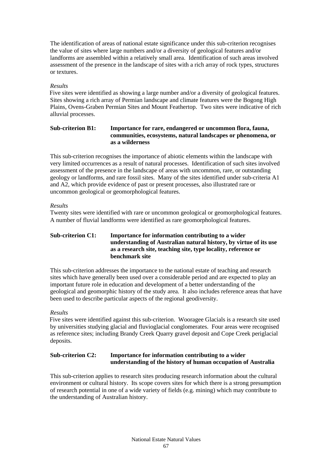The identification of areas of national estate significance under this sub-criterion recognises the value of sites where large numbers and/or a diversity of geological features and/or landforms are assembled within a relatively small area. Identification of such areas involved assessment of the presence in the landscape of sites with a rich array of rock types, structures or textures.

### *Results*

Five sites were identified as showing a large number and/or a diversity of geological features. Sites showing a rich array of Permian landscape and climate features were the Bogong High Plains, Ovens-Graben Permian Sites and Mount Feathertop. Two sites were indicative of rich alluvial processes.

### **Sub-criterion B1: Importance for rare, endangered or uncommon flora, fauna, communities, ecosystems, natural landscapes or phenomena, or as a wilderness**

This sub-criterion recognises the importance of abiotic elements within the landscape with very limited occurrences as a result of natural processes. Identification of such sites involved assessment of the presence in the landscape of areas with uncommon, rare, or outstanding geology or landforms, and rare fossil sites. Many of the sites identified under sub-criteria A1 and A2, which provide evidence of past or present processes, also illustrated rare or uncommon geological or geomorphological features.

### *Results*

Twenty sites were identified with rare or uncommon geological or geomorphological features. A number of fluvial landforms were identified as rare geomorphological features.

### **Sub-criterion C1: Importance for information contributing to a wider understanding of Australian natural history, by virtue of its use as a research site, teaching site, type locality, reference or benchmark site**

This sub-criterion addresses the importance to the national estate of teaching and research sites which have generally been used over a considerable period and are expected to play an important future role in education and development of a better understanding of the geological and geomorphic history of the study area. It also includes reference areas that have been used to describe particular aspects of the regional geodiversity.

### *Results*

Five sites were identified against this sub-criterion. Wooragee Glacials is a research site used by universities studying glacial and fluvioglacial conglomerates. Four areas were recognised as reference sites; including Brandy Creek Quarry gravel deposit and Cope Creek periglacial deposits.

### **Sub-criterion C2: Importance for information contributing to a wider understanding of the history of human occupation of Australia**

This sub-criterion applies to research sites producing research information about the cultural environment or cultural history. Its scope covers sites for which there is a strong presumption of research potential in one of a wide variety of fields (e.g. mining) which may contribute to the understanding of Australian history.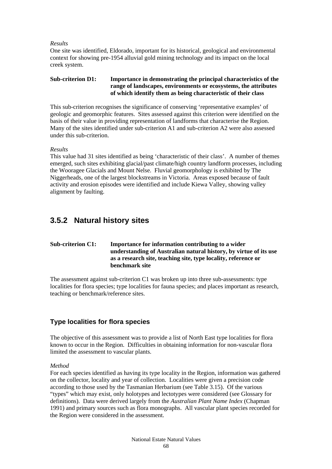### *Results*

One site was identified, Eldorado, important for its historical, geological and environmental context for showing pre-1954 alluvial gold mining technology and its impact on the local creek system.

### **Sub-criterion D1: Importance in demonstrating the principal characteristics of the range of landscapes, environments or ecosystems, the attributes of which identify them as being characteristic of their class**

This sub-criterion recognises the significance of conserving 'representative examples' of geologic and geomorphic features. Sites assessed against this criterion were identified on the basis of their value in providing representation of landforms that characterise the Region. Many of the sites identified under sub-criterion A1 and sub-criterion A2 were also assessed under this sub-criterion.

### *Results*

This value had 31 sites identified as being 'characteristic of their class'. A number of themes emerged, such sites exhibiting glacial/past climate/high country landform processes, including the Wooragee Glacials and Mount Nelse. Fluvial geomorphology is exhibited by The Niggerheads, one of the largest blockstreams in Victoria. Areas exposed because of fault activity and erosion episodes were identified and include Kiewa Valley, showing valley alignment by faulting.

### **3.5.2 Natural history sites**

### **Sub-criterion C1: Importance for information contributing to a wider understanding of Australian natural history, by virtue of its use as a research site, teaching site, type locality, reference or benchmark site**

The assessment against sub-criterion C1 was broken up into three sub-assessments: type localities for flora species; type localities for fauna species; and places important as research, teaching or benchmark/reference sites.

### **Type localities for flora species**

The objective of this assessment was to provide a list of North East type localities for flora known to occur in the Region. Difficulties in obtaining information for non-vascular flora limited the assessment to vascular plants.

### *Method*

For each species identified as having its type locality in the Region, information was gathered on the collector, locality and year of collection. Localities were given a precision code according to those used by the Tasmanian Herbarium (see Table 3.15). Of the various "types" which may exist, only holotypes and lectotypes were considered (see Glossary for definitions). Data were derived largely from the *Australian Plant Name Index* (Chapman 1991) and primary sources such as flora monographs. All vascular plant species recorded for the Region were considered in the assessment.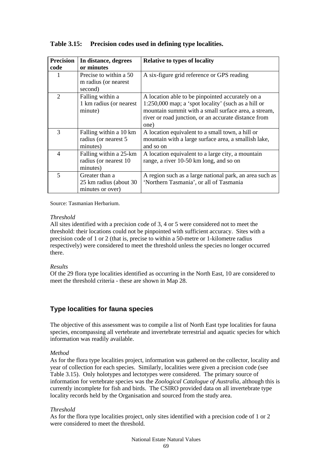| <b>Precision</b>            | In distance, degrees                                         | <b>Relative to types of locality</b>                                                                                                                                                                                            |
|-----------------------------|--------------------------------------------------------------|---------------------------------------------------------------------------------------------------------------------------------------------------------------------------------------------------------------------------------|
| code                        | or minutes                                                   |                                                                                                                                                                                                                                 |
|                             | Precise to within a 50<br>m radius (or nearest)<br>second)   | A six-figure grid reference or GPS reading                                                                                                                                                                                      |
| $\mathcal{D}_{\mathcal{L}}$ | Falling within a<br>1 km radius (or nearest<br>minute)       | A location able to be pinpointed accurately on a<br>1:250,000 map; a 'spot locality' (such as a hill or<br>mountain summit with a small surface area, a stream,<br>river or road junction, or an accurate distance from<br>one) |
| 3                           | Falling within a 10 km<br>radius (or nearest 5<br>minutes)   | A location equivalent to a small town, a hill or<br>mountain with a large surface area, a smallish lake,<br>and so on                                                                                                           |
| $\overline{\mathcal{A}}$    | Falling within a 25-km<br>radius (or nearest 10<br>minutes)  | A location equivalent to a large city, a mountain<br>range, a river 10-50 km long, and so on                                                                                                                                    |
| $\overline{5}$              | Greater than a<br>25 km radius (about 30<br>minutes or over) | A region such as a large national park, an area such as<br>'Northern Tasmania', or all of Tasmania                                                                                                                              |

### **Table 3.15: Precision codes used in defining type localities.**

Source: Tasmanian Herbarium.

### *Threshold*

All sites identified with a precision code of 3, 4 or 5 were considered not to meet the threshold: their locations could not be pinpointed with sufficient accuracy. Sites with a precision code of 1 or 2 (that is, precise to within a 50-metre or 1-kilometre radius respectively) were considered to meet the threshold unless the species no longer occurred there.

### *Results*

Of the 29 flora type localities identified as occurring in the North East, 10 are considered to meet the threshold criteria - these are shown in Map 28.

### **Type localities for fauna species**

The objective of this assessment was to compile a list of North East type localities for fauna species, encompassing all vertebrate and invertebrate terrestrial and aquatic species for which information was readily available.

### *Method*

As for the flora type localities project, information was gathered on the collector, locality and year of collection for each species. Similarly, localities were given a precision code (see Table 3.15). Only holotypes and lectotypes were considered. The primary source of information for vertebrate species was the *Zoological Catalogue of Australia*, although this is currently incomplete for fish and birds. The CSIRO provided data on all invertebrate type locality records held by the Organisation and sourced from the study area.

### *Threshold*

As for the flora type localities project, only sites identified with a precision code of 1 or 2 were considered to meet the threshold.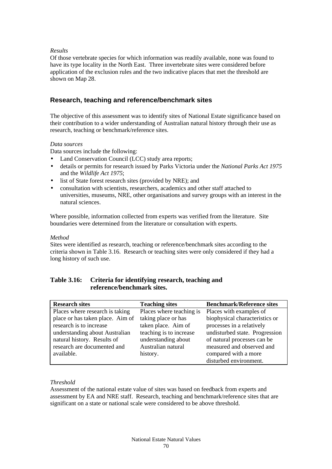### *Results*

Of those vertebrate species for which information was readily available, none was found to have its type locality in the North East. Three invertebrate sites were considered before application of the exclusion rules and the two indicative places that met the threshold are shown on Map 28.

### **Research, teaching and reference/benchmark sites**

The objective of this assessment was to identify sites of National Estate significance based on their contribution to a wider understanding of Australian natural history through their use as research, teaching or benchmark/reference sites.

### *Data sources*

Data sources include the following:

- Land Conservation Council (LCC) study area reports;
- details or permits for research issued by Parks Victoria under the *National Parks Act 1975* and the *Wildlife Act 1975*;
- list of State forest research sites (provided by NRE); and
- consultation with scientists, researchers, academics and other staff attached to universities, museums, NRE, other organisations and survey groups with an interest in the natural sciences.

Where possible, information collected from experts was verified from the literature. Site boundaries were determined from the literature or consultation with experts.

### *Method*

Sites were identified as research, teaching or reference/benchmark sites according to the criteria shown in Table 3.16. Research or teaching sites were only considered if they had a long history of such use.

| <b>Research sites</b>            | <b>Teaching sites</b>    | <b>Benchmark/Reference sites</b> |
|----------------------------------|--------------------------|----------------------------------|
| Places where research is taking  | Places where teaching is | Places with examples of          |
| place or has taken place. Aim of | taking place or has      | biophysical characteristics or   |
| research is to increase          | taken place. Aim of      | processes in a relatively        |
| understanding about Australian   | teaching is to increase  | undisturbed state. Progression   |
| natural history. Results of      | understanding about      | of natural processes can be      |
| research are documented and      | Australian natural       | measured and observed and        |
| available.                       | history.                 | compared with a more             |
|                                  |                          | disturbed environment.           |

### **Table 3.16: Criteria for identifying research, teaching and reference/benchmark sites.**

### *Threshold*

Assessment of the national estate value of sites was based on feedback from experts and assessment by EA and NRE staff. Research, teaching and benchmark/reference sites that are significant on a state or national scale were considered to be above threshold.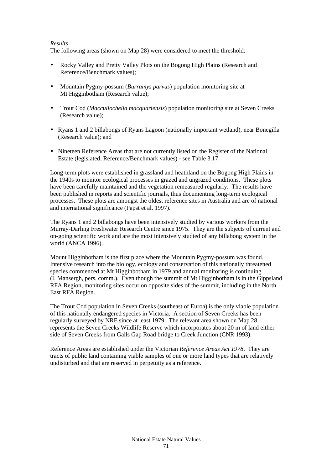### *Results*

The following areas (shown on Map 28) were considered to meet the threshold:

- Rocky Valley and Pretty Valley Plots on the Bogong High Plains (Research and Reference/Benchmark values);
- Mountain Pygmy-possum (*Burramys parvus*) population monitoring site at Mt Higginbotham (Research value);
- Trout Cod (*Maccullochella macquariensis*) population monitoring site at Seven Creeks (Research value);
- Ryans 1 and 2 billabongs of Ryans Lagoon (nationally important wetland), near Bonegilla (Research value); and
- Nineteen Reference Areas that are not currently listed on the Register of the National Estate (legislated, Reference/Benchmark values) - see Table 3.17.

Long-term plots were established in grassland and heathland on the Bogong High Plains in the 1940s to monitor ecological processes in grazed and ungrazed conditions. These plots have been carefully maintained and the vegetation remeasured regularly. The results have been published in reports and scientific journals, thus documenting long-term ecological processes. These plots are amongst the oldest reference sites in Australia and are of national and international significance (Papst et al. 1997).

The Ryans 1 and 2 billabongs have been intensively studied by various workers from the Murray-Darling Freshwater Research Centre since 1975. They are the subjects of current and on-going scientific work and are the most intensively studied of any billabong system in the world (ANCA 1996).

Mount Higginbotham is the first place where the Mountain Pygmy-possum was found. Intensive research into the biology, ecology and conservation of this nationally threatened species commenced at Mt Higginbotham in 1979 and annual monitoring is continuing (I. Mansergh, pers. comm.). Even though the summit of Mt Higginbotham is in the Gippsland RFA Region, monitoring sites occur on opposite sides of the summit, including in the North East RFA Region.

The Trout Cod population in Seven Creeks (southeast of Euroa) is the only viable population of this nationally endangered species in Victoria. A section of Seven Creeks has been regularly surveyed by NRE since at least 1979. The relevant area shown on Map 28 represents the Seven Creeks Wildlife Reserve which incorporates about 20 m of land either side of Seven Creeks from Galls Gap Road bridge to Creek Junction (CNR 1993).

Reference Areas are established under the Victorian *Reference Areas Act 1978*. They are tracts of public land containing viable samples of one or more land types that are relatively undisturbed and that are reserved in perpetuity as a reference.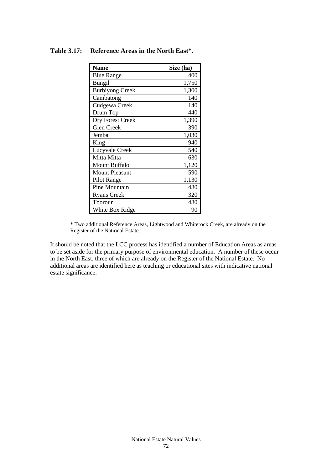| <b>Name</b>            | Size (ha) |
|------------------------|-----------|
| <b>Blue Range</b>      | 400       |
| Bungil                 | 1,750     |
| <b>Burbiyong Creek</b> | 1,300     |
| Cambatong              | 140       |
| Cudgewa Creek          | 140       |
| Drum Top               | 440       |
| Dry Forest Creek       | 1,390     |
| <b>Glen Creek</b>      | 390       |
| Jemba                  | 1,030     |
| King                   | 940       |
| Lucyvale Creek         | 540       |
| Mitta Mitta            | 630       |
| <b>Mount Buffalo</b>   | 1,120     |
| <b>Mount Pleasant</b>  | 590       |
| Pilot Range            | 1,130     |
| Pine Mountain          | 480       |
| <b>Ryans Creek</b>     | 320       |
| Toorour                | 480       |
| White Box Ridge        | 90        |

### **Table 3.17: Reference Areas in the North East\*.**

\* Two additional Reference Areas, Lightwood and Whiterock Creek, are already on the Register of the National Estate.

It should be noted that the LCC process has identified a number of Education Areas as areas to be set aside for the primary purpose of environmental education. A number of these occur in the North East, three of which are already on the Register of the National Estate. No additional areas are identified here as teaching or educational sites with indicative national estate significance.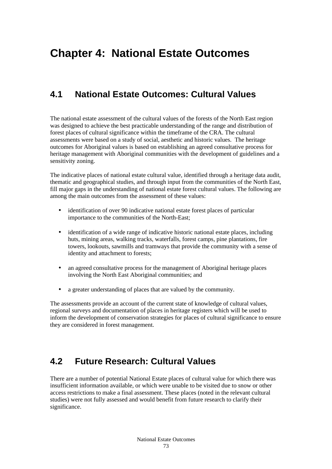# **Chapter 4: National Estate Outcomes**

# **4.1 National Estate Outcomes: Cultural Values**

The national estate assessment of the cultural values of the forests of the North East region was designed to achieve the best practicable understanding of the range and distribution of forest places of cultural significance within the timeframe of the CRA. The cultural assessments were based on a study of social, aesthetic and historic values. The heritage outcomes for Aboriginal values is based on establishing an agreed consultative process for heritage management with Aboriginal communities with the development of guidelines and a sensitivity zoning.

The indicative places of national estate cultural value, identified through a heritage data audit, thematic and geographical studies, and through input from the communities of the North East, fill major gaps in the understanding of national estate forest cultural values. The following are among the main outcomes from the assessment of these values:

- identification of over 90 indicative national estate forest places of particular importance to the communities of the North-East;
- identification of a wide range of indicative historic national estate places, including huts, mining areas, walking tracks, waterfalls, forest camps, pine plantations, fire towers, lookouts, sawmills and tramways that provide the community with a sense of identity and attachment to forests;
- an agreed consultative process for the management of Aboriginal heritage places involving the North East Aboriginal communities; and
- a greater understanding of places that are valued by the community.

The assessments provide an account of the current state of knowledge of cultural values, regional surveys and documentation of places in heritage registers which will be used to inform the development of conservation strategies for places of cultural significance to ensure they are considered in forest management.

## **4.2 Future Research: Cultural Values**

There are a number of potential National Estate places of cultural value for which there was insufficient information available, or which were unable to be visited due to snow or other access restrictions to make a final assessment. These places (noted in the relevant cultural studies) were not fully assessed and would benefit from future research to clarify their significance.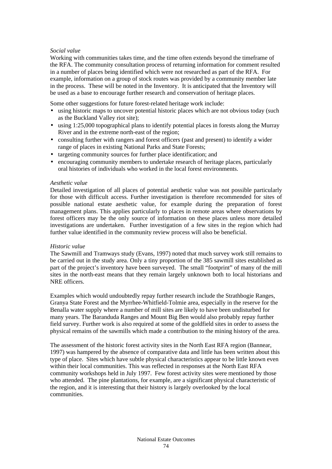### *Social value*

Working with communities takes time, and the time often extends beyond the timeframe of the RFA. The community consultation process of returning information for comment resulted in a number of places being identified which were not researched as part of the RFA. For example, information on a group of stock routes was provided by a community member late in the process. These will be noted in the Inventory. It is anticipated that the Inventory will be used as a base to encourage further research and conservation of heritage places.

Some other suggestions for future forest-related heritage work include:

- using historic maps to uncover potential historic places which are not obvious today (such as the Buckland Valley riot site);
- using 1:25,000 topographical plans to identify potential places in forests along the Murray River and in the extreme north-east of the region;
- consulting further with rangers and forest officers (past and present) to identify a wider range of places in existing National Parks and State Forests;
- targeting community sources for further place identification; and
- encouraging community members to undertake research of heritage places, particularly oral histories of individuals who worked in the local forest environments.

### *Aesthetic value*

Detailed investigation of all places of potential aesthetic value was not possible particularly for those with difficult access. Further investigation is therefore recommended for sites of possible national estate aesthetic value, for example during the preparation of forest management plans. This applies particularly to places in remote areas where observations by forest officers may be the only source of information on these places unless more detailed investigations are undertaken. Further investigation of a few sites in the region which had further value identified in the community review process will also be beneficial.

### *Historic value*

The Sawmill and Tramways study (Evans, 1997) noted that much survey work still remains to be carried out in the study area. Only a tiny proportion of the 385 sawmill sites established as part of the project's inventory have been surveyed. The small "footprint" of many of the mill sites in the north-east means that they remain largely unknown both to local historians and NRE officers.

Examples which would undoubtedly repay further research include the Strathbogie Ranges, Granya State Forest and the Myrrhee-Whitfield-Tolmie area, especially in the reserve for the Benalla water supply where a number of mill sites are likely to have been undisturbed for many years. The Baranduda Ranges and Mount Big Ben would also probably repay further field survey. Further work is also required at some of the goldfield sites in order to assess the physical remains of the sawmills which made a contribution to the mining history of the area.

The assessment of the historic forest activity sites in the North East RFA region (Bannear, 1997) was hampered by the absence of comparative data and little has been written about this type of place. Sites which have subtle physical characteristics appear to be little known even within their local communities. This was reflected in responses at the North East RFA community workshops held in July 1997. Few forest activity sites were mentioned by those who attended. The pine plantations, for example, are a significant physical characteristic of the region, and it is interesting that their history is largely overlooked by the local communities.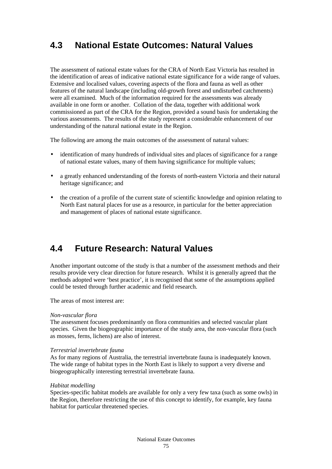# **4.3 National Estate Outcomes: Natural Values**

The assessment of national estate values for the CRA of North East Victoria has resulted in the identification of areas of indicative national estate significance for a wide range of values. Extensive and localised values, covering aspects of the flora and fauna as well as other features of the natural landscape (including old-growth forest and undisturbed catchments) were all examined. Much of the information required for the assessments was already available in one form or another. Collation of the data, together with additional work commissioned as part of the CRA for the Region, provided a sound basis for undertaking the various assessments. The results of the study represent a considerable enhancement of our understanding of the natural national estate in the Region.

The following are among the main outcomes of the assessment of natural values:

- identification of many hundreds of individual sites and places of significance for a range of national estate values, many of them having significance for multiple values;
- a greatly enhanced understanding of the forests of north-eastern Victoria and their natural heritage significance; and
- the creation of a profile of the current state of scientific knowledge and opinion relating to North East natural places for use as a resource, in particular for the better appreciation and management of places of national estate significance.

## **4.4 Future Research: Natural Values**

Another important outcome of the study is that a number of the assessment methods and their results provide very clear direction for future research. Whilst it is generally agreed that the methods adopted were 'best practice', it is recognised that some of the assumptions applied could be tested through further academic and field research.

The areas of most interest are:

### *Non-vascular flora*

The assessment focuses predominantly on flora communities and selected vascular plant species. Given the biogeographic importance of the study area, the non-vascular flora (such as mosses, ferns, lichens) are also of interest.

### *Terrestrial invertebrate fauna*

As for many regions of Australia, the terrestrial invertebrate fauna is inadequately known. The wide range of habitat types in the North East is likely to support a very diverse and biogeographically interesting terrestrial invertebrate fauna.

### *Habitat modelling*

Species-specific habitat models are available for only a very few taxa (such as some owls) in the Region, therefore restricting the use of this concept to identify, for example, key fauna habitat for particular threatened species.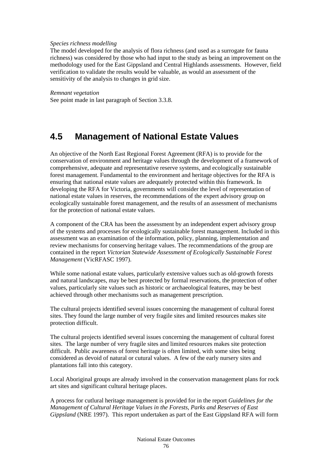### *Species richness modelling*

The model developed for the analysis of flora richness (and used as a surrogate for fauna richness) was considered by those who had input to the study as being an improvement on the methodology used for the East Gippsland and Central Highlands assessments. However, field verification to validate the results would be valuable, as would an assessment of the sensitivity of the analysis to changes in grid size.

### *Remnant vegetation*

See point made in last paragraph of Section 3.3.8.

# **4.5 Management of National Estate Values**

An objective of the North East Regional Forest Agreement (RFA) is to provide for the conservation of environment and heritage values through the development of a framework of comprehensive, adequate and representative reserve systems, and ecologically sustainable forest management. Fundamental to the environment and heritage objectives for the RFA is ensuring that national estate values are adequately protected within this framework. In developing the RFA for Victoria, governments will consider the level of representation of national estate values in reserves, the recommendations of the expert advisory group on ecologically sustainable forest management, and the results of an assessment of mechanisms for the protection of national estate values.

A component of the CRA has been the assessment by an independent expert advisory group of the systems and processes for ecologically sustainable forest management. Included in this assessment was an examination of the information, policy, planning, implementation and review mechanisms for conserving heritage values. The recommendations of the group are contained in the report *Victorian Statewide Assessment of Ecologically Sustainable Forest Management* (VicRFASC 1997).

While some national estate values, particularly extensive values such as old-growth forests and natural landscapes, may be best protected by formal reservations, the protection of other values, particularly site values such as historic or archaeological features, may be best achieved through other mechanisms such as management prescription.

The cultural projects identified several issues concerning the management of cultural forest sites. They found the large number of very fragile sites and limited resources makes site protection difficult.

The cultural projects identified several issues concerning the management of cultural forest sites. The large number of very fragile sites and limited resources makes site protection difficult. Public awareness of forest heritage is often limited, with some sites being considered as devoid of natural or cutural values. A few of the early nursery sites and plantations fall into this category.

Local Aboriginal groups are already involved in the conservation management plans for rock art sites and significant cultural heritage places.

A process for cutlural heritage management is provided for in the report *Guidelines for the Management of Cultural Heritage Values in the Forests, Parks and Reserves of East Gippsland* (NRE 1997). This report undertaken as part of the East Gippsland RFA will form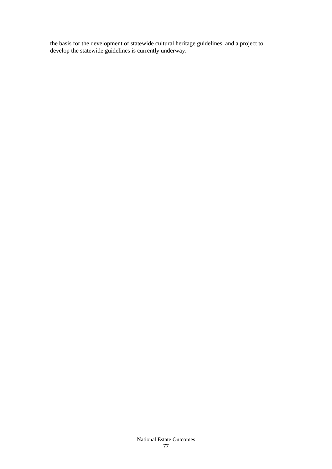the basis for the development of statewide cultural heritage guidelines, and a project to develop the statewide guidelines is currently underway.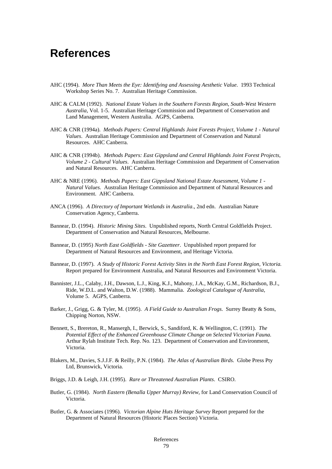# **References**

- AHC (1994). *More Than Meets the Eye: Identifying and Assessing Aesthetic Value*. 1993 Technical Workshop Series No. 7. Australian Heritage Commission.
- AHC & CALM (1992). *National Estate Values in the Southern Forests Region, South-West Western Australia*, Vol. 1-5. Australian Heritage Commission and Department of Conservation and Land Management, Western Australia. AGPS, Canberra.
- AHC & CNR (1994a). *Methods Papers: Central Highlands Joint Forests Project, Volume 1 Natural Values*. Australian Heritage Commission and Department of Conservation and Natural Resources. AHC Canberra.
- AHC & CNR (1994b). *Methods Papers: East Gippsland and Central Highlands Joint Forest Projects, Volume 2 - Cultural Values*. Australian Heritage Commission and Department of Conservation and Natural Resources. AHC Canberra.
- AHC & NRE (1996). *Methods Papers: East Gippsland National Estate Assessment, Volume 1 - Natural Values.* Australian Heritage Commission and Department of Natural Resources and Environment. AHC Canberra.
- ANCA (1996). *A Directory of Important Wetlands in Australia*., 2nd edn. Australian Nature Conservation Agency, Canberra.
- Bannear, D. (1994). *Historic Mining Sites*. Unpublished reports, North Central Goldfields Project. Department of Conservation and Natural Resources, Melbourne.
- Bannear, D. (1995) *North East Goldfields Site Gazetteer*. Unpublished report prepared for Department of Natural Resources and Environment, and Heritage Victoria.
- Bannear, D. (1997). *A Study of Historic Forest Activity Sites in the North East Forest Region, Victoria.* Report prepared for Environment Australia, and Natural Resources and Environment Victoria.
- Bannister, J.L., Calaby, J.H., Dawson, L.J., King, K.J., Mahony, J.A., McKay, G.M., Richardson, B.J., Ride, W.D.L. and Walton, D.W. (1988). Mammalia. *Zoological Catalogue of Australia*, Volume 5. AGPS, Canberra.
- Barker, J., Grigg, G. & Tyler, M. (1995). *A Field Guide to Australian Frogs*. Surrey Beatty & Sons, Chipping Norton, NSW.
- Bennett, S., Brereton, R., Mansergh, I., Berwick, S., Sandiford, K. & Wellington, C. (1991). *The Potential Effect of the Enhanced Greenhouse Climate Change on Selected Victorian Fauna.* Arthur Rylah Institute Tech. Rep. No. 123. Department of Conservation and Environment, Victoria.
- Blakers, M., Davies, S.J.J.F. & Reilly, P.N. (1984). *The Atlas of Australian Birds.* Globe Press Pty Ltd, Brunswick, Victoria.
- Briggs, J.D. & Leigh, J.H. (1995). *Rare or Threatened Australian Plants*. CSIRO.
- Butler, G. (1984). *North Eastern (Benalla Upper Murray) Review*, for Land Conservation Council of Victoria.
- Butler, G. & Associates (1996). *Victorian Alpine Huts Heritage Survey* Report prepared for the Department of Natural Resources (Historic Places Section) Victoria.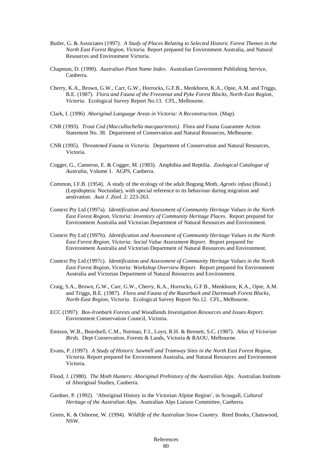- Butler, G. & Associates (1997). *A Study of Places Relating to Selected Historic Forest Themes in the North East Forest Region, Victoria.* Report prepared for Environment Australia, and Natural Resources and Environment Victoria.
- Chapman, D. (1990). *Australian Plant Name Index*. Australian Government Publishing Service, Canberra.
- Cherry, K.A., Brown, G.W., Carr, G.W., Horrocks, G.F.B., Menkhorst, K.A., Opie, A.M. and Triggs, B.E. (1987). *Flora and Fauna of the Freezeout and Pyke Forest Blocks, North-East Region, Victoria*. Ecological Survey Report No.13. CFL, Melbourne.
- Clark, I. (1996) *Aboriginal Language Areas in Victoria: A Reconstruction*. (Map).
- CNR (1993). *Trout Cod (Maccullochella macquariensis).* Flora and Fauna Guarantee Action Statement No. 38. Department of Conservation and Natural Resources, Melbourne.
- CNR (1995). *Threatened Fauna in Victoria*. Department of Conservation and Natural Resources, Victoria.
- Cogger, G., Cameron, E. & Cogger, M. (1983). Amphibia and Reptilia. *Zoological Catalogue of Australia*, Volume 1. AGPS, Canberra.
- Common, I.F.B. (1954). A study of the ecology of the adult Bogong Moth, *Agrotis infusa* (Boisd.) (Lepidoptera: Noctuidae), with special reference to its behaviour during migration and aestivation. *Aust J. Zool.* 2: 223-263.
- Context Pty Ltd (1997a). *Identification and Assessment of Community Heritage Values in the North East Forest Region, Victoria: Inventory of Community Heritage Places*. Report prepared for Environment Australia and Victorian Department of Natural Resources and Environment.
- Context Pty Ltd (1997b). *Identification and Assessment of Community Heritage Values in the North East Forest Region, Victoria: Social Value Assessment Report*. Report prepared for Environment Australia and Victorian Department of Natural Resources and Environment.
- Context Pty Ltd (1997c). *Identification and Assessment of Community Heritage Values in the North East Forest Region, Victoria: Workshop Overview Report.* Report prepared for Environment Australia and Victorian Department of Natural Resources and Environment.
- Craig, S.A., Brown, G.W., Carr, G.W., Cherry, K.A., Horrocks, G.F.B., Menkhorst, K.A., Opie, A.M. and Triggs, B.E. (1987). *Flora and Fauna of the Razorback and Dartmouth Forest Blocks, North-East Region, Victoria*. Ecological Survey Report No.12. CFL, Melbourne.
- ECC (1997). *Box-Ironbark Forests and Woodlands Investigation Resources and Issues Report*. Environment Conservation Council, Victoria.
- Emison, W.B., Beardsell, C.M., Norman, F.I., Loyn, R.H. & Bennett, S.C. (1987). *Atlas of Victorian Birds*. Dept Conservation, Forests & Lands, Victoria & RAOU, Melbourne.
- Evans, P. (1997). *A Study of Historic Sawmill and Tramway Sites in the North East Forest Region, Victoria.* Report prepared for Environment Australia, and Natural Resources and Environment Victoria.
- Flood, J. (1980). *The Moth Hunters: Aboriginal Prehistory of the Australian Alps*. Australian Institute of Aboriginal Studies, Canberra.
- Gardner, P. (1992). 'Aboriginal History in the Victorian Alpine Region', in Scougall, *Cultural Heritage of the Australian Alps*. Australian Alps Liaison Committee, Canberra.
- Green, K. & Osborne, W. (1994). *Wildlife of the Australian Snow Country*. Reed Books, Chatswood, NSW.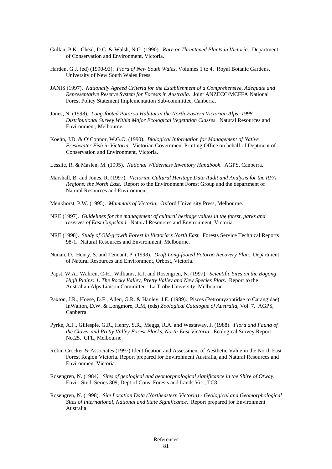- Gullan, P.K., Cheal, D.C. & Walsh, N.G. (1990). *Rare or Threatened Plants in Victoria*. Department of Conservation and Environment, Victoria.
- Harden, G.J. (ed) (1990-93). *Flora of New South Wales,* Volumes 1 to 4. Royal Botanic Gardens, University of New South Wales Press.
- JANIS (1997). *Nationally Agreed Criteria for the Establishment of a Comprehensive, Adequate and Representative Reserve System for Forests in Australia*. Joint ANZECC/MCFFA National Forest Policy Statement Implementation Sub-committee, Canberra.
- Jones, N. (1998). *Long-footed Potoroo Habitat in the North-Eastern Victorian Alps: 1998 Distributional Survey Within Major Ecological Vegetation Classes*. Natural Resources and Environment, Melbourne.
- Koehn, J.D. & O'Connor, W.G.O. (1990). *Biological Information for Management of Native Freshwater Fish in Victoria.* Victorian Government Printing Office on behalf of Deptment of Conservation and Environment, Victoria.
- Lesslie, R. & Maslen, M. (1995). *National Wilderness Inventory Handbook*. AGPS, Canberra.
- Marshall, B. and Jones, R. (1997). *Victorian Cultural Heritage Data Audit and Analysis for the RFA Regions: the North East*. Report to the Environment Forest Group and the department of Natural Resources and Environment.
- Menkhorst, P.W. (1995). *Mammals of Victoria.* Oxford University Press, Melbourne.
- NRE (1997). *Guidelines for the management of cultural heritage values in the forest, parks and reserves of East Gippsland*. Natural Resources and Environment, Victoria.
- NRE (1998). *Study of Old-growth Forest in Victoria's North East.* Forests Service Technical Reports 98-1. Natural Resources and Environment, Melbourne.
- Nunan, D., Henry, S. and Tennant, P. (1998). *Draft Long-footed Potoroo Recovery Plan*. Department of Natural Resources and Environment, Orbost, Victoria.
- Papst, W.A., Wahren, C-H., Williams, R.J. and Rosengren, N. (1997). *Scientific Sites on the Bogong High Plains: 1. The Rocky Valley, Pretty Valley and New Species Plots*. Report to the Australian Alps Liaison Committee. La Trobe University, Melbourne.
- Paxton, J.R., Hoese, D.F., Allen, G.R. & Hanley, J.E. (1989). Pisces (Petromyzontidae to Carangidae). InWalton, D.W. & Longmore, R.M, (eds) *Zoological Catalogue of Australia,* Vol. 7. AGPS, Canberra.
- Pyrke, A.F., Gillespie, G.R., Henry, S.R., Meggs, R.A. and Westaway, J. (1988). *Flora and Fauna of the Clover and Pretty Valley Forest Blocks, North-East Victoria*. Ecological Survey Report No.25. CFL, Melbourne.
- Robin Crocker & Associates (1997) Identification and Assessment of Aesthetic Value in the North East Forest Region Victoria. Report prepared for Environment Australia, and Natural Resources and Environment Victoria.
- Rosengren, N. (1984*). Sites of geological and geomorphological significance in the Shire of Otway*. Envir. Stud. Series 309, Dept of Cons. Forests and Lands Vic., TC8.
- Rosengren, N. (1998). *Site Location Data (Northeastern Victoria) Geological and Geomorphological Sites of International, National and State Significance*. Report prepared for Environment Australia.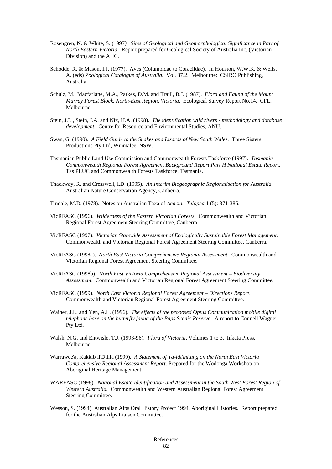- Rosengren, N. & White, S. (1997*). Sites of Geological and Geomorphological Significance in Part of North Eastern Victoria*. Report prepared for Geological Society of Australia Inc. (Victorian Division) and the AHC.
- Schodde, R. & Mason, I.J. (1977). Aves (Columbidae to Coraciidae). In Houston, W.W.K. & Wells, A. (eds) *Zoological Catalogue of Australia.* Vol. 37.2. Melbourne: CSIRO Publishing, Australia.
- Schulz, M., Macfarlane, M.A., Parkes, D.M. and Traill, B.J. (1987). *Flora and Fauna of the Mount Murray Forest Block, North-East Region, Victoria*. Ecological Survey Report No.14. CFL, Melbourne.
- Stein, J.L., Stein, J.A. and Nix, H.A. (1998). *The identification wild rivers methodology and database development.* Centre for Resource and Environmental Studies, ANU.
- Swan, G. (1990). *A Field Guide to the Snakes and Lizards of New South Wales.* Three Sisters Productions Pty Ltd, Winmalee, NSW.
- Tasmanian Public Land Use Commission and Commonwealth Forests Taskforce (1997). *Tasmania-Commonwealth Regional Forest Agreement Background Report Part H National Estate Report.* Tas PLUC and Commonwealth Forests Taskforce, Tasmania.
- Thackway, R. and Cresswell, I.D. (1995). *An Interim Biogeographic Regionalisation for Australia.* Australian Nature Conservation Agency, Canberra.
- Tindale, M.D. (1978). Notes on Australian Taxa of *Acacia. Telopea* 1 (5): 371-386.
- VicRFASC (1996). *Wilderness of the Eastern Victorian Forests.* Commonwealth and Victorian Regional Forest Agreement Steering Committee, Canberra.
- VicRFASC (1997). *Victorian Statewide Assessment of Ecologically Sustainable Forest Management.* Commonwealth and Victorian Regional Forest Agreement Steering Committee, Canberra.
- VicRFASC (1998a). *North East Victoria Comprehensive Regional Assessment*. Commonwealth and Victorian Regional Forest Agreement Steering Committee.
- VicRFASC (1998b). *North East Victoria Comprehensive Regional Assessment Biodiversity Assessment*. Commonwealth and Victorian Regional Forest Agreement Steering Committee.
- VicRFASC (1999). *North East Victoria Regional Forest Agreement Directions Report*. Commonwealth and Victorian Regional Forest Agreement Steering Committee.
- Wainer, J.L. and Yen, A.L. (1996). *The effects of the proposed Optus Communication mobile digital telephone base on the butterfly fauna of the Paps Scenic Reserve*. A report to Connell Wagner Pty Ltd.
- Walsh, N.G. and Entwisle, T.J. (1993-96). *Flora of Victoria,* Volumes 1 to 3. Inkata Press, Melbourne.
- Warrawee'a, Kakkib li'Dthia (1999). *A Statement of Ya-idt'mitung on the North East Victoria Comprehensive Regional Assessment Report*. Prepared for the Wodonga Workshop on Aboriginal Heritage Management.
- WARFASC (1998). *National Estate Identification and Assessment in the South West Forest Region of Western Australia.* Commonwealth and Western Australian Regional Forest Agreement Steering Committee.
- Wesson, S. (1994) Australian Alps Oral History Project 1994, Aboriginal Histories. Report prepared for the Australian Alps Liaison Committee.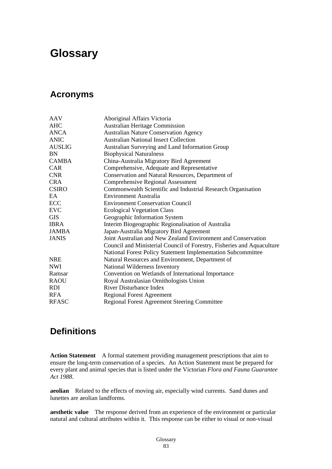# **Glossary**

### **Acronyms**

| <b>AAV</b>    | Aboriginal Affairs Victoria                                            |
|---------------|------------------------------------------------------------------------|
| <b>AHC</b>    | <b>Australian Heritage Commission</b>                                  |
| <b>ANCA</b>   | <b>Australian Nature Conservation Agency</b>                           |
| <b>ANIC</b>   | <b>Australian National Insect Collection</b>                           |
| <b>AUSLIG</b> | Australian Surveying and Land Information Group                        |
| <b>BN</b>     | <b>Biophysical Naturalness</b>                                         |
| <b>CAMBA</b>  | China-Australia Migratory Bird Agreement                               |
| CAR           | Comprehensive, Adequate and Representative                             |
| <b>CNR</b>    | Conservation and Natural Resources, Department of                      |
| <b>CRA</b>    | <b>Comprehensive Regional Assessment</b>                               |
| <b>CSIRO</b>  | Commonwealth Scientific and Industrial Research Organisation           |
| EA            | Environment Australia                                                  |
| ECC           | <b>Environment Conservation Council</b>                                |
| <b>EVC</b>    | <b>Ecological Vegetation Class</b>                                     |
| <b>GIS</b>    | Geographic Information System                                          |
| <b>IBRA</b>   | Interim Biogeographic Regionalisation of Australia                     |
| <b>JAMBA</b>  | Japan-Australia Migratory Bird Agreement                               |
| <b>JANIS</b>  | Joint Australian and New Zealand Environment and Conservation          |
|               | Council and Ministerial Council of Forestry, Fisheries and Aquaculture |
|               | National Forest Policy Statement Implementation Subcommittee           |
| <b>NRE</b>    | Natural Resources and Environment, Department of                       |
| NWI           | National Wilderness Inventory                                          |
| Ramsar        | Convention on Wetlands of International Importance                     |
| <b>RAOU</b>   | Royal Australasian Ornithologists Union                                |
| RDI           | <b>River Disturbance Index</b>                                         |
| RFA.          | <b>Regional Forest Agreement</b>                                       |
| <b>RFASC</b>  | <b>Regional Forest Agreement Steering Committee</b>                    |

# **Definitions**

**Action Statement** A formal statement providing management prescriptions that aim to ensure the long-term conservation of a species. An Action Statement must be prepared for every plant and animal species that is listed under the Victorian *Flora and Fauna Guarantee Act 1988*.

**aeolian** Related to the effects of moving air, especially wind currents. Sand dunes and lunettes are aeolian landforms.

**aesthetic value** The response derived from an experience of the environment or particular natural and cultural attributes within it. This response can be either to visual or non-visual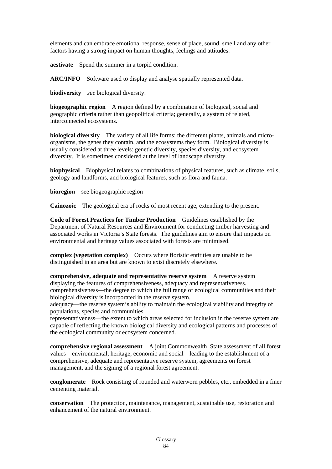elements and can embrace emotional response, sense of place, sound, smell and any other factors having a strong impact on human thoughts, feelings and attitudes.

**aestivate** Spend the summer in a torpid condition.

**ARC/INFO** Software used to display and analyse spatially represented data.

**biodiversity** *see* biological diversity.

**biogeographic region** A region defined by a combination of biological, social and geographic criteria rather than geopolitical criteria; generally, a system of related, interconnected ecosystems.

**biological diversity** The variety of all life forms: the different plants, animals and microorganisms, the genes they contain, and the ecosystems they form. Biological diversity is usually considered at three levels: genetic diversity, species diversity, and ecosystem diversity. It is sometimes considered at the level of landscape diversity.

**biophysical** Biophysical relates to combinations of physical features, such as climate, soils, geology and landforms, and biological features, such as flora and fauna.

**bioregion** see biogeographic region

**Cainozoic** The geological era of rocks of most recent age, extending to the present.

**Code of Forest Practices for Timber Production** Guidelines established by the Department of Natural Resources and Environment for conducting timber harvesting and associated works in Victoria's State forests. The guidelines aim to ensure that impacts on environmental and heritage values associated with forests are minimised.

**complex (vegetation complex)** Occurs where floristic entitities are unable to be distinguished in an area but are known to exist discretely elsewhere.

**comprehensive, adequate and representative reserve system** A reserve system displaying the features of comprehensiveness, adequacy and representativeness. comprehensiveness—the degree to which the full range of ecological communities and their biological diversity is incorporated in the reserve system.

adequacy—the reserve system's ability to maintain the ecological viability and integrity of populations, species and communities.

representativeness—the extent to which areas selected for inclusion in the reserve system are capable of reflecting the known biological diversity and ecological patterns and processes of the ecological community or ecosystem concerned.

**comprehensive regional assessment** A joint Commonwealth–State assessment of all forest values—environmental, heritage, economic and social—leading to the establishment of a comprehensive, adequate and representative reserve system, agreements on forest management, and the signing of a regional forest agreement.

**conglomerate** Rock consisting of rounded and waterworn pebbles, etc., embedded in a finer cementing material.

**conservation** The protection, maintenance, management, sustainable use, restoration and enhancement of the natural environment.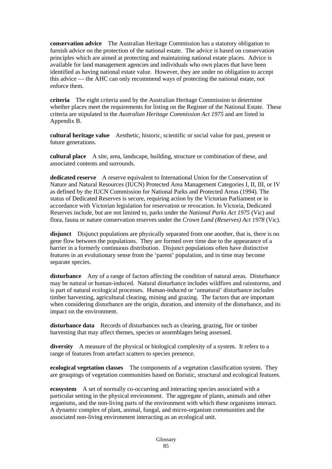**conservation advice** The Australian Heritage Commission has a statutory obligation to furnish advice on the protection of the national estate. The advice is based on conservation principles which are aimed at protecting and maintaining national estate places. Advice is available for land management agencies and individuals who own places that have been identified as having national estate value. However, they are under no obligation to accept this advice — the AHC can only recommend ways of protecting the national estate, not enforce them.

**criteria** The eight criteria used by the Australian Heritage Commission to determine whether places meet the requirements for listing on the Register of the National Estate. These criteria are stipulated in the *Australian Heritage Commission Act 1975* and are listed in Appendix B.

**cultural heritage value** Aesthetic, historic, scientific or social value for past, present or future generations.

**cultural place** A site, area, landscape, building, structure or combination of these, and associated contents and surrounds.

**dedicated reserve** A reserve equivalent to International Union for the Conservation of Nature and Natural Resources (IUCN) Protected Area Management Categories I, II, III, or IV as defined by the IUCN Commission for National Parks and Protected Areas (1994). The status of Dedicated Reserves is secure, requiring action by the Victorian Parliament or in accordance with Victorian legislation for reservation or revocation. In Victoria, Dedicated Reserves include, but are not limited to, parks under the *National Parks Act 1975* (Vic) and flora, fauna or nature conservation reserves under the *Crown Land (Reserves) Act 1978* (Vic).

**disjunct** Disjunct populations are physically separated from one another, that is, there is no gene flow between the populations. They are formed over time due to the appearance of a barrier in a formerly continuous distribution. Disjunct populations often have distinctive features in an evolutionary sense from the 'parent' population, and in time may become separate species.

**disturbance** Any of a range of factors affecting the condition of natural areas. Disturbance may be natural or human-induced. Natural disturbance includes wildfires and rainstorms, and is part of natural ecological processes. Human-induced or 'unnatural' disturbance includes timber harvesting, agricultural clearing, mining and grazing. The factors that are important when considering disturbance are the origin, duration, and intensity of the disturbance, and its impact on the environment.

**disturbance data** Records of disturbances such as clearing, grazing, fire or timber harvesting that may affect themes, species or assemblages being assessed.

**diversity** A measure of the physical or biological complexity of a system. It refers to a range of features from artefact scatters to species presence.

**ecological vegetation classes** The components of a vegetation classification system. They are groupings of vegetation communities based on floristic, structural and ecological features.

**ecosystem** A set of normally co-occurring and interacting species associated with a particular setting in the physical environment. The aggregate of plants, animals and other organisms, and the non-living parts of the environment with which these organisms interact. A dynamic complex of plant, animal, fungal, and micro-organism communities and the associated non-living environment interacting as an ecological unit.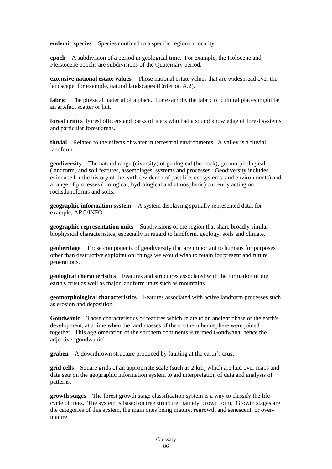**endemic species** Species confined to a specific region or locality.

**epoch** A subdivision of a period in geological time. For example, the Holocene and Pleistocene epochs are subdivisions of the Quaternary period.

**extensive national estate values** Those national estate values that are widespread over the landscape, for example, natural landscapes (Criterion A.2).

**fabric** The physical material of a place. For example, the fabric of cultural places might be an artefact scatter or hut.

**forest critics** Forest officers and parks officers who had a sound knowledge of forest systems and particular forest areas.

**fluvial** Related to the effects of water in terrestrial environments. A valley is a fluvial landform.

**geodiversity** The natural range (diversity) of geological (bedrock), geomorphological (landform) and soil features, assemblages, systems and processes. Geodiversity includes evidence for the history of the earth (evidence of past life, ecosystems, and environments) and a range of processes (biological, hydrological and atmospheric) currently acting on rocks,landforms and soils.

**geographic information system** A system displaying spatially represented data; for example, ARC/INFO.

**geographic representation units** Subdivisions of the region that share broadly similar biophysical characteristics, especially in regard to landform, geology, soils and climate.

**geoheritage** Those components of geodiversity that are important to humans for purposes other than destructive exploitation; things we would wish to retain for present and future generations.

**geological characteristics** Features and structures associated with the formation of the earth's crust as well as major landform units such as mountains.

**geomorphological characteristics** Features associated with active landform processes such as erosion and deposition.

**Gondwanic** Those characteristics or features which relate to an ancient phase of the earth's development, at a time when the land masses of the southern hemisphere were joined together. This agglomeration of the southern continents is termed Gondwana, hence the adjective 'gondwanic'.

**graben** A downthrown structure produced by faulting at the earth's crust.

**grid cells** Square grids of an appropriate scale (such as 2 km) which are laid over maps and data sets on the geographic information system to aid interpretation of data and analysis of patterns.

**growth stages** The forest growth stage classification system is a way to classify the lifecycle of trees. The system is based on tree structure, namely, crown form. Growth stages are the categories of this system, the main ones being mature, regrowth and senescent, or overmature.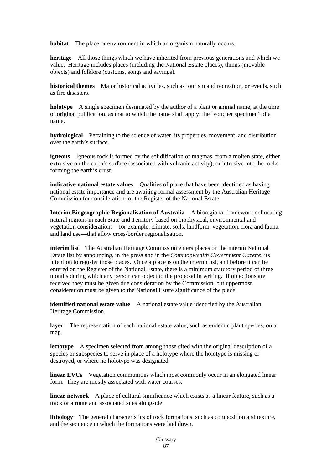**habitat** The place or environment in which an organism naturally occurs.

**heritage** All those things which we have inherited from previous generations and which we value. Heritage includes places (including the National Estate places), things (movable objects) and folklore (customs, songs and sayings).

**historical themes** Major historical activities, such as tourism and recreation, or events, such as fire disasters.

**holotype** A single specimen designated by the author of a plant or animal name, at the time of original publication, as that to which the name shall apply; the 'voucher specimen' of a name.

**hydrological** Pertaining to the science of water, its properties, movement, and distribution over the earth's surface.

**igneous** Igneous rock is formed by the solidification of magmas, from a molten state, either extrusive on the earth's surface (associated with volcanic activity), or intrusive into the rocks forming the earth's crust.

**indicative national estate values** Qualities of place that have been identified as having national estate importance and are awaiting formal assessment by the Australian Heritage Commission for consideration for the Register of the National Estate.

**Interim Biogeographic Regionalisation of Australia** A bioregional framework delineating natural regions in each State and Territory based on biophysical, environmental and vegetation considerations—for example, climate, soils, landform, vegetation, flora and fauna, and land use—that allow cross-border regionalisation.

**interim list** The Australian Heritage Commission enters places on the interim National Estate list by announcing, in the press and in the *Commonwealth Government Gazette*, its intention to register those places. Once a place is on the interim list, and before it can be entered on the Register of the National Estate, there is a minimum statutory period of three months during which any person can object to the proposal in writing. If objections are received they must be given due consideration by the Commission, but uppermost consideration must be given to the National Estate significance of the place.

**identified national estate value** A national estate value identified by the Australian Heritage Commission.

**layer** The representation of each national estate value, such as endemic plant species, on a map.

**lectotype** A specimen selected from among those cited with the original description of a species or subspecies to serve in place of a holotype where the holotype is missing or destroyed, or where no holotype was designated.

**linear EVCs** Vegetation communities which most commonly occur in an elongated linear form. They are mostly associated with water courses.

**linear network** A place of cultural significance which exists as a linear feature, such as a track or a route and associated sites alongside.

**lithology** The general characteristics of rock formations, such as composition and texture, and the sequence in which the formations were laid down.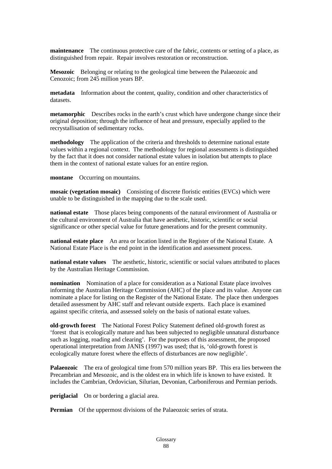**maintenance** The continuous protective care of the fabric, contents or setting of a place, as distinguished from repair. Repair involves restoration or reconstruction.

**Mesozoic** Belonging or relating to the geological time between the Palaeozoic and Cenozoic; from 245 million years BP.

**metadata** Information about the content, quality, condition and other characteristics of datasets.

**metamorphic** Describes rocks in the earth's crust which have undergone change since their original deposition; through the influence of heat and pressure, especially applied to the recrystallisation of sedimentary rocks.

**methodology** The application of the criteria and thresholds to determine national estate values within a regional context. The methodology for regional assessments is distinguished by the fact that it does not consider national estate values in isolation but attempts to place them in the context of national estate values for an entire region.

**montane** Occurring on mountains.

**mosaic (vegetation mosaic)** Consisting of discrete floristic entities (EVCs) which were unable to be distinguished in the mapping due to the scale used.

**national estate** Those places being components of the natural environment of Australia or the cultural environment of Australia that have aesthetic, historic, scientific or social significance or other special value for future generations and for the present community.

**national estate place** An area or location listed in the Register of the National Estate. A National Estate Place is the end point in the identification and assessment process.

**national estate values** The aesthetic, historic, scientific or social values attributed to places by the Australian Heritage Commission.

**nomination** Nomination of a place for consideration as a National Estate place involves informing the Australian Heritage Commission (AHC) of the place and its value. Anyone can nominate a place for listing on the Register of the National Estate. The place then undergoes detailed assessment by AHC staff and relevant outside experts. Each place is examined against specific criteria, and assessed solely on the basis of national estate values.

**old-growth forest** The National Forest Policy Statement defined old-growth forest as 'forest that is ecologically mature and has been subjected to negligible unnatural disturbance such as logging, roading and clearing'*.* For the purposes of this assessment, the proposed operational interpretation from JANIS (1997) was used; that is, 'old-growth forest is ecologically mature forest where the effects of disturbances are now negligible'.

**Palaeozoic** The era of geological time from 570 million years BP. This era lies between the Precambrian and Mesozoic, and is the oldest era in which life is known to have existed. It includes the Cambrian, Ordovician, Silurian, Devonian, Carboniferous and Permian periods.

**periglacial** On or bordering a glacial area.

**Permian** Of the uppermost divisions of the Palaeozoic series of strata.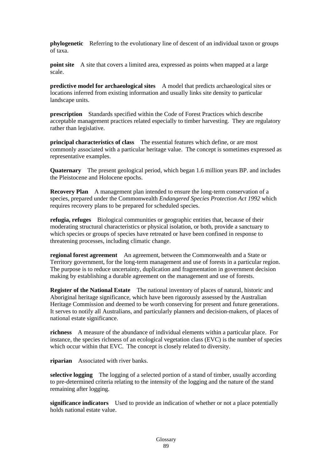**phylogenetic** Referring to the evolutionary line of descent of an individual taxon or groups of taxa.

**point site** A site that covers a limited area, expressed as points when mapped at a large scale.

**predictive model for archaeological sites** A model that predicts archaeological sites or locations inferred from existing information and usually links site density to particular landscape units.

**prescription** Standards specified within the Code of Forest Practices which describe acceptable management practices related especially to timber harvesting. They are regulatory rather than legislative.

**principal characteristics of class** The essential features which define, or are most commonly associated with a particular heritage value. The concept is sometimes expressed as representative examples.

**Quaternary** The present geological period, which began 1.6 million years BP. and includes the Pleistocene and Holocene epochs.

**Recovery Plan** A management plan intended to ensure the long-term conservation of a species, prepared under the Commonwealth *Endangered Species Protection Act 1992* which requires recovery plans to be prepared for scheduled species.

**refugia, refuges** Biological communities or geographic entities that, because of their moderating structural characteristics or physical isolation, or both, provide a sanctuary to which species or groups of species have retreated or have been confined in response to threatening processes, including climatic change.

**regional forest agreement** An agreement, between the Commonwealth and a State or Territory government, for the long-term management and use of forests in a particular region. The purpose is to reduce uncertainty, duplication and fragmentation in government decision making by establishing a durable agreement on the management and use of forests.

**Register of the National Estate** The national inventory of places of natural, historic and Aboriginal heritage significance, which have been rigorously assessed by the Australian Heritage Commission and deemed to be worth conserving for present and future generations. It serves to notify all Australians, and particularly planners and decision-makers, of places of national estate significance.

**richness** A measure of the abundance of individual elements within a particular place. For instance, the species richness of an ecological vegetation class (EVC) is the number of species which occur within that EVC. The concept is closely related to diversity.

**riparian** Associated with river banks.

**selective logging** The logging of a selected portion of a stand of timber, usually according to pre-determined criteria relating to the intensity of the logging and the nature of the stand remaining after logging.

**significance indicators** Used to provide an indication of whether or not a place potentially holds national estate value.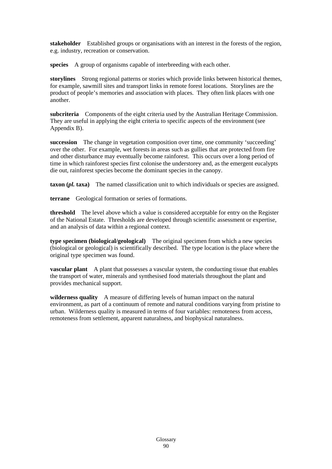**stakeholder** Established groups or organisations with an interest in the forests of the region, e.g. industry, recreation or conservation.

**species** A group of organisms capable of interbreeding with each other.

**storylines** Strong regional patterns or stories which provide links between historical themes, for example, sawmill sites and transport links in remote forest locations. Storylines are the product of people's memories and association with places. They often link places with one another.

**subcriteria** Components of the eight criteria used by the Australian Heritage Commission. They are useful in applying the eight criteria to specific aspects of the environment (see Appendix B).

**succession** The change in vegetation composition over time, one community 'succeeding' over the other. For example, wet forests in areas such as gullies that are protected from fire and other disturbance may eventually become rainforest. This occurs over a long period of time in which rainforest species first colonise the understorey and, as the emergent eucalypts die out, rainforest species become the dominant species in the canopy.

**taxon (***pl.* **taxa)** The named classification unit to which individuals or species are assigned.

**terrane** Geological formation or series of formations.

**threshold** The level above which a value is considered acceptable for entry on the Register of the National Estate. Thresholds are developed through scientific assessment or expertise, and an analysis of data within a regional context.

**type specimen (biological/geological)** The original specimen from which a new species (biological or geological) is scientifically described. The type location is the place where the original type specimen was found.

**vascular plant** A plant that possesses a vascular system, the conducting tissue that enables the transport of water, minerals and synthesised food materials throughout the plant and provides mechanical support.

**wilderness quality** A measure of differing levels of human impact on the natural environment, as part of a continuum of remote and natural conditions varying from pristine to urban. Wilderness quality is measured in terms of four variables: remoteness from access, remoteness from settlement, apparent naturalness, and biophysical naturalness.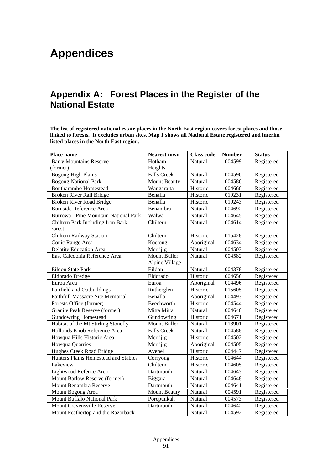# **Appendices**

# **Appendix A: Forest Places in the Register of the National Estate**

**The list of registered national estate places in the North East region covers forest places and those linked to forests. It excludes urban sites. Map 1 shows all National Estate registered and interim listed places in the North East region.**

| Place name                              | <b>Nearest town</b> | <b>Class code</b> | <b>Number</b> | <b>Status</b> |
|-----------------------------------------|---------------------|-------------------|---------------|---------------|
| <b>Barry Mountains Reserve</b>          | Hotham              | Natural           | 004599        | Registered    |
| (former)                                | Heights             |                   |               |               |
| <b>Bogong High Plains</b>               | <b>Falls Creek</b>  | Natural           | 004590        | Registered    |
| <b>Bogong National Park</b>             | Mount Beauty        | Natural           | 004586        | Registered    |
| <b>Bontharambo Homestead</b>            | Wangaratta          | Historic          | 004660        | Registered    |
| Broken River Rail Bridge                | Benalla             | Historic          | 019231        | Registered    |
| Broken River Road Bridge                | Benalla             | Historic          | 019243        | Registered    |
| <b>Burnside Reference Area</b>          | Benambra            | Natural           | 004692        | Registered    |
| Burrowa - Pine Mountain National Park   | Walwa               | Natural           | 004645        | Registered    |
| Chiltern Park Including Iron Bark       | Chiltern            | Natural           | 004614        | Registered    |
| Forest                                  |                     |                   |               |               |
| Chiltern Railway Station                | Chiltern            | Historic          | 015428        | Registered    |
| Conic Range Area                        | Koetong             | Aboriginal        | 004634        | Registered    |
| <b>Delatite Education Area</b>          | Merrijig            | Natural           | 004503        | Registered    |
| East Caledonia Reference Area           | <b>Mount Buller</b> | Natural           | 004582        | Registered    |
|                                         | Alpine Village      |                   |               |               |
| Eildon State Park                       | Eildon              | Natural           | 004378        | Registered    |
| Eldorado Dredge                         | Eldorado            | Historic          | 004656        | Registered    |
| Euroa Area                              | Euroa               | Aboriginal        | 004496        | Registered    |
| Fairfield and Outbuildings              | Rutherglen          | Historic          | 015605        | Registered    |
| <b>Faithfull Massacre Site Memorial</b> | Benalla             | Aboriginal        | 004493        | Registered    |
| Forests Office (former)                 | Beechworth          | Historic          | 004544        | Registered    |
| Granite Peak Reserve (former)           | Mitta Mitta         | Natural           | 004640        | Registered    |
| <b>Gundowring Homestead</b>             | Gundowring          | Historic          | 004671        | Registered    |
| Habitat of the Mt Stirling Stonefly     | Mount Buller        | Natural           | 018901        | Registered    |
| Hollonds Knob Reference Area            | <b>Falls Creek</b>  | Natural           | 004588        | Registered    |
| Howqua Hills Historic Area              | Merrijig            | Historic          | 004502        | Registered    |
| Howqua Quarries                         | Merrijig            | Aboriginal        | 004505        | Registered    |
| Hughes Creek Road Bridge                | Avenel              | Historic          | 004447        | Registered    |
| Hunters Plains Homestead and Stables    | Corryong            | Historic          | 004644        | Registered    |
| Lakeview                                | Chiltern            | Historic          | 004605        | Registered    |
| Lightwood Refence Area                  | Dartmouth           | Natural           | 004643        | Registered    |
| Mount Barlow Reserve (former)           | Biggara             | Natural           | 004648        | Registered    |
| <b>Mount Benambra Reserve</b>           | Dartmouth           | Natural           | 004641        | Registered    |
| Mount Bogong Area                       | <b>Mount Beauty</b> | Natural           | 004591        | Registered    |
| Mount Buffalo National Park             | Porepunkah          | Natural           | 004573        | Registered    |
| <b>Mount Cravensville Reserve</b>       | Dartmouth           | Natural           | 004642        | Registered    |
| Mount Feathertop and the Razorback      |                     | Natural           | 004592        | Registered    |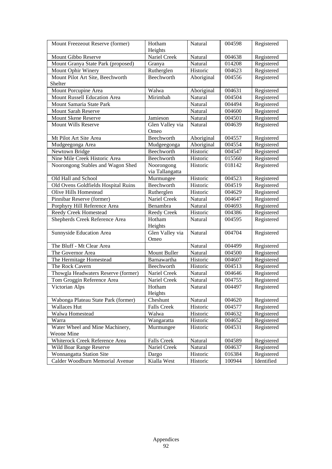| Mount Freezeout Reserve (former)    | Hotham<br>Heights             | Natural    | 004598 | Registered |
|-------------------------------------|-------------------------------|------------|--------|------------|
| Mount Gibbo Reserve                 | Nariel Creek                  | Natural    | 004638 | Registered |
| Mount Granya State Park (proposed)  | Granya                        | Natural    | 014208 | Registered |
| Mount Ophir Winery                  | Rutherglen                    | Historic   | 004623 | Registered |
| Mount Pilot Art Site, Beechworth    | Beechworth                    | Aboriginal | 004556 | Registered |
| Shelter                             |                               |            |        |            |
| Mount Porcupine Area                | Walwa                         | Aboriginal | 004631 | Registered |
| Mount Russell Education Area        | Mirimbah                      | Natural    | 004504 | Registered |
| Mount Samaria State Park            |                               | Natural    | 004494 | Registered |
| <b>Mount Sarah Reserve</b>          |                               | Natural    | 004600 | Registered |
| Mount Skene Reserve                 | Jamieson                      | Natural    | 004501 | Registered |
| Mount Wills Reserve                 | Glen Valley via               | Natural    | 004639 | Registered |
|                                     | Omeo                          |            |        |            |
| Mt Pilot Art Site Area              | Beechworth                    | Aboriginal | 004557 | Registered |
| Mudgeegonga Area                    | Mudgeegonga                   | Aboriginal | 004554 | Registered |
| Newtown Bridge                      | Beechworth                    | Historic   | 004547 | Registered |
| Nine Mile Creek Historic Area       | Beechworth                    | Historic   | 015560 | Registered |
| Noorongong Stables and Wagon Shed   | Noorongong<br>via Tallangatta | Historic   | 018142 | Registered |
| Old Hall and School                 | Murmungee                     | Historic   | 004523 | Registered |
| Old Ovens Goldfields Hospital Ruins | Beechworth                    | Historic   | 004519 | Registered |
| Olive Hills Homestead               | Rutherglen                    | Historic   | 004629 | Registered |
| Pinnibar Reserve (former)           | Nariel Creek                  | Natural    | 004647 | Registered |
| Porphyry Hill Reference Area        | Benambra                      | Natural    | 004693 | Registered |
| <b>Reedy Creek Homestead</b>        | Reedy Creek                   | Historic   | 004386 | Registered |
| Shepherds Creek Reference Area      | Hotham<br>Heights             | Natural    | 004595 | Registered |
| Sunnyside Education Area            | Glen Valley via<br>Omeo       | Natural    | 004704 | Registered |
| The Bluff - Mt Clear Area           |                               | Natural    | 004499 | Registered |
| The Governor Area                   | Mount Buller                  | Natural    | 004500 | Registered |
| The Hermitage Homestead             | Barnawartha                   | Historic   | 004607 | Registered |
| The Rock Cavern                     | Beechworth                    | Historic   | 004513 | Registered |
| Thowgla Headwaters Reserve (former) | Nariel Creek                  | Natural    | 004646 | Registered |
| Tom Groggin Reference Area          | Nariel Creek                  | Natural    | 004755 | Registered |
| Victorian Alps                      | Hotham<br>Heights             | Natural    | 004497 | Registered |
| Wabonga Plateau State Park (former) | Cheshunt                      | Natural    | 004620 | Registered |
| <b>Wallaces Hut</b>                 | <b>Falls Creek</b>            | Historic   | 004577 | Registered |
| Walwa Homestead                     | Walwa                         | Historic   | 004632 | Registered |
| Warra                               | Wangaratta                    | Historic   | 004652 | Registered |
| Water Wheel and Mine Machinery,     | Murmungee                     | Historic   | 004531 | Registered |
| Weone Mine                          |                               |            |        |            |
| Whiterock Creek Reference Area      | <b>Falls Creek</b>            | Natural    | 004589 | Registered |
| Wild Boar Range Reserve             | Nariel Creek                  | Natural    | 004637 | Registered |
| Wonnangatta Station Site            | Dargo                         | Historic   | 016384 | Registered |
| Calder Woodburn Memorial Avenue     | Kialla West                   | Historic   | 100944 | Identified |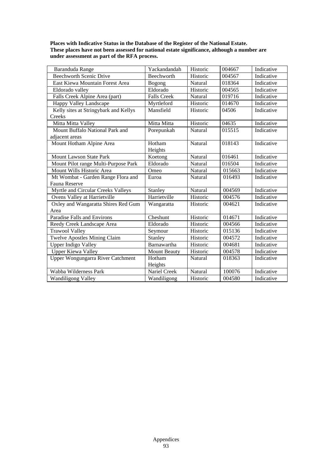**Places with Indicative Status in the Database of the Register of the National Estate. These places have not been assessed for national estate significance, although a number are under assessment as part of the RFA process.**

| Baranduda Range                       | Yackandandah        | Historic | 004667 | Indicative |
|---------------------------------------|---------------------|----------|--------|------------|
| <b>Beechworth Scenic Drive</b>        | Beechworth          | Historic | 004567 | Indicative |
| East Kiewa Mountain Forest Area       | Bogong              | Natural  | 018364 | Indicative |
| Eldorado valley                       | Eldorado            | Historic | 004565 | Indicative |
| Falls Creek Alpine Area (part)        | <b>Falls Creek</b>  | Natural  | 019716 | Indicative |
| Happy Valley Landscape                | Myrtleford          | Historic | 014670 | Indicative |
| Kelly sites at Stringybark and Kellys | Mansfield           | Historic | 04506  | Indicative |
| Creeks                                |                     |          |        |            |
| Mitta Mitta Valley                    | Mitta Mitta         | Historic | 04635  | Indicative |
| Mount Buffalo National Park and       | Porepunkah          | Natural  | 015515 | Indicative |
| adjacent areas                        |                     |          |        |            |
| Mount Hotham Alpine Area              | Hotham              | Natural  | 018143 | Indicative |
|                                       | Heights             |          |        |            |
| <b>Mount Lawson State Park</b>        | Koetong             | Natural  | 016461 | Indicative |
| Mount Pilot range Multi-Purpose Park  | Eldorado            | Natural  | 016504 | Indicative |
| Mount Wills Historic Area             | Omeo                | Natural  | 015663 | Indicative |
| Mt Wombat - Garden Range Flora and    | Euroa               | Natural  | 016493 | Indicative |
| Fauna Reserve                         |                     |          |        |            |
| Myrtle and Circular Creeks Valleys    | Stanley             | Natural  | 004569 | Indicative |
| Ovens Valley at Harrietville          | Harrietville        | Historic | 004576 | Indicative |
| Oxley and Wangaratta Shires Red Gum   | Wangaratta          | Historic | 004621 | Indicative |
| Area                                  |                     |          |        |            |
| Paradise Falls and Environs           | Cheshunt            | Historic | 014671 | Indicative |
| Reedy Creek Landscape Area            | Eldorado            | Historic | 004566 | Indicative |
| <b>Trawool Valley</b>                 | Seymour             | Historic | 015136 | Indicative |
| Twelve Apostles Mining Claim          | Stanley             | Historic | 004572 | Indicative |
| <b>Upper Indigo Valley</b>            | Barnawartha         | Historic | 004681 | Indicative |
| Upper Kiewa Valley                    | <b>Mount Beauty</b> | Historic | 004578 | Indicative |
| Upper Wongungarra River Catchment     | Hotham              | Natural  | 018363 | Indicative |
|                                       | Heights             |          |        |            |
| Wabba Wilderness Park                 | Nariel Creek        | Natural  | 100076 | Indicative |
| <b>Wandiligong Valley</b>             | Wandiligong         | Historic | 004580 | Indicative |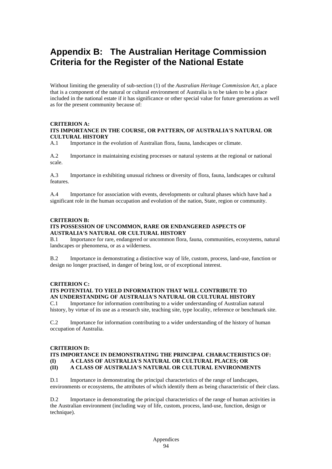# **Appendix B: The Australian Heritage Commission Criteria for the Register of the National Estate**

Without limiting the generality of sub-section (1) of the *Australian Heritage Commission Act*, a place that is a component of the natural or cultural environment of Australia is to be taken to be a place included in the national estate if it has significance or other special value for future generations as well as for the present community because of:

#### **CRITERION A: ITS IMPORTANCE IN THE COURSE, OR PATTERN, OF AUSTRALIA'S NATURAL OR CULTURAL HISTORY**

A.1 Importance in the evolution of Australian flora, fauna, landscapes or climate.

A.2 Importance in maintaining existing processes or natural systems at the regional or national scale.

A.3 Importance in exhibiting unusual richness or diversity of flora, fauna, landscapes or cultural features.

A.4 Importance for association with events, developments or cultural phases which have had a significant role in the human occupation and evolution of the nation, State, region or community.

### **CRITERION B:**

### **ITS POSSESSION OF UNCOMMON, RARE OR ENDANGERED ASPECTS OF AUSTRALIA'S NATURAL OR CULTURAL HISTORY**

B.1 Importance for rare, endangered or uncommon flora, fauna, communities, ecosystems, natural landscapes or phenomena, or as a wilderness.

B.2 Importance in demonstrating a distinctive way of life, custom, process, land-use, function or design no longer practised, in danger of being lost, or of exceptional interest.

### **CRITERION C:**

### **ITS POTENTIAL TO YIELD INFORMATION THAT WILL CONTRIBUTE TO AN UNDERSTANDING OF AUSTRALIA'S NATURAL OR CULTURAL HISTORY**

C.1 Importance for information contributing to a wider understanding of Australian natural history, by virtue of its use as a research site, teaching site, type locality, reference or benchmark site.

C.2 Importance for information contributing to a wider understanding of the history of human occupation of Australia.

#### **CRITERION D:**

#### **ITS IMPORTANCE IN DEMONSTRATING THE PRINCIPAL CHARACTERISTICS OF: (I) A CLASS OF AUSTRALIA'S NATURAL OR CULTURAL PLACES; OR**

### **(II) A CLASS OF AUSTRALIA'S NATURAL OR CULTURAL ENVIRONMENTS**

D.1 Importance in demonstrating the principal characteristics of the range of landscapes, environments or ecosystems, the attributes of which identify them as being characteristic of their class.

D.2 Importance in demonstrating the principal characteristics of the range of human activities in the Australian environment (including way of life, custom, process, land-use, function, design or technique).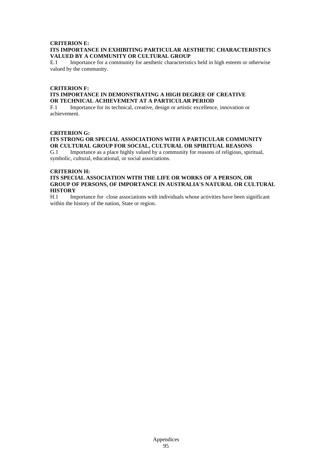#### **CRITERION E:**

### **ITS IMPORTANCE IN EXHIBITING PARTICULAR AESTHETIC CHARACTERISTICS VALUED BY A COMMUNITY OR CULTURAL GROUP**

E.1 Importance for a community for aesthetic characteristics held in high esteem or otherwise valued by the community.

### **CRITERION F: ITS IMPORTANCE IN DEMONSTRATING A HIGH DEGREE OF CREATIVE OR TECHNICAL ACHIEVEMENT AT A PARTICULAR PERIOD**<br>F.1 Importance for its technical, creative, design or artistic excellence

Importance for its technical, creative, design or artistic excellence, innovation or achievement.

#### **CRITERION G:**

### **ITS STRONG OR SPECIAL ASSOCIATIONS WITH A PARTICULAR COMMUNITY OR CULTURAL GROUP FOR SOCIAL, CULTURAL OR SPIRITUAL REASONS**

G.1 Importance as a place highly valued by a community for reasons of religious, spiritual, symbolic, cultural, educational, or social associations.

#### **CRITERION H:**

### **ITS SPECIAL ASSOCIATION WITH THE LIFE OR WORKS OF A PERSON, OR GROUP OF PERSONS, OF IMPORTANCE IN AUSTRALIA'S NATURAL OR CULTURAL HISTORY**

H.1 Importance for close associations with individuals whose activities have been significant within the history of the nation, State or region.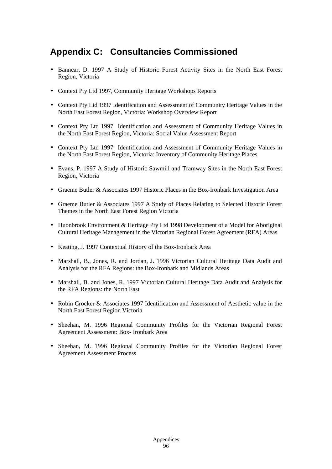# **Appendix C: Consultancies Commissioned**

- Bannear, D. 1997 A Study of Historic Forest Activity Sites in the North East Forest Region, Victoria
- Context Pty Ltd 1997, Community Heritage Workshops Reports
- Context Pty Ltd 1997 Identification and Assessment of Community Heritage Values in the North East Forest Region, Victoria: Workshop Overview Report
- Context Pty Ltd 1997 Identification and Assessment of Community Heritage Values in the North East Forest Region, Victoria: Social Value Assessment Report
- Context Pty Ltd 1997 Identification and Assessment of Community Heritage Values in the North East Forest Region, Victoria: Inventory of Community Heritage Places
- Evans, P. 1997 A Study of Historic Sawmill and Tramway Sites in the North East Forest Region, Victoria
- Graeme Butler & Associates 1997 Historic Places in the Box-Ironbark Investigation Area
- Graeme Butler & Associates 1997 A Study of Places Relating to Selected Historic Forest Themes in the North East Forest Region Victoria
- Huonbrook Environment & Heritage Pty Ltd 1998 Development of a Model for Aboriginal Cultural Heritage Management in the Victorian Regional Forest Agreement (RFA) Areas
- Keating, J. 1997 Contextual History of the Box-Ironbark Area
- Marshall, B., Jones, R. and Jordan, J. 1996 Victorian Cultural Heritage Data Audit and Analysis for the RFA Regions: the Box-Ironbark and Midlands Areas
- Marshall, B. and Jones, R. 1997 Victorian Cultural Heritage Data Audit and Analysis for the RFA Regions: the North East
- Robin Crocker & Associates 1997 Identification and Assessment of Aesthetic value in the North East Forest Region Victoria
- Sheehan, M. 1996 Regional Community Profiles for the Victorian Regional Forest Agreement Assessment: Box- Ironbark Area
- Sheehan, M. 1996 Regional Community Profiles for the Victorian Regional Forest Agreement Assessment Process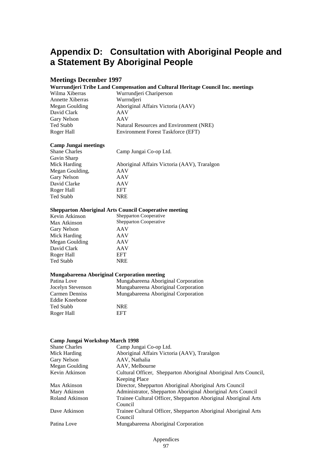# **Appendix D: Consultation with Aboriginal People and a Statement By Aboriginal People**

### **Meetings December 1997**

### **Wurrundjeri Tribe Land Compensation and Cultural Heritage Council Inc. meetings**

| Wilma Xiberras          | Wurrundjeri Chariperson                 |
|-------------------------|-----------------------------------------|
| <b>Annette Xiberras</b> | Wurrndjeri                              |
| Megan Goulding          | Aboriginal Affairs Victoria (AAV)       |
| David Clark             | AAV                                     |
| Gary Nelson             | AAV                                     |
| Ted Stabb               | Natural Resources and Environment (NRE) |
| Roger Hall              | Environment Forest Taskforce (EFT)      |

#### **Camp Jungai meetings**

| <b>Shane Charles</b> | Camp Jungai Co-op Ltd.                       |
|----------------------|----------------------------------------------|
| Gavin Sharp          |                                              |
| Mick Harding         | Aboriginal Affairs Victoria (AAV), Traralgon |
| Megan Goulding,      | AAV                                          |
| Gary Nelson          | AAV                                          |
| David Clarke         | AAV                                          |
| Roger Hall           | <b>EFT</b>                                   |
| Ted Stabb            | <b>NRE</b>                                   |

### **Shepparton Aboriginal Arts Council Cooperative meeting**

| Kevin Atkinson   | Shepparton Cooperative        |
|------------------|-------------------------------|
| Max Atkinson     | <b>Shepparton Cooperative</b> |
| Gary Nelson      | AAV                           |
| Mick Harding     | AAV                           |
| Megan Goulding   | AAV                           |
| David Clark      | AAV                           |
| Roger Hall       | <b>EFT</b>                    |
| <b>Ted Stabb</b> | <b>NRE</b>                    |
|                  |                               |

### **Mungabareena Aboriginal Corporation meeting**

| Mungabareena Aboriginal Corporation |
|-------------------------------------|
| Mungabareena Aboriginal Corporation |
| Mungabareena Aboriginal Corporation |
|                                     |
| <b>NRE</b>                          |
| EFT                                 |
|                                     |

### **Camp Jungai Workshop March 1998**

| Camp Jungai Co-op Ltd.                                           |
|------------------------------------------------------------------|
| Aboriginal Affairs Victoria (AAV), Traralgon                     |
| AAV, Nathalia                                                    |
| AAV, Melbourne                                                   |
| Cultural Officer, Shepparton Aboriginal Aboriginal Arts Council, |
| Keeping Place                                                    |
| Director, Shepparton Aboriginal Aboriginal Arts Council          |
| Administrator, Shepparton Aboriginal Aboriginal Arts Council     |
| Trainee Cultural Officer, Shepparton Aboriginal Aboriginal Arts  |
| Council                                                          |
| Trainee Cultural Officer, Shepparton Aboriginal Aboriginal Arts  |
| Council                                                          |
| Mungabareena Aboriginal Corporation                              |
|                                                                  |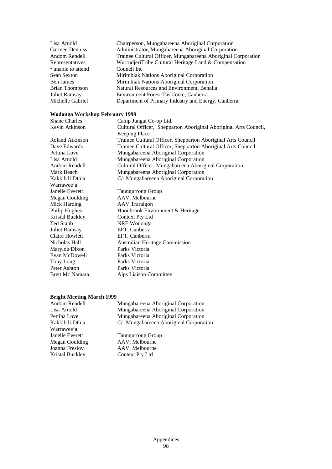| Lisa Arnold                    | Chairperson, Mungabareena Aboriginal Corporation                 |
|--------------------------------|------------------------------------------------------------------|
| <b>Carmen Denniss</b>          | Administrator, Mungabareena Aboriginal Corporation               |
| Andom Rendell                  | Trainee Cultural Officer, Mungabareena Aboriginal Corporation    |
| Representatives                | WurrudjeriTribe Cultural Heritage Land & Compensation            |
| • unable to attend             | Council Inc                                                      |
| Sean Sexton                    | Mirimbiak Nations Aboriginal Corporation                         |
| <b>Ben James</b>               | Mirimbiak Nations Aboriginal Corporation                         |
| <b>Brian Thompson</b>          | Natural Resources and Environment, Benalla                       |
| <b>Juliet Ramsay</b>           | Environment Forest Taskforce, Canberra                           |
| Michelle Gabriel               | Department of Primary Industry and Energy, Canberra              |
| Wodonga Workshop February 1999 |                                                                  |
| <b>Shane Charles</b>           | Camp Jungai Co-op Ltd.                                           |
| Kevin Atkinson                 | Cultural Officer, Shepparton Aboriginal Aboriginal Arts Council, |
|                                | <b>Keeping Place</b>                                             |
| <b>Roland Atkinson</b>         | Trainee Cultural Officer, Shepparton Aboriginal Arts Council     |
| Dave Edwards                   | Trainee Cultural Officer, Shepparton Aboriginal Arts Council     |
| Pettina Love                   | Mungabareena Aboriginal Corporation                              |
| Lisa Arnold                    | Mungabareena Aboriginal Corporation                              |
| Andom Rendell                  | Cultural Officer, Mungabareena Aboriginal Corporation            |
| Mark Beach                     | Mungabareena Aboriginal Corporation                              |
| Kakkib li'Dthia                | C/- Mungabareena Aboriginal Corporation                          |
| Warrawee'a                     |                                                                  |
| Janelle Everett                | <b>Taungurrong Group</b>                                         |
| <b>Megan Goulding</b>          | AAV, Melbourne                                                   |
| Mick Harding                   | <b>AAV</b> Traralgon                                             |
| Philip Hughes                  | Huonbrook Environment & Heritage                                 |
| Kristal Buckley                | Context Pty Ltd                                                  |
| <b>Ted Stabb</b>               | NRE Wodonga                                                      |
| <b>Juliet Ramsay</b>           | EFT, Canberra                                                    |
| Claire Howlett                 | EFT, Canberra                                                    |
| Nicholas Hall                  | Australian Heritage Commission                                   |
| Marylou Dixon                  | Parks Victoria                                                   |
| Evan McDowell                  | Parks Victoria                                                   |
| Tony Long                      | Parks Victoria                                                   |
| Peter Ashton                   | Parks Victoria                                                   |
| <b>Brett Mc Namara</b>         | Alps Liaison Committee                                           |
|                                |                                                                  |

### **Bright Meeting March 1999**

| Andom Rendell   | Mungabareena Aboriginal Corporation     |
|-----------------|-----------------------------------------|
| Lisa Arnold     | Mungabareena Aboriginal Corporation     |
| Pettina Love    | Mungabareena Aboriginal Corporation     |
| Kakkib li'Dthia | C/- Mungabareena Aboriginal Corporation |
| Warrawee'a      |                                         |
| Janelle Everett | <b>Taungurrong Group</b>                |
| Megan Goulding  | AAV. Melbourne                          |
| Joanna Freslov  | AAV, Melbourne                          |
| Kristal Buckley | Context Pty Ltd                         |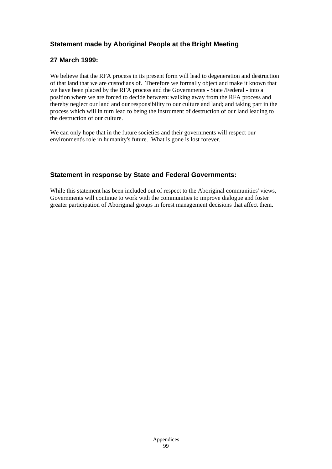### **Statement made by Aboriginal People at the Bright Meeting**

### **27 March 1999:**

We believe that the RFA process in its present form will lead to degeneration and destruction of that land that we are custodians of. Therefore we formally object and make it known that we have been placed by the RFA process and the Governments - State /Federal - into a position where we are forced to decide between: walking away from the RFA process and thereby neglect our land and our responsibility to our culture and land; and taking part in the process which will in turn lead to being the instrument of destruction of our land leading to the destruction of our culture.

We can only hope that in the future societies and their governments will respect our environment's role in humanity's future. What is gone is lost forever.

### **Statement in response by State and Federal Governments:**

While this statement has been included out of respect to the Aboriginal communities' views, Governments will continue to work with the communities to improve dialogue and foster greater participation of Aboriginal groups in forest management decisions that affect them.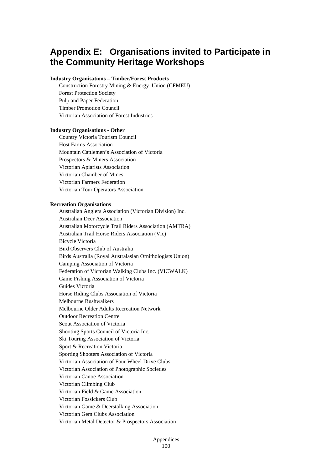## **Appendix E: Organisations invited to Participate in the Community Heritage Workshops**

#### **Industry Organisations – Timber/Forest Products**

Construction Forestry Mining & Energy Union (CFMEU) Forest Protection Society Pulp and Paper Federation Timber Promotion Council Victorian Association of Forest Industries

#### **Industry Organisations - Other**

Country Victoria Tourism Council Host Farms Association Mountain Cattlemen's Association of Victoria Prospectors & Miners Association Victorian Apiarists Association Victorian Chamber of Mines Victorian Farmers Federation Victorian Tour Operators Association

### **Recreation Organisations**

Australian Anglers Association (Victorian Division) Inc. Australian Deer Association Australian Motorcycle Trail Riders Association (AMTRA) Australian Trail Horse Riders Association (Vic) Bicycle Victoria Bird Observers Club of Australia Birds Australia (Royal Australasian Ornithologists Union) Camping Association of Victoria Federation of Victorian Walking Clubs Inc. (VICWALK) Game Fishing Association of Victoria Guides Victoria Horse Riding Clubs Association of Victoria Melbourne Bushwalkers Melbourne Older Adults Recreation Network Outdoor Recreation Centre Scout Association of Victoria Shooting Sports Council of Victoria Inc. Ski Touring Association of Victoria Sport & Recreation Victoria Sporting Shooters Association of Victoria Victorian Association of Four Wheel Drive Clubs Victorian Association of Photographic Societies Victorian Canoe Association Victorian Climbing Club Victorian Field & Game Association Victorian Fossickers Club Victorian Game & Deerstalking Association Victorian Gem Clubs Association Victorian Metal Detector & Prospectors Association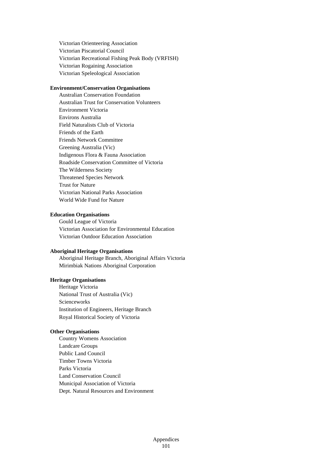Victorian Orienteering Association Victorian Piscatorial Council Victorian Recreational Fishing Peak Body (VRFISH) Victorian Rogaining Association Victorian Speleological Association

#### **Environment/Conservation Organisations**

Australian Conservation Foundation Australian Trust for Conservation Volunteers Environment Victoria Environs Australia Field Naturalists Club of Victoria Friends of the Earth Friends Network Committee Greening Australia (Vic) Indigenous Flora & Fauna Association Roadside Conservation Committee of Victoria The Wilderness Society Threatened Species Network Trust for Nature Victorian National Parks Association World Wide Fund for Nature

### **Education Organisations**

Gould League of Victoria Victorian Association for Environmental Education Victorian Outdoor Education Association

#### **Aboriginal Heritage Organisations**

Aboriginal Heritage Branch, Aboriginal Affairs Victoria Mirimbiak Nations Aboriginal Corporation

### **Heritage Organisations**

Heritage Victoria National Trust of Australia (Vic) Scienceworks Institution of Engineers, Heritage Branch Royal Historical Society of Victoria

#### **Other Organisations**

Country Womens Association Landcare Groups Public Land Council Timber Towns Victoria Parks Victoria Land Conservation Council Municipal Association of Victoria Dept. Natural Resources and Environment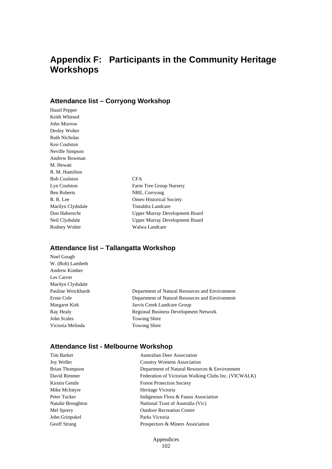## **Appendix F: Participants in the Community Heritage Workshops**

### **Attendance list – Corryong Workshop**

Hazel Pepper Keith Whitsed John Morrow Desley Wolter Ruth Nicholas Ken Coulston Neville Simpson Andrew Bowman M. Hewatt R. M. Hamilton Bob Coulston CFA Lyn Coulston Farm Tree Group Nursery Ben Roberts NRE, Corryong B. R. Lee Omeo Historical Society Marilyn Clydsdale Tintaldra Landcare Don Haberecht Upper Murray Development Board Neil Clydsdale Upper Murray Development Board Rodney Wolter Walwa Landcare

### **Attendance list – Tallangatta Workshop**

| Noel Gough         |                                                 |
|--------------------|-------------------------------------------------|
| W. (Bob) Lambeth   |                                                 |
| Andrew Kimber      |                                                 |
| Les Carver         |                                                 |
| Marilyn Clydsdale  |                                                 |
| Pauline Weickhardt | Department of Natural Resources and Environment |
| Ernie Cole         | Department of Natural Resources and Environment |
| Margaret Kirk      | Jarvis Creek Landcare Group                     |
| Ray Healy          | <b>Regional Business Development Network</b>    |
| John Scales        | <b>Towong Shire</b>                             |
| Victoria Melinda   | <b>Towong Shire</b>                             |
|                    |                                                 |

### **Attendance list - Melbourne Workshop**

| Tim Barker        | <b>Australian Deer Association</b>                   |
|-------------------|------------------------------------------------------|
| Joy Weller        | Country Womens Association                           |
| Brian Thompson    | Department of Natural Resources & Environment        |
| David Rimmer      | Federation of Victorian Walking Clubs Inc. (VICWALK) |
| Kirstin Gentle    | <b>Forest Protection Society</b>                     |
| Mike McIntyre     | Heritage Victoria                                    |
| Peter Tucker      | Indigenous Flora & Fauna Association                 |
| Natalie Broughton | National Trust of Australia (Vic)                    |
| Mel Sporry        | <b>Outdoor Recreation Centre</b>                     |
| John Grinpukel    | Parks Victoria                                       |
| Geoff Strang      | Prospectors & Miners Association                     |
|                   |                                                      |

Appendices 102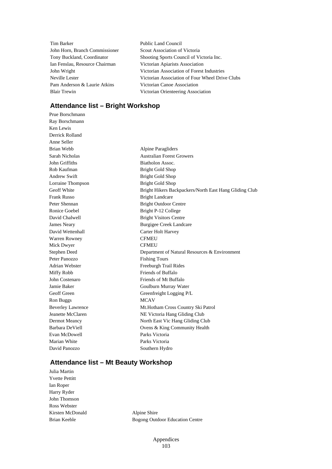| Victorian Association of Four Wheel Drive Clubs |
|-------------------------------------------------|
|                                                 |
|                                                 |
|                                                 |

### **Attendance list – Bright Workshop**

Prue Borschmann Ray Borschmann Ken Lewis Derrick Rolland Anne Seller Brian Webb Alpine Paragliders Sarah Nicholas **Australian Forest Growers John Griffiths Biatholon Assoc.** Rob Kaufman Bright Gold Shop Andrew Swift Bright Gold Shop Lorraine Thompson Bright Gold Shop Geoff White **Bright Hikers Backpackers/North East Hang Gliding Club** Frank Russo Bright Landcare Peter Shennan Bright Outdoor Centre Ronice Goebel Bright P-12 College David Chalwell Bright Visitors Centre James Neary Burgigee Creek Landcare David Wettenhall Carter Holt Harvey Warren Rowney CFMEU Mick Dwyer CFMEU Stephen Deed Department of Natural Resources & Environment Peter Panozzo Fishing Tours Adrian Webster Freeburgh Trail Rides Miffy Robb Friends of Buffalo John Costenaro Friends of Mt Buffalo Jamie Baker Goulburn Murray Water Geoff Green Greenfreight Logging P/L Ron Buggs MCAV Beverley Lawrence Mt.Hotham Cross Country Ski Patrol Jeanette McClaren NE Victoria Hang Gliding Club Dermot Meancy North East Vic Hang Gliding Club Barbara DeViell **Ovens & King Community Health** Evan McDowell Parks Victoria Marian White Parks Victoria David Panozzo Southern Hydro

### **Attendance list – Mt Beauty Workshop**

Julia Martin Yvette Pettitt Ian Roper Harry Ryder John Thomson Ross Webster Kirsten McDonald Alpine Shire

Brian Keeble Bogong Outdoor Education Centre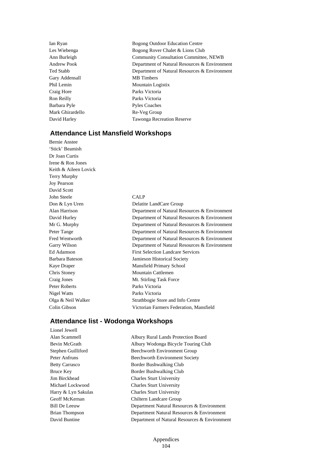Ian Ryan Bogong Outdoor Education Centre Les Wiebenga Bogong Rover Chalet & Lions Club Ann Burleigh Community Consultation Committee, NEWB Andrew Pook Department of Natural Resources & Environment Ted Stabb Department of Natural Resources & Environment Gary Addensall MB Timbers Phil Lemin Mountain Logistix Craig Hore Parks Victoria Ron Reilly Parks Victoria Barbara Pyle Pyles Coaches Mark Ghirardello Re-Veg Group David Harley Tawonga Recreation Reserve

### **Attendance List Mansfield Workshops**

Bernie Anstee 'Stick' Beamish Dr Joan Curtis Irene & Ron Jones Keith & Aileen Lovick Terry Murphy Joy Pearson David Scott John Steele CALP Don & Lyn Uren Delatite LandCare Group Alan Harrison Department of Natural Resources & Environment David Hurley Department of Natural Resources & Environment Mr G. Murphy Department of Natural Resources & Environment Peter Tange Department of Natural Resources & Environment Fred Wentworth Department of Natural Resources & Environment Garry Wilson Department of Natural Resources & Environment Ed Adamson First Selection Landcare Services Barbara Bateson Jamieson Historical Society Kaye Draper Mansfield Primary School Chris Stoney Mountain Cattlemen Craig Jones Mt. Stirling Task Force Peter Roberts Parks Victoria Nigel Watts Parks Victoria Olga & Neil Walker Strathbogie Store and Info Centre Colin Gibson Victorian Farmers Federation, Mansfield

### **Attendance list - Wodonga Workshops**

Lionel Jewell Alan Scammell Albury Rural Lands Protection Board Bevin McGrath Albury Wodonga Bicycle Touring Club Stephen Guilliford Beechworth Environment Group Peter Anfruns Beechworth Environment Society Betty Carrasco Border Bushwalking Club Bruce Key Border Bushwalking Club Jim Birckhead Charles Sturt University Michael Lockwood Charles Sturt University Harry & Lyn Sakulas Charles Sturt University Geoff McKernan Chiltern Landcare Group Bill De Leeuw Department Natural Resources & Environment Brian Thompson Department Natural Resources & Environment David Buntine Department of Natural Resources & Environment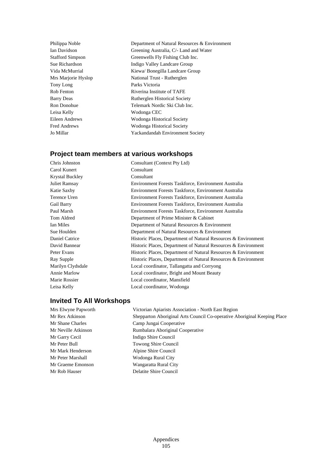Tony Long Parks Victoria Leisa Kelly Wodonga CEC

Philippa Noble Department of Natural Resources & Environment Ian Davidson Greening Australia, C/- Land and Water Stafford Simpson Greenwells Fly Fishing Club Inc. Sue Richardson Indigo Valley Landcare Group Vida McMurrial Kiewa/ Bonegilla Landcare Group Mrs Marjorie Hyslop National Trust - Rutherglen Rob Fenton Riverina Institute of TAFE Barry Deas Rutherglen Historical Society Ron Donohue Telemark Nordic Ski Club Inc. Eileen Andrews Wodonga Historical Society Fred Andrews Wodonga Historical Society Jo Millar Yackandandah Environment Society

### **Project team members at various workshops**

| Chris Johnston    | Consultant (Context Pty Ltd)                                   |
|-------------------|----------------------------------------------------------------|
| Carol Kunert      | Consultant                                                     |
| Krystal Buckley   | Consultant                                                     |
| Juliet Ramsay     | Environment Forests Taskforce, Environment Australia           |
| Katie Saxby       | Environment Forests Taskforce, Environment Australia           |
| Terence Uren      | Environment Forests Taskforce, Environment Australia           |
| Gail Barry        | Environment Forests Taskforce, Environment Australia           |
| Paul Marsh        | Environment Forests Taskforce, Environment Australia           |
| Tom Aldred        | Department of Prime Minister & Cabinet                         |
| Ian Miles         | Department of Natural Resources & Environment                  |
| Sue Houlden       | Department of Natural Resources & Environment                  |
| Daniel Catrice    | Historic Places, Department of Natural Resources & Environment |
| David Bannear     | Historic Places, Department of Natural Resources & Environment |
| Peter Evans       | Historic Places, Department of Natural Resources & Environment |
| Ray Supple        | Historic Places, Department of Natural Resources & Environment |
| Marilyn Clydsdale | Local coordinator, Tallangatta and Corryong                    |
| Annie Marlow      | Local coordinator, Bright and Mount Beauty                     |
| Marie Rossier     | Local coordinator, Mansfield                                   |
| Leisa Kelly       | Local coordinator, Wodonga                                     |
|                   |                                                                |

### **Invited To All Workshops**

| Mrs Elwyne Papworth | Victorian Apiarists Association - North East Region                      |
|---------------------|--------------------------------------------------------------------------|
| Mr Rex Atkinson     | Shepparton Aboriginal Arts Council Co-operative Aboriginal Keeping Place |
| Mr Shane Charles    | Camp Jungai Cooperative                                                  |
| Mr Neville Atkinson | Rumbalara Aboriginal Cooperative                                         |
| Mr Garry Cecil      | Indigo Shire Council                                                     |
| Mr Peter Bull       | Towong Shire Council                                                     |
| Mr Mark Henderson   | Alpine Shire Council                                                     |
| Mr Peter Marshall   | Wodonga Rural City                                                       |
| Mr Graeme Emonson   | Wangaratta Rural City                                                    |
| Mr Rob Hauser       | Delatite Shire Council                                                   |
|                     |                                                                          |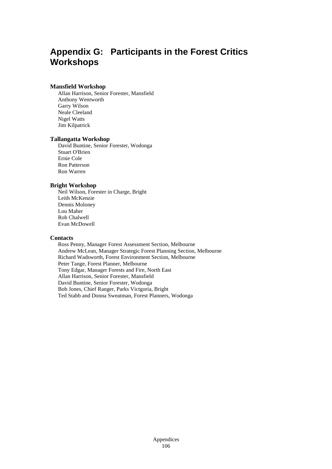# **Appendix G: Participants in the Forest Critics Workshops**

#### **Mansfield Workshop**

Allan Harrison, Senior Forester, Mansfield Anthony Wentworth Garry Wilson Neale Cleeland Nigel Watts Jim Kilpatrick

#### **Tallangatta Workshop**

David Buntine, Senior Forester, Wodonga Stuart O'Brien Ernie Cole Ron Patterson Ron Warren

#### **Bright Workshop**

Neil Wilson, Forester in Charge, Bright Leith McKenzie Dennis Moloney Lou Maher Rob Chalwell Evan McDowell

### **Contacts**

Ross Penny, Manager Forest Assessment Section, Melbourne Andrew McLean, Manager Strategic Forest Planning Section, Melbourne Richard Wadsworth, Forest Environment Section, Melbourne Peter Tange, Forest Planner, Melbourne Tony Edgar, Manager Forests and Fire, North East Allan Harrison, Senior Forester, Mansfield David Buntine, Senior Forester, Wodonga Bob Jones, Chief Ranger, Parks Victgoria, Bright Ted Stabb and Donna Sweatman, Forest Planners, Wodonga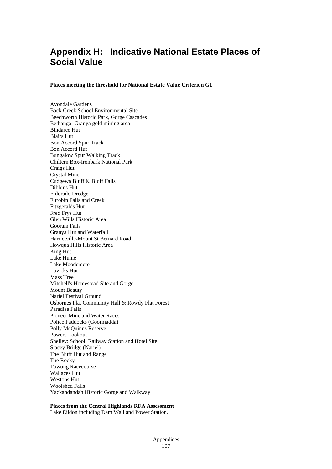## **Appendix H: Indicative National Estate Places of Social Value**

**Places meeting the threshold for National Estate Value Criterion G1**

Avondale Gardens Back Creek School Environmental Site Beechworth Historic Park, Gorge Cascades Bethanga- Granya gold mining area Bindaree Hut Blairs Hut Bon Accord Spur Track Bon Accord Hut Bungalow Spur Walking Track Chiltern Box-Ironbark National Park Craigs Hut Crystal Mine Cudgewa Bluff & Bluff Falls Dibbins Hut Eldorado Dredge Eurobin Falls and Creek Fitzgeralds Hut Fred Frys Hut Glen Wills Historic Area Gooram Falls Granya Hut and Waterfall Harrietville-Mount St Bernard Road Howqua Hills Historic Area King Hut Lake Hume Lake Moodemere Lovicks Hut Mass Tree Mitchell's Homestead Site and Gorge Mount Beauty Nariel Festival Ground Osbornes Flat Community Hall & Rowdy Flat Forest Paradise Falls Pioneer Mine and Water Races Police Paddocks (Goormadda) Polly McQuinns Reserve Powers Lookout Shelley: School, Railway Station and Hotel Site Stacey Bridge (Nariel) The Bluff Hut and Range The Rocky Towong Racecourse Wallaces Hut Westons Hut Woolshed Falls Yackandandah Historic Gorge and Walkway

**Places from the Central Highlands RFA Assessment**

Lake Eildon including Dam Wall and Power Station.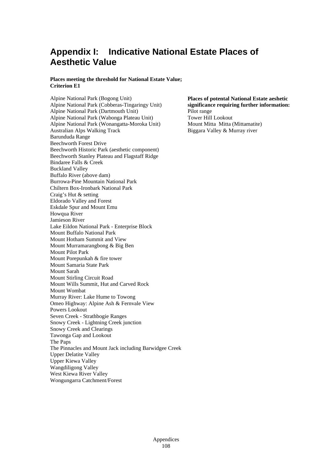# **Appendix I: Indicative National Estate Places of Aesthetic Value**

### **Places meeting the threshold for National Estate Value; Criterion E1**

Alpine National Park (Bogong Unit) Alpine National Park (Cobberas-Tingaringy Unit) Alpine National Park (Dartmouth Unit) Alpine National Park (Wabonga Plateau Unit) Alpine National Park (Wonangatta-Moroka Unit) Australian Alps Walking Track Barunduda Range Beechworth Forest Drive Beechworth Historic Park (aesthetic component) Beechworth Stanley Plateau and Flagstaff Ridge Bindaree Falls & Creek Buckland Valley Buffalo River (above dam) Burrowa-Pine Mountain National Park Chiltern Box-Ironbark National Park Craig's Hut & setting Eldorado Valley and Forest Eskdale Spur and Mount Emu Howqua River Jamieson River Lake Eildon National Park - Enterprise Block Mount Buffalo National Park Mount Hotham Summit and View Mount Murramarangbong & Big Ben Mount Pilot Park Mount Porepunkah & fire tower Mount Samaria State Park Mount Sarah Mount Stirling Circuit Road Mount Wills Summit, Hut and Carved Rock Mount Wombat Murray River: Lake Hume to Towong Omeo Highway: Alpine Ash & Fernvale View Powers Lookout Seven Creek - Strathbogie Ranges Snowy Creek - Lightning Creek junction Snowy Creek and Clearings Tawonga Gap and Lookout The Paps The Pinnacles and Mount Jack including Barwidgee Creek Upper Delatite Valley Upper Kiewa Valley Wangdiligong Valley West Kiewa River Valley Wongungarra Catchment/Forest

**Places of potental National Estate aeshetic significance requiring further information:** Pilot range Tower Hill Lookout Mount Mitta Mitta (Mittamatite) Biggara Valley & Murray river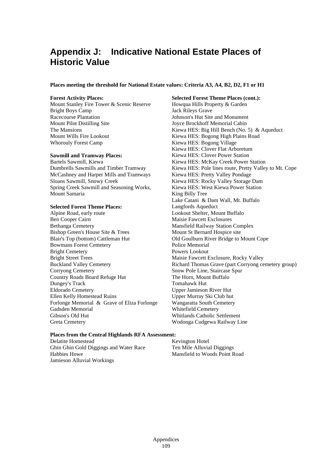# **Appendix J: Indicative National Estate Places of Historic Value**

#### **Places meeting the threshold for National Estate values: Criteria A3, A4, B2, D2, F1 or H1**

#### **Forest Activity Places:**

Mount Stanley Fire Tower & Scenic Reserve Bright Boys Camp Racecourse Plantation Mount Pilot Distilling Site The Mansions Mount Wills Fire Lookout Whorouly Forest Camp

#### **Sawmill and Tramway Places:**

Bartels Sawmill, Kiewa Dumbrells Sawmills and Timber Tramway McCashney and Harper Mills and Tramways Sloans Sawmill, Snowy Creek Spring Creek Sawmill and Seasoning Works, Mount Samaria

#### **Selected Forest Theme Places:**

Alpine Road, early route Ben Cooper Cairn Bethanga Cemetery Bishop Green's House Site & Trees Blair's Top (bottom) Cattleman Hut Bowmans Forest Cemetery Bright Cemetery Bright Street Trees Buckland Valley Cemetery Corryong Cemetery Country Roads Board Refuge Hut Dungey's Track Eldorado Cemetery Ellen Kelly Homestead Ruins Forlonge Memorial & Grave of Eliza Forlonge Gadsden Memorial Gibson's Old Hut Greta Cemetery

#### **Selected Forest Theme Places (cont.):**

Howqua Hills Property & Garden Jack Rileys Grave Johnson's Hut Site and Monument Joyce Brockhoff Memorial Cabin Kiewa HES: Big Hill Bench (No. 5) & Aqueduct Kiewa HES: Bogong High Plains Road Kiewa HES: Bogong Village Kiewa HES: Clover Flat Arboretum Kiewa HES: Clover Power Station Kiewa HES: McKay Creek Power Station Kiewa HES: Pole lines route, Pretty Valley to Mt. Cope Kiewa HES: Pretty Valley Pondage Kiewa HES: Rocky Valley Storage Dam Kiewa HES: West Kiewa Power Station King Billy Tree Lake Catani & Dam Wall, Mt. Buffalo Langfords Aqueduct Lookout Shelter, Mount Buffalo Maisie Fawcett Exclosures Mansfield Railway Station Complex Mount St Bernard Hospice site Old Goulburn River Bridge to Mount Cope Police Memorial Powers Lookout Maisie Fawcett Exclosure, Rocky Valley Richard Thomas Grave (part Corryong cemetery group) Snow Pole Line, Staircase Spur The Horn, Mount Buffalo Tomahawk Hut Upper Jamieson River Hut Upper Murray Ski Club hut Wangaratta South Cemetery Whitefield Cemetery Whitlands Catholic Settlement Wodonga Cudgewa Railway Line

### **Places from the Central Highlands RFA Assessment:**

Delatite Homestead Kevington Hotel Ghin Ghin Gold Diggings and Water Race Ten Mile Alluvial Diggings Habbies Howe Mansfield to Woods Point Road Jamieson Alluvial Workings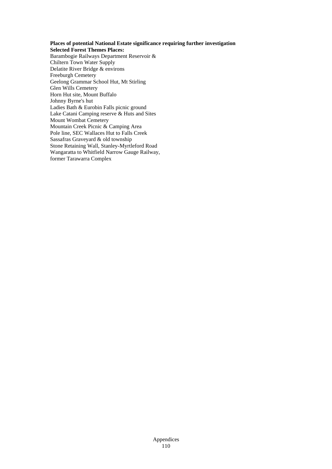#### **Places of potential National Estate significance requiring further investigation Selected Forest Themes Places:**

Barambogie Railways Department Reservoir & Chiltern Town Water Supply Delatite River Bridge & environs Freeburgh Cemetery Geelong Grammar School Hut, Mt Stirling Glen Wills Cemetery Horn Hut site, Mount Buffalo Johnny Byrne's hut Ladies Bath & Eurobin Falls picnic ground Lake Catani Camping reserve & Huts and Sites Mount Wombat Cemetery Mountain Creek Picnic & Camping Area Pole line, SEC Wallaces Hut to Falls Creek Sassafras Graveyard & old township Stone Retaining Wall, Stanley-Myrtleford Road Wangaratta to Whitfield Narrow Gauge Railway, former Tarawarra Complex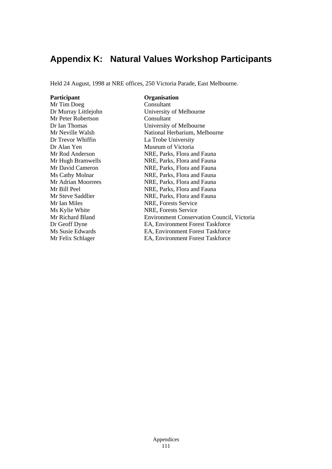### **Appendix K: Natural Values Workshop Participants**

Held 24 August, 1998 at NRE offices, 250 Victoria Parade, East Melbourne.

### **Participant Organisation**

# Mr Tim Doeg Consultant Mr Peter Robertson Consultant Dr Trevor Whiffin La Trobe University Dr Alan Yen Museum of Victoria Mr Ian Miles NRE, Forests Service Ms Kylie White NRE, Forests Service

# Dr Murray Littlejohn University of Melbourne Dr Ian Thomas University of Melbourne Mr Neville Walsh National Herbarium, Melbourne Mr Rod Anderson NRE, Parks, Flora and Fauna Mr Hugh Bramwells NRE, Parks, Flora and Fauna Mr David Cameron NRE, Parks, Flora and Fauna Ms Cathy Molnar NRE, Parks, Flora and Fauna Mr Adrian Moorrees NRE, Parks, Flora and Fauna Mr Bill Peel NRE, Parks, Flora and Fauna Mr Steve Saddlier NRE, Parks, Flora and Fauna Mr Richard Bland Environment Conservation Council, Victoria Dr Geoff Dyne EA, Environment Forest Taskforce Ms Susie Edwards EA, Environment Forest Taskforce Mr Felix Schlager EA, Environment Forest Taskforce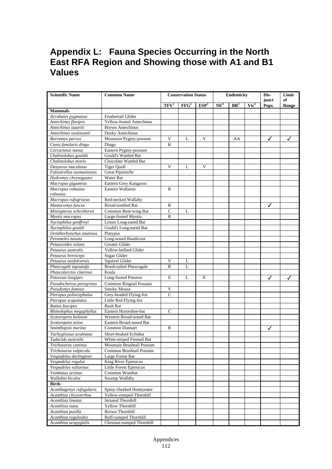# **Appendix L: Fauna Species Occurring in the North East RFA Region and Showing those with A1 and B1 Values**

| <b>Scientific Name</b>     | <b>Common Name</b>              |                  | <b>Conservation Status</b>           |                  | <b>Endemicity</b> |                 |                  | Dis-<br>junct | Limit<br>of |
|----------------------------|---------------------------------|------------------|--------------------------------------|------------------|-------------------|-----------------|------------------|---------------|-------------|
|                            |                                 | TFV <sup>1</sup> | $\mathbf{F} \mathbf{F} \mathbf{G}^2$ | ESP <sup>3</sup> | NE <sup>4</sup>   | BR <sup>5</sup> | $\mathbf{Vic}^6$ | Pops.         | Range       |
| <b>Mammals</b>             |                                 |                  |                                      |                  |                   |                 |                  |               |             |
| Acrobates pygmaeus         | Feathertail Glider              |                  |                                      |                  |                   |                 |                  |               |             |
| Antechinus flavipes        | <b>Yellow-footed Antechinus</b> |                  |                                      |                  |                   |                 |                  |               |             |
| Antechinus stuartii        | <b>Brown Antechinus</b>         |                  |                                      |                  |                   |                 |                  |               |             |
| Antechinus swainsonii      | <b>Dusky Antechinus</b>         |                  |                                      |                  |                   |                 |                  |               |             |
| <b>Burramys</b> parvus     | Mountain Pygmy-possum           | V                | L                                    | V                |                   | AA              |                  |               |             |
| Canis familaris dingo      | Dingo                           | K                |                                      |                  |                   |                 |                  |               |             |
| Cercartetus nanus          | Eastern Pygmy-possum            |                  |                                      |                  |                   |                 |                  |               |             |
| Chalinolobus gouldii       | Gould's Wattled Bat             |                  |                                      |                  |                   |                 |                  |               |             |
| Chalinolobus morio         | Chocolate Wattled Bat           |                  |                                      |                  |                   |                 |                  |               |             |
| Dasyurus maculatus         | <b>Tiger Quoll</b>              | V                | L                                    | V                |                   |                 |                  |               |             |
| Falsistrellus tasmaniensis | <b>Great Pipistrelle</b>        |                  |                                      |                  |                   |                 |                  |               |             |
| Hydromys chrysogaster      | Water Rat                       |                  |                                      |                  |                   |                 |                  |               |             |
| Macropus giganteus         | Eastern Grey Kangaroo           |                  |                                      |                  |                   |                 |                  |               |             |
| Macropus robustus          | Eastern Wallaroo                | R                |                                      |                  |                   |                 |                  |               |             |
| robustus                   |                                 |                  |                                      |                  |                   |                 |                  |               |             |
| Macropus rufogriseus       | Red-necked Wallaby              |                  |                                      |                  |                   |                 |                  |               |             |
| Mastacomys fuscus          | <b>Broad-toothed Rat</b>        | $\mathbb{R}$     |                                      |                  |                   |                 |                  | ✓             |             |
| Miniopterus schreibersii   | Common Bent-wing Bat            | $\mathsf{C}$     | L                                    |                  |                   |                 |                  |               |             |
| Myotis macropus            | Large-footed Myotis             | $\mathbb{R}$     |                                      |                  |                   |                 |                  |               |             |
| Nyctophilus geoffroyi      | Lesser Long-eared Bat           |                  |                                      |                  |                   |                 |                  |               |             |
| Nyctophilus gouldi         | Gould's Long-eared Bat          |                  |                                      |                  |                   |                 |                  |               |             |
| Ornithorhynchus anatinus   | Platypus                        |                  |                                      |                  |                   |                 |                  |               |             |
| Perameles nasuta           | Long-nosed Bandicoot            |                  |                                      |                  |                   |                 |                  |               |             |
| Petauroides volans         | Greater Glider                  |                  |                                      |                  |                   |                 |                  |               |             |
| Petaurus australis         | Yellow-bellied Glider           |                  |                                      |                  |                   |                 |                  |               |             |
| Petaurus breviceps         | Sugar Glider                    |                  |                                      |                  |                   |                 |                  |               |             |
| Petaurus norfolcensis      | Squirrel Glider                 | V                | L                                    |                  |                   |                 |                  |               |             |
| Phascogale tapoatafa       | <b>Brush-tailed Phascogale</b>  | R                | L                                    |                  |                   |                 |                  |               |             |
| Phascolarctos cinereus     | Koala                           |                  |                                      |                  |                   |                 |                  |               |             |
| Potorous longipes          | Long-footed Potoroo             | E                | L                                    | E                |                   |                 |                  | ✓             |             |
| Pseudocheirus peregrinus   | Common Ringtail Possum          |                  |                                      |                  |                   |                 |                  |               |             |
| Pseudomys fumeus           | <b>Smoky Mouse</b>              | V                |                                      |                  |                   |                 |                  |               |             |
| Pteropus poliocephalus     | Grey-headed Flying-fox          | $\mathsf{C}$     |                                      |                  |                   |                 |                  |               |             |
| Pteropus scapulatus        | Little Red Flying-fox           |                  |                                      |                  |                   |                 |                  |               |             |
| Rattus fuscipes            | <b>Bush Rat</b>                 |                  |                                      |                  |                   |                 |                  |               |             |
| Rhinolophus megaphyllus    | Eastern Horseshoe-bat           | $\mathsf{C}$     |                                      |                  |                   |                 |                  |               |             |
| Scotorepens balstoni       | Western Broad-nosed Bat         |                  |                                      |                  |                   |                 |                  |               |             |
| Scotorepens orion          | Eastern Broad-nosed Bat         |                  |                                      |                  |                   |                 |                  |               |             |
| Sminthopsis murina         | <b>Common Dunnart</b>           | R                |                                      |                  |                   |                 |                  |               |             |
| Tachyglossus aculeatus     | Short-beaked Echidna            |                  |                                      |                  |                   |                 |                  |               |             |
| Tadarida australis         | White-striped Freetail Bat      |                  |                                      |                  |                   |                 |                  |               |             |
| Trichosurus caninus        | Mountain Brushtail Possum       |                  |                                      |                  |                   |                 |                  |               |             |
| Trichosurus vulpecula      | Common Brushtail Possum         |                  |                                      |                  |                   |                 |                  |               |             |
| Vespadelus darlingtoni     | Large Forest Bat                |                  |                                      |                  |                   |                 |                  |               |             |
| Vespadelus regulus         | <b>King River Eptesicus</b>     |                  |                                      |                  |                   |                 |                  |               |             |
| Vespadelus vulturnus       | <b>Little Forest Eptesicus</b>  |                  |                                      |                  |                   |                 |                  |               |             |
| Vombatus ursinus           | Common Wombat                   |                  |                                      |                  |                   |                 |                  |               |             |
| Wallabia bicolor           | Swamp Wallaby                   |                  |                                      |                  |                   |                 |                  |               |             |
| <b>Birds</b>               |                                 |                  |                                      |                  |                   |                 |                  |               |             |
| Acanthagenys rufogularis   | Spiny-cheeked Honeyeater        |                  |                                      |                  |                   |                 |                  |               |             |
| Acanthiza chrysorrhoa      | Yellow-rumped Thornbill         |                  |                                      |                  |                   |                 |                  |               |             |
| Acanthiza lineata          | <b>Striated Thornbill</b>       |                  |                                      |                  |                   |                 |                  |               |             |
| Acanthiza nana             | Yellow Thornbill                |                  |                                      |                  |                   |                 |                  |               |             |
| Acanthiza pusilla          | <b>Brown Thornbill</b>          |                  |                                      |                  |                   |                 |                  |               |             |
| Acanthiza reguloides       | <b>Buff-rumped Thornbill</b>    |                  |                                      |                  |                   |                 |                  |               |             |
| Acanthiza uropygialis      | Chestnut-rumped Thornbill       |                  |                                      |                  |                   |                 |                  |               |             |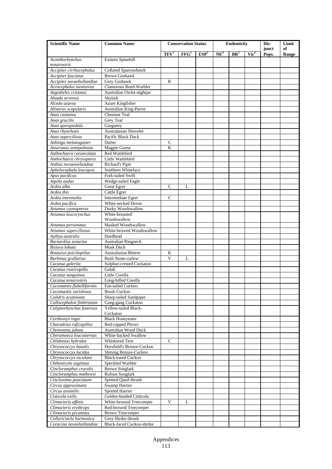| <b>Scientific Name</b>                             | <b>Common Name</b>                                     |                  | <b>Conservation Status</b> |                  | <b>Endemicity</b> |                 |                  | Dis-           | Limit       |
|----------------------------------------------------|--------------------------------------------------------|------------------|----------------------------|------------------|-------------------|-----------------|------------------|----------------|-------------|
|                                                    |                                                        | TFV <sup>1</sup> | $\mathbf{FFG}^2$           | ESP <sup>3</sup> | NE <sup>4</sup>   | BR <sup>5</sup> | $\mathbf{Vic}^6$ | junct<br>Pops. | of<br>Range |
| Acanthorhynchus                                    | Eastern Spinebill                                      |                  |                            |                  |                   |                 |                  |                |             |
| tenuirostris                                       |                                                        |                  |                            |                  |                   |                 |                  |                |             |
| Accipiter cirrhocephalus                           | Collared Sparrowhawk<br><b>Brown Goshawk</b>           |                  |                            |                  |                   |                 |                  |                |             |
| Accipiter fasciatus<br>Accipiter novaehollandiae   | <b>Grev Goshawk</b>                                    | R                |                            |                  |                   |                 |                  |                |             |
| Acrocephalus stentoreus                            | Clamorous Reed-Warbler                                 |                  |                            |                  |                   |                 |                  |                |             |
| Aegotheles cristatus                               | Australian Owlet-nightjar                              |                  |                            |                  |                   |                 |                  |                |             |
| Alauda arvensis                                    | <b>Skylark</b>                                         |                  |                            |                  |                   |                 |                  |                |             |
| Alcedo azurea                                      | <b>Azure Kingfisher</b>                                |                  |                            |                  |                   |                 |                  |                |             |
| Alisterus scapularis                               | <b>Australian King-Parrot</b>                          |                  |                            |                  |                   |                 |                  |                |             |
| Anas castanea                                      | <b>Chestnut Teal</b>                                   |                  |                            |                  |                   |                 |                  |                |             |
| Anas gracilis                                      | <b>Grey Teal</b>                                       |                  |                            |                  |                   |                 |                  |                |             |
| Anas querquedula                                   | Garganey                                               |                  |                            |                  |                   |                 |                  |                |             |
| Anas rhynchotis                                    | Australasian Shoveler                                  |                  |                            |                  |                   |                 |                  |                |             |
| Anas superciliosa                                  | Pacific Black Duck                                     |                  |                            |                  |                   |                 |                  |                |             |
| Anhinga melanogaster                               | Darter                                                 | $\mathcal{C}$    |                            |                  |                   |                 |                  |                |             |
| Anseranas semipalmata<br>Anthochaera carunculata   | Magpie Goose<br>Red Wattlebird                         | K                |                            |                  |                   |                 |                  |                |             |
| Anthochaera chrysoptera                            | Little Wattlebird                                      |                  |                            |                  |                   |                 |                  |                |             |
| Anthus novaeseelandiae                             | Richard's Pipit                                        |                  |                            |                  |                   |                 |                  |                |             |
| Aphelocephala leucopsis                            | Southern Whiteface                                     |                  |                            |                  |                   |                 |                  |                |             |
| Apus pacificus                                     | Fork-tailed Swift                                      |                  |                            |                  |                   |                 |                  |                |             |
| Aquila audax                                       | Wedge-tailed Eagle                                     |                  |                            |                  |                   |                 |                  |                |             |
| Ardea alba                                         | <b>Great Egret</b>                                     | C                | L                          |                  |                   |                 |                  |                |             |
| Ardea ibis                                         | <b>Cattle Egret</b>                                    |                  |                            |                  |                   |                 |                  |                |             |
| Ardea intermedia                                   | <b>Intermediate Egret</b>                              | $\mathcal{C}$    |                            |                  |                   |                 |                  |                |             |
| Ardea pacifica                                     | White-necked Heron                                     |                  |                            |                  |                   |                 |                  |                |             |
| Artamus cyanopterus                                | Dusky Woodswallow                                      |                  |                            |                  |                   |                 |                  |                |             |
| Artamus leucorynchus                               | White-breasted                                         |                  |                            |                  |                   |                 |                  |                |             |
| Artamus personatus                                 | Woodswallow<br>Masked Woodswallow                      |                  |                            |                  |                   |                 |                  |                |             |
| Artamus superciliosus                              | White-browed Woodswallow                               |                  |                            |                  |                   |                 |                  |                |             |
| Aythya australis                                   | Hardhead                                               |                  |                            |                  |                   |                 |                  |                |             |
| Barnardius zonarius                                | <b>Australian Ringneck</b>                             |                  |                            |                  |                   |                 |                  |                |             |
| Biziura lobata                                     | Musk Duck                                              |                  |                            |                  |                   |                 |                  |                |             |
| <b>Botaurus</b> poiciloptilus                      | <b>Australasian Bittern</b>                            | K                |                            |                  |                   |                 |                  |                |             |
| <b>Burhinus</b> grallarius                         | <b>Bush Stone-curlew</b>                               | V                | L                          |                  |                   |                 |                  |                |             |
| Cacatua galerita                                   | Sulphur-crested Cockatoo                               |                  |                            |                  |                   |                 |                  |                |             |
| Cacatua roseicapilla                               | Galah                                                  |                  |                            |                  |                   |                 |                  |                |             |
| Cacatua sanguinea                                  | Little Corella                                         |                  |                            |                  |                   |                 |                  |                |             |
| Cacatua tenuirostris                               | Long-billed Corella                                    |                  |                            |                  |                   |                 |                  |                |             |
| Cacomantis flabelliformis<br>Cacomantis variolosus | Fan-tailed Cuckoo<br><b>Brush Cuckoo</b>               |                  |                            |                  |                   |                 |                  |                |             |
| Calidris acuminata                                 | Sharp-tailed Sandpiper                                 |                  |                            |                  |                   |                 |                  |                |             |
| Callocephalon fimbriatum                           | Gang-gang Cockatoo                                     |                  |                            |                  |                   |                 |                  |                |             |
| Calyptorhynchus funereus                           | Yellow-tailed Black-                                   |                  |                            |                  |                   |                 |                  |                |             |
|                                                    | Cockatoo                                               |                  |                            |                  |                   |                 |                  |                |             |
| Certhionyx niger                                   | <b>Black Honeyeater</b>                                |                  |                            |                  |                   |                 |                  |                |             |
| Charadrius ruficapillus                            | Red-capped Plover                                      |                  |                            |                  |                   |                 |                  |                |             |
| Chenonetta jubata                                  | <b>Australian Wood Duck</b>                            |                  |                            |                  |                   |                 |                  |                |             |
| Cheramoeca leucosternus                            | White-backed Swallow                                   |                  |                            |                  |                   |                 |                  |                |             |
| Chlidonias hybridus                                | <b>Whiskered Tern</b>                                  | $\mathsf{C}$     |                            |                  |                   |                 |                  |                |             |
| Chrysococcyx basalis<br>Chrysococcyx lucidus       | Horsfield's Bronze-Cuckoo<br>Shining Bronze-Cuckoo     |                  |                            |                  |                   |                 |                  |                |             |
| Chrysococcyx osculans                              | <b>Black-eared Cuckoo</b>                              |                  |                            |                  |                   |                 |                  |                |             |
| Chthonicola sagittata                              | Speckled Warbler                                       |                  |                            |                  |                   |                 |                  |                |             |
| Cincloramphus cruralis                             | <b>Brown Songlark</b>                                  |                  |                            |                  |                   |                 |                  |                |             |
| Cincloramphus mathewsi                             | <b>Rufous Songlark</b>                                 |                  |                            |                  |                   |                 |                  |                |             |
| Cinclosoma punctatum                               | Spotted Quail-thrush                                   |                  |                            |                  |                   |                 |                  |                |             |
| Circus approximans                                 | Swamp Harrier                                          |                  |                            |                  |                   |                 |                  |                |             |
| Circus assimilis                                   | <b>Spotted Harrier</b>                                 |                  |                            |                  |                   |                 |                  |                |             |
| Cisticola exilis                                   | Golden-headed Cisticola                                |                  |                            |                  |                   |                 |                  |                |             |
| Climacteris affinis                                | White-browed Treecreeper                               | V                | L                          |                  |                   |                 |                  |                |             |
| Climacteris erythrops                              | Red-browed Treecreeper                                 |                  |                            |                  |                   |                 |                  |                |             |
| Climacteris picumnus                               | <b>Brown Treecreeper</b>                               |                  |                            |                  |                   |                 |                  |                |             |
| Colluricincla harmonica                            | Grey Shrike-thrush<br><b>Black-faced Cuckoo-shrike</b> |                  |                            |                  |                   |                 |                  |                |             |
| Coracina novaehollandiae                           |                                                        |                  |                            |                  |                   |                 |                  |                |             |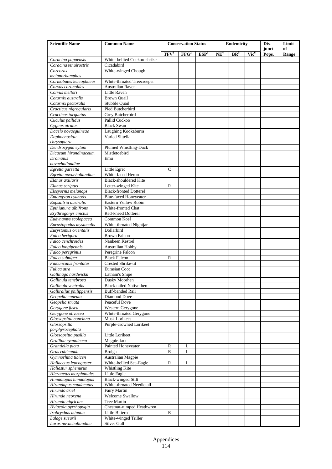| $\overline{\text{FFG}^2}$<br>TFV <sup>1</sup><br>ESP <sup>3</sup><br>NE <sup>4</sup><br>BR <sup>5</sup><br>$\mathrm{Vic}^6$<br>Pops.<br>Range<br>White-bellied Cuckoo-shrike<br>Coracina papuensis<br>Coracina tenuirostris<br>Cicadabird<br>White-winged Chough<br>Corcorax<br>melanorhamphos<br>Cormobates leucophaeus<br>White-throated Treecreeper<br>Corvus coronoides<br>Australian Raven<br>Corvus mellori<br>Little Raven<br>Coturnix australis<br><b>Brown Quail</b><br>Stubble Quail<br>Coturnix pectoralis<br>Cracticus nigrogularis<br>Pied Butcherbird<br>Grey Butcherbird<br>Cracticus torquatus<br>Cuculus pallidus<br>Pallid Cuckoo<br>Cygnus atratus<br><b>Black Swan</b><br>Laughing Kookaburra<br>Dacelo novaeguineae<br>Varied Sittella<br>Daphoenositta<br>chrysoptera<br>Dendrocygna eytoni<br>Plumed Whistling-Duck<br>Dicaeum hirundinaceum<br>Mistletoebird<br><b>Dromaius</b><br>Emu<br>novaehollandiae<br>Little Egret<br>$\mathsf{C}$<br>Egretta garzetta<br>White-faced Heron<br>Egretta novaehollandiae<br>Elanus axillaris<br><b>Black-shouldered Kite</b><br>Letter-winged Kite<br>R<br>Elanus scriptus<br><b>Black-fronted Dotterel</b><br>Elseyornis melanops<br><b>Blue-faced Honeyeater</b><br>Entomyzon cyanotis<br>Eopsaltria australis<br>Eastern Yellow Robin<br>White-fronted Chat<br>Epthianura albifrons<br>Erythrogonys cinctus<br>Red-kneed Dotterel<br>Eudynamys scolopacea<br>Common Koel<br>White-throated Nightjar<br>Eurostopodus mystacalis<br>Eurystomus orientalis<br>Dollarbird<br>Falco berigora<br><b>Brown Falcon</b><br>Falco cenchroides<br>Nankeen Kestrel<br>Falco longipennis<br><b>Australian Hobby</b><br>Falco peregrinus<br>Peregrine Falcon<br>Falco subniger<br><b>Black Falcon</b><br>R<br>Crested Shrike-tit<br>Falcunculus frontatus<br>Fulica atra<br>Eurasian Coot<br>Gallinago hardwickii<br>Latham's Snipe<br>Gallinula tenebrosa<br>Dusky Moorhen<br>Gallinula ventralis<br><b>Black-tailed Native-hen</b><br>Gallirallus philippensis<br><b>Buff-banded Rail</b><br>Diamond Dove<br>Geopelia cuneata<br>Peaceful Dove<br>Geopelia striata<br>Gerygone fusca<br>Western Gerygone<br>Gerygone olivacea<br>White-throated Gerygone<br>Glossopsitta concinna<br>Musk Lorikeet<br>Glossopsitta<br>Purple-crowned Lorikeet<br>porphyrocephala<br>Glossopsitta pusilla<br>Little Lorikeet<br>Magpie-lark<br>Grallina cyanoleuca<br>Grantiella picta<br>Painted Honeyeater<br>R<br>L<br>Grus rubicunda<br>L<br><b>Brolga</b><br>R<br>Gymnorhina tibicen<br>Australian Magpie<br>White-bellied Sea-Eagle<br>Haliaeetus leucogaster<br>R<br>L<br>Haliastur sphenurus<br>Whistling Kite<br>Hieraaetus morphnoides<br>Little Eagle<br>Himantopus himantopus<br><b>Black-winged Stilt</b><br>White-throated Needletail<br>Hirundapus caudacutus<br>Hirundo ariel<br>Fairy Martin<br><b>Welcome Swallow</b><br>Hirundo neoxena<br><b>Tree Martin</b><br>Hirundo nigricans<br>Hylacola pyrrhopygia<br>Chestnut-rumped Heathwren | <b>Scientific Name</b> | <b>Common Name</b> | <b>Conservation Status</b> |  | <b>Endemicity</b> | Dis- | Limit |    |
|-----------------------------------------------------------------------------------------------------------------------------------------------------------------------------------------------------------------------------------------------------------------------------------------------------------------------------------------------------------------------------------------------------------------------------------------------------------------------------------------------------------------------------------------------------------------------------------------------------------------------------------------------------------------------------------------------------------------------------------------------------------------------------------------------------------------------------------------------------------------------------------------------------------------------------------------------------------------------------------------------------------------------------------------------------------------------------------------------------------------------------------------------------------------------------------------------------------------------------------------------------------------------------------------------------------------------------------------------------------------------------------------------------------------------------------------------------------------------------------------------------------------------------------------------------------------------------------------------------------------------------------------------------------------------------------------------------------------------------------------------------------------------------------------------------------------------------------------------------------------------------------------------------------------------------------------------------------------------------------------------------------------------------------------------------------------------------------------------------------------------------------------------------------------------------------------------------------------------------------------------------------------------------------------------------------------------------------------------------------------------------------------------------------------------------------------------------------------------------------------------------------------------------------------------------------------------------------------------------------------------------------------------------------------------------------------------------------------------------------------------------------------------------------------------------------------------------------------------------------------------------------------------------------------------------------------------------------------------------------------------|------------------------|--------------------|----------------------------|--|-------------------|------|-------|----|
|                                                                                                                                                                                                                                                                                                                                                                                                                                                                                                                                                                                                                                                                                                                                                                                                                                                                                                                                                                                                                                                                                                                                                                                                                                                                                                                                                                                                                                                                                                                                                                                                                                                                                                                                                                                                                                                                                                                                                                                                                                                                                                                                                                                                                                                                                                                                                                                                                                                                                                                                                                                                                                                                                                                                                                                                                                                                                                                                                                                               |                        |                    |                            |  |                   |      | junct | of |
|                                                                                                                                                                                                                                                                                                                                                                                                                                                                                                                                                                                                                                                                                                                                                                                                                                                                                                                                                                                                                                                                                                                                                                                                                                                                                                                                                                                                                                                                                                                                                                                                                                                                                                                                                                                                                                                                                                                                                                                                                                                                                                                                                                                                                                                                                                                                                                                                                                                                                                                                                                                                                                                                                                                                                                                                                                                                                                                                                                                               |                        |                    |                            |  |                   |      |       |    |
|                                                                                                                                                                                                                                                                                                                                                                                                                                                                                                                                                                                                                                                                                                                                                                                                                                                                                                                                                                                                                                                                                                                                                                                                                                                                                                                                                                                                                                                                                                                                                                                                                                                                                                                                                                                                                                                                                                                                                                                                                                                                                                                                                                                                                                                                                                                                                                                                                                                                                                                                                                                                                                                                                                                                                                                                                                                                                                                                                                                               |                        |                    |                            |  |                   |      |       |    |
|                                                                                                                                                                                                                                                                                                                                                                                                                                                                                                                                                                                                                                                                                                                                                                                                                                                                                                                                                                                                                                                                                                                                                                                                                                                                                                                                                                                                                                                                                                                                                                                                                                                                                                                                                                                                                                                                                                                                                                                                                                                                                                                                                                                                                                                                                                                                                                                                                                                                                                                                                                                                                                                                                                                                                                                                                                                                                                                                                                                               |                        |                    |                            |  |                   |      |       |    |
|                                                                                                                                                                                                                                                                                                                                                                                                                                                                                                                                                                                                                                                                                                                                                                                                                                                                                                                                                                                                                                                                                                                                                                                                                                                                                                                                                                                                                                                                                                                                                                                                                                                                                                                                                                                                                                                                                                                                                                                                                                                                                                                                                                                                                                                                                                                                                                                                                                                                                                                                                                                                                                                                                                                                                                                                                                                                                                                                                                                               |                        |                    |                            |  |                   |      |       |    |
|                                                                                                                                                                                                                                                                                                                                                                                                                                                                                                                                                                                                                                                                                                                                                                                                                                                                                                                                                                                                                                                                                                                                                                                                                                                                                                                                                                                                                                                                                                                                                                                                                                                                                                                                                                                                                                                                                                                                                                                                                                                                                                                                                                                                                                                                                                                                                                                                                                                                                                                                                                                                                                                                                                                                                                                                                                                                                                                                                                                               |                        |                    |                            |  |                   |      |       |    |
|                                                                                                                                                                                                                                                                                                                                                                                                                                                                                                                                                                                                                                                                                                                                                                                                                                                                                                                                                                                                                                                                                                                                                                                                                                                                                                                                                                                                                                                                                                                                                                                                                                                                                                                                                                                                                                                                                                                                                                                                                                                                                                                                                                                                                                                                                                                                                                                                                                                                                                                                                                                                                                                                                                                                                                                                                                                                                                                                                                                               |                        |                    |                            |  |                   |      |       |    |
|                                                                                                                                                                                                                                                                                                                                                                                                                                                                                                                                                                                                                                                                                                                                                                                                                                                                                                                                                                                                                                                                                                                                                                                                                                                                                                                                                                                                                                                                                                                                                                                                                                                                                                                                                                                                                                                                                                                                                                                                                                                                                                                                                                                                                                                                                                                                                                                                                                                                                                                                                                                                                                                                                                                                                                                                                                                                                                                                                                                               |                        |                    |                            |  |                   |      |       |    |
|                                                                                                                                                                                                                                                                                                                                                                                                                                                                                                                                                                                                                                                                                                                                                                                                                                                                                                                                                                                                                                                                                                                                                                                                                                                                                                                                                                                                                                                                                                                                                                                                                                                                                                                                                                                                                                                                                                                                                                                                                                                                                                                                                                                                                                                                                                                                                                                                                                                                                                                                                                                                                                                                                                                                                                                                                                                                                                                                                                                               |                        |                    |                            |  |                   |      |       |    |
|                                                                                                                                                                                                                                                                                                                                                                                                                                                                                                                                                                                                                                                                                                                                                                                                                                                                                                                                                                                                                                                                                                                                                                                                                                                                                                                                                                                                                                                                                                                                                                                                                                                                                                                                                                                                                                                                                                                                                                                                                                                                                                                                                                                                                                                                                                                                                                                                                                                                                                                                                                                                                                                                                                                                                                                                                                                                                                                                                                                               |                        |                    |                            |  |                   |      |       |    |
|                                                                                                                                                                                                                                                                                                                                                                                                                                                                                                                                                                                                                                                                                                                                                                                                                                                                                                                                                                                                                                                                                                                                                                                                                                                                                                                                                                                                                                                                                                                                                                                                                                                                                                                                                                                                                                                                                                                                                                                                                                                                                                                                                                                                                                                                                                                                                                                                                                                                                                                                                                                                                                                                                                                                                                                                                                                                                                                                                                                               |                        |                    |                            |  |                   |      |       |    |
|                                                                                                                                                                                                                                                                                                                                                                                                                                                                                                                                                                                                                                                                                                                                                                                                                                                                                                                                                                                                                                                                                                                                                                                                                                                                                                                                                                                                                                                                                                                                                                                                                                                                                                                                                                                                                                                                                                                                                                                                                                                                                                                                                                                                                                                                                                                                                                                                                                                                                                                                                                                                                                                                                                                                                                                                                                                                                                                                                                                               |                        |                    |                            |  |                   |      |       |    |
|                                                                                                                                                                                                                                                                                                                                                                                                                                                                                                                                                                                                                                                                                                                                                                                                                                                                                                                                                                                                                                                                                                                                                                                                                                                                                                                                                                                                                                                                                                                                                                                                                                                                                                                                                                                                                                                                                                                                                                                                                                                                                                                                                                                                                                                                                                                                                                                                                                                                                                                                                                                                                                                                                                                                                                                                                                                                                                                                                                                               |                        |                    |                            |  |                   |      |       |    |
|                                                                                                                                                                                                                                                                                                                                                                                                                                                                                                                                                                                                                                                                                                                                                                                                                                                                                                                                                                                                                                                                                                                                                                                                                                                                                                                                                                                                                                                                                                                                                                                                                                                                                                                                                                                                                                                                                                                                                                                                                                                                                                                                                                                                                                                                                                                                                                                                                                                                                                                                                                                                                                                                                                                                                                                                                                                                                                                                                                                               |                        |                    |                            |  |                   |      |       |    |
|                                                                                                                                                                                                                                                                                                                                                                                                                                                                                                                                                                                                                                                                                                                                                                                                                                                                                                                                                                                                                                                                                                                                                                                                                                                                                                                                                                                                                                                                                                                                                                                                                                                                                                                                                                                                                                                                                                                                                                                                                                                                                                                                                                                                                                                                                                                                                                                                                                                                                                                                                                                                                                                                                                                                                                                                                                                                                                                                                                                               |                        |                    |                            |  |                   |      |       |    |
|                                                                                                                                                                                                                                                                                                                                                                                                                                                                                                                                                                                                                                                                                                                                                                                                                                                                                                                                                                                                                                                                                                                                                                                                                                                                                                                                                                                                                                                                                                                                                                                                                                                                                                                                                                                                                                                                                                                                                                                                                                                                                                                                                                                                                                                                                                                                                                                                                                                                                                                                                                                                                                                                                                                                                                                                                                                                                                                                                                                               |                        |                    |                            |  |                   |      |       |    |
|                                                                                                                                                                                                                                                                                                                                                                                                                                                                                                                                                                                                                                                                                                                                                                                                                                                                                                                                                                                                                                                                                                                                                                                                                                                                                                                                                                                                                                                                                                                                                                                                                                                                                                                                                                                                                                                                                                                                                                                                                                                                                                                                                                                                                                                                                                                                                                                                                                                                                                                                                                                                                                                                                                                                                                                                                                                                                                                                                                                               |                        |                    |                            |  |                   |      |       |    |
|                                                                                                                                                                                                                                                                                                                                                                                                                                                                                                                                                                                                                                                                                                                                                                                                                                                                                                                                                                                                                                                                                                                                                                                                                                                                                                                                                                                                                                                                                                                                                                                                                                                                                                                                                                                                                                                                                                                                                                                                                                                                                                                                                                                                                                                                                                                                                                                                                                                                                                                                                                                                                                                                                                                                                                                                                                                                                                                                                                                               |                        |                    |                            |  |                   |      |       |    |
|                                                                                                                                                                                                                                                                                                                                                                                                                                                                                                                                                                                                                                                                                                                                                                                                                                                                                                                                                                                                                                                                                                                                                                                                                                                                                                                                                                                                                                                                                                                                                                                                                                                                                                                                                                                                                                                                                                                                                                                                                                                                                                                                                                                                                                                                                                                                                                                                                                                                                                                                                                                                                                                                                                                                                                                                                                                                                                                                                                                               |                        |                    |                            |  |                   |      |       |    |
|                                                                                                                                                                                                                                                                                                                                                                                                                                                                                                                                                                                                                                                                                                                                                                                                                                                                                                                                                                                                                                                                                                                                                                                                                                                                                                                                                                                                                                                                                                                                                                                                                                                                                                                                                                                                                                                                                                                                                                                                                                                                                                                                                                                                                                                                                                                                                                                                                                                                                                                                                                                                                                                                                                                                                                                                                                                                                                                                                                                               |                        |                    |                            |  |                   |      |       |    |
|                                                                                                                                                                                                                                                                                                                                                                                                                                                                                                                                                                                                                                                                                                                                                                                                                                                                                                                                                                                                                                                                                                                                                                                                                                                                                                                                                                                                                                                                                                                                                                                                                                                                                                                                                                                                                                                                                                                                                                                                                                                                                                                                                                                                                                                                                                                                                                                                                                                                                                                                                                                                                                                                                                                                                                                                                                                                                                                                                                                               |                        |                    |                            |  |                   |      |       |    |
|                                                                                                                                                                                                                                                                                                                                                                                                                                                                                                                                                                                                                                                                                                                                                                                                                                                                                                                                                                                                                                                                                                                                                                                                                                                                                                                                                                                                                                                                                                                                                                                                                                                                                                                                                                                                                                                                                                                                                                                                                                                                                                                                                                                                                                                                                                                                                                                                                                                                                                                                                                                                                                                                                                                                                                                                                                                                                                                                                                                               |                        |                    |                            |  |                   |      |       |    |
|                                                                                                                                                                                                                                                                                                                                                                                                                                                                                                                                                                                                                                                                                                                                                                                                                                                                                                                                                                                                                                                                                                                                                                                                                                                                                                                                                                                                                                                                                                                                                                                                                                                                                                                                                                                                                                                                                                                                                                                                                                                                                                                                                                                                                                                                                                                                                                                                                                                                                                                                                                                                                                                                                                                                                                                                                                                                                                                                                                                               |                        |                    |                            |  |                   |      |       |    |
|                                                                                                                                                                                                                                                                                                                                                                                                                                                                                                                                                                                                                                                                                                                                                                                                                                                                                                                                                                                                                                                                                                                                                                                                                                                                                                                                                                                                                                                                                                                                                                                                                                                                                                                                                                                                                                                                                                                                                                                                                                                                                                                                                                                                                                                                                                                                                                                                                                                                                                                                                                                                                                                                                                                                                                                                                                                                                                                                                                                               |                        |                    |                            |  |                   |      |       |    |
|                                                                                                                                                                                                                                                                                                                                                                                                                                                                                                                                                                                                                                                                                                                                                                                                                                                                                                                                                                                                                                                                                                                                                                                                                                                                                                                                                                                                                                                                                                                                                                                                                                                                                                                                                                                                                                                                                                                                                                                                                                                                                                                                                                                                                                                                                                                                                                                                                                                                                                                                                                                                                                                                                                                                                                                                                                                                                                                                                                                               |                        |                    |                            |  |                   |      |       |    |
|                                                                                                                                                                                                                                                                                                                                                                                                                                                                                                                                                                                                                                                                                                                                                                                                                                                                                                                                                                                                                                                                                                                                                                                                                                                                                                                                                                                                                                                                                                                                                                                                                                                                                                                                                                                                                                                                                                                                                                                                                                                                                                                                                                                                                                                                                                                                                                                                                                                                                                                                                                                                                                                                                                                                                                                                                                                                                                                                                                                               |                        |                    |                            |  |                   |      |       |    |
|                                                                                                                                                                                                                                                                                                                                                                                                                                                                                                                                                                                                                                                                                                                                                                                                                                                                                                                                                                                                                                                                                                                                                                                                                                                                                                                                                                                                                                                                                                                                                                                                                                                                                                                                                                                                                                                                                                                                                                                                                                                                                                                                                                                                                                                                                                                                                                                                                                                                                                                                                                                                                                                                                                                                                                                                                                                                                                                                                                                               |                        |                    |                            |  |                   |      |       |    |
|                                                                                                                                                                                                                                                                                                                                                                                                                                                                                                                                                                                                                                                                                                                                                                                                                                                                                                                                                                                                                                                                                                                                                                                                                                                                                                                                                                                                                                                                                                                                                                                                                                                                                                                                                                                                                                                                                                                                                                                                                                                                                                                                                                                                                                                                                                                                                                                                                                                                                                                                                                                                                                                                                                                                                                                                                                                                                                                                                                                               |                        |                    |                            |  |                   |      |       |    |
|                                                                                                                                                                                                                                                                                                                                                                                                                                                                                                                                                                                                                                                                                                                                                                                                                                                                                                                                                                                                                                                                                                                                                                                                                                                                                                                                                                                                                                                                                                                                                                                                                                                                                                                                                                                                                                                                                                                                                                                                                                                                                                                                                                                                                                                                                                                                                                                                                                                                                                                                                                                                                                                                                                                                                                                                                                                                                                                                                                                               |                        |                    |                            |  |                   |      |       |    |
|                                                                                                                                                                                                                                                                                                                                                                                                                                                                                                                                                                                                                                                                                                                                                                                                                                                                                                                                                                                                                                                                                                                                                                                                                                                                                                                                                                                                                                                                                                                                                                                                                                                                                                                                                                                                                                                                                                                                                                                                                                                                                                                                                                                                                                                                                                                                                                                                                                                                                                                                                                                                                                                                                                                                                                                                                                                                                                                                                                                               |                        |                    |                            |  |                   |      |       |    |
|                                                                                                                                                                                                                                                                                                                                                                                                                                                                                                                                                                                                                                                                                                                                                                                                                                                                                                                                                                                                                                                                                                                                                                                                                                                                                                                                                                                                                                                                                                                                                                                                                                                                                                                                                                                                                                                                                                                                                                                                                                                                                                                                                                                                                                                                                                                                                                                                                                                                                                                                                                                                                                                                                                                                                                                                                                                                                                                                                                                               |                        |                    |                            |  |                   |      |       |    |
|                                                                                                                                                                                                                                                                                                                                                                                                                                                                                                                                                                                                                                                                                                                                                                                                                                                                                                                                                                                                                                                                                                                                                                                                                                                                                                                                                                                                                                                                                                                                                                                                                                                                                                                                                                                                                                                                                                                                                                                                                                                                                                                                                                                                                                                                                                                                                                                                                                                                                                                                                                                                                                                                                                                                                                                                                                                                                                                                                                                               |                        |                    |                            |  |                   |      |       |    |
|                                                                                                                                                                                                                                                                                                                                                                                                                                                                                                                                                                                                                                                                                                                                                                                                                                                                                                                                                                                                                                                                                                                                                                                                                                                                                                                                                                                                                                                                                                                                                                                                                                                                                                                                                                                                                                                                                                                                                                                                                                                                                                                                                                                                                                                                                                                                                                                                                                                                                                                                                                                                                                                                                                                                                                                                                                                                                                                                                                                               |                        |                    |                            |  |                   |      |       |    |
|                                                                                                                                                                                                                                                                                                                                                                                                                                                                                                                                                                                                                                                                                                                                                                                                                                                                                                                                                                                                                                                                                                                                                                                                                                                                                                                                                                                                                                                                                                                                                                                                                                                                                                                                                                                                                                                                                                                                                                                                                                                                                                                                                                                                                                                                                                                                                                                                                                                                                                                                                                                                                                                                                                                                                                                                                                                                                                                                                                                               |                        |                    |                            |  |                   |      |       |    |
|                                                                                                                                                                                                                                                                                                                                                                                                                                                                                                                                                                                                                                                                                                                                                                                                                                                                                                                                                                                                                                                                                                                                                                                                                                                                                                                                                                                                                                                                                                                                                                                                                                                                                                                                                                                                                                                                                                                                                                                                                                                                                                                                                                                                                                                                                                                                                                                                                                                                                                                                                                                                                                                                                                                                                                                                                                                                                                                                                                                               |                        |                    |                            |  |                   |      |       |    |
|                                                                                                                                                                                                                                                                                                                                                                                                                                                                                                                                                                                                                                                                                                                                                                                                                                                                                                                                                                                                                                                                                                                                                                                                                                                                                                                                                                                                                                                                                                                                                                                                                                                                                                                                                                                                                                                                                                                                                                                                                                                                                                                                                                                                                                                                                                                                                                                                                                                                                                                                                                                                                                                                                                                                                                                                                                                                                                                                                                                               |                        |                    |                            |  |                   |      |       |    |
|                                                                                                                                                                                                                                                                                                                                                                                                                                                                                                                                                                                                                                                                                                                                                                                                                                                                                                                                                                                                                                                                                                                                                                                                                                                                                                                                                                                                                                                                                                                                                                                                                                                                                                                                                                                                                                                                                                                                                                                                                                                                                                                                                                                                                                                                                                                                                                                                                                                                                                                                                                                                                                                                                                                                                                                                                                                                                                                                                                                               |                        |                    |                            |  |                   |      |       |    |
|                                                                                                                                                                                                                                                                                                                                                                                                                                                                                                                                                                                                                                                                                                                                                                                                                                                                                                                                                                                                                                                                                                                                                                                                                                                                                                                                                                                                                                                                                                                                                                                                                                                                                                                                                                                                                                                                                                                                                                                                                                                                                                                                                                                                                                                                                                                                                                                                                                                                                                                                                                                                                                                                                                                                                                                                                                                                                                                                                                                               |                        |                    |                            |  |                   |      |       |    |
|                                                                                                                                                                                                                                                                                                                                                                                                                                                                                                                                                                                                                                                                                                                                                                                                                                                                                                                                                                                                                                                                                                                                                                                                                                                                                                                                                                                                                                                                                                                                                                                                                                                                                                                                                                                                                                                                                                                                                                                                                                                                                                                                                                                                                                                                                                                                                                                                                                                                                                                                                                                                                                                                                                                                                                                                                                                                                                                                                                                               |                        |                    |                            |  |                   |      |       |    |
|                                                                                                                                                                                                                                                                                                                                                                                                                                                                                                                                                                                                                                                                                                                                                                                                                                                                                                                                                                                                                                                                                                                                                                                                                                                                                                                                                                                                                                                                                                                                                                                                                                                                                                                                                                                                                                                                                                                                                                                                                                                                                                                                                                                                                                                                                                                                                                                                                                                                                                                                                                                                                                                                                                                                                                                                                                                                                                                                                                                               |                        |                    |                            |  |                   |      |       |    |
|                                                                                                                                                                                                                                                                                                                                                                                                                                                                                                                                                                                                                                                                                                                                                                                                                                                                                                                                                                                                                                                                                                                                                                                                                                                                                                                                                                                                                                                                                                                                                                                                                                                                                                                                                                                                                                                                                                                                                                                                                                                                                                                                                                                                                                                                                                                                                                                                                                                                                                                                                                                                                                                                                                                                                                                                                                                                                                                                                                                               |                        |                    |                            |  |                   |      |       |    |
|                                                                                                                                                                                                                                                                                                                                                                                                                                                                                                                                                                                                                                                                                                                                                                                                                                                                                                                                                                                                                                                                                                                                                                                                                                                                                                                                                                                                                                                                                                                                                                                                                                                                                                                                                                                                                                                                                                                                                                                                                                                                                                                                                                                                                                                                                                                                                                                                                                                                                                                                                                                                                                                                                                                                                                                                                                                                                                                                                                                               |                        |                    |                            |  |                   |      |       |    |
|                                                                                                                                                                                                                                                                                                                                                                                                                                                                                                                                                                                                                                                                                                                                                                                                                                                                                                                                                                                                                                                                                                                                                                                                                                                                                                                                                                                                                                                                                                                                                                                                                                                                                                                                                                                                                                                                                                                                                                                                                                                                                                                                                                                                                                                                                                                                                                                                                                                                                                                                                                                                                                                                                                                                                                                                                                                                                                                                                                                               |                        |                    |                            |  |                   |      |       |    |
|                                                                                                                                                                                                                                                                                                                                                                                                                                                                                                                                                                                                                                                                                                                                                                                                                                                                                                                                                                                                                                                                                                                                                                                                                                                                                                                                                                                                                                                                                                                                                                                                                                                                                                                                                                                                                                                                                                                                                                                                                                                                                                                                                                                                                                                                                                                                                                                                                                                                                                                                                                                                                                                                                                                                                                                                                                                                                                                                                                                               |                        |                    |                            |  |                   |      |       |    |
|                                                                                                                                                                                                                                                                                                                                                                                                                                                                                                                                                                                                                                                                                                                                                                                                                                                                                                                                                                                                                                                                                                                                                                                                                                                                                                                                                                                                                                                                                                                                                                                                                                                                                                                                                                                                                                                                                                                                                                                                                                                                                                                                                                                                                                                                                                                                                                                                                                                                                                                                                                                                                                                                                                                                                                                                                                                                                                                                                                                               |                        |                    |                            |  |                   |      |       |    |
|                                                                                                                                                                                                                                                                                                                                                                                                                                                                                                                                                                                                                                                                                                                                                                                                                                                                                                                                                                                                                                                                                                                                                                                                                                                                                                                                                                                                                                                                                                                                                                                                                                                                                                                                                                                                                                                                                                                                                                                                                                                                                                                                                                                                                                                                                                                                                                                                                                                                                                                                                                                                                                                                                                                                                                                                                                                                                                                                                                                               |                        |                    |                            |  |                   |      |       |    |
|                                                                                                                                                                                                                                                                                                                                                                                                                                                                                                                                                                                                                                                                                                                                                                                                                                                                                                                                                                                                                                                                                                                                                                                                                                                                                                                                                                                                                                                                                                                                                                                                                                                                                                                                                                                                                                                                                                                                                                                                                                                                                                                                                                                                                                                                                                                                                                                                                                                                                                                                                                                                                                                                                                                                                                                                                                                                                                                                                                                               |                        |                    |                            |  |                   |      |       |    |
|                                                                                                                                                                                                                                                                                                                                                                                                                                                                                                                                                                                                                                                                                                                                                                                                                                                                                                                                                                                                                                                                                                                                                                                                                                                                                                                                                                                                                                                                                                                                                                                                                                                                                                                                                                                                                                                                                                                                                                                                                                                                                                                                                                                                                                                                                                                                                                                                                                                                                                                                                                                                                                                                                                                                                                                                                                                                                                                                                                                               |                        |                    |                            |  |                   |      |       |    |
|                                                                                                                                                                                                                                                                                                                                                                                                                                                                                                                                                                                                                                                                                                                                                                                                                                                                                                                                                                                                                                                                                                                                                                                                                                                                                                                                                                                                                                                                                                                                                                                                                                                                                                                                                                                                                                                                                                                                                                                                                                                                                                                                                                                                                                                                                                                                                                                                                                                                                                                                                                                                                                                                                                                                                                                                                                                                                                                                                                                               |                        |                    |                            |  |                   |      |       |    |
|                                                                                                                                                                                                                                                                                                                                                                                                                                                                                                                                                                                                                                                                                                                                                                                                                                                                                                                                                                                                                                                                                                                                                                                                                                                                                                                                                                                                                                                                                                                                                                                                                                                                                                                                                                                                                                                                                                                                                                                                                                                                                                                                                                                                                                                                                                                                                                                                                                                                                                                                                                                                                                                                                                                                                                                                                                                                                                                                                                                               |                        |                    |                            |  |                   |      |       |    |
|                                                                                                                                                                                                                                                                                                                                                                                                                                                                                                                                                                                                                                                                                                                                                                                                                                                                                                                                                                                                                                                                                                                                                                                                                                                                                                                                                                                                                                                                                                                                                                                                                                                                                                                                                                                                                                                                                                                                                                                                                                                                                                                                                                                                                                                                                                                                                                                                                                                                                                                                                                                                                                                                                                                                                                                                                                                                                                                                                                                               |                        |                    |                            |  |                   |      |       |    |
|                                                                                                                                                                                                                                                                                                                                                                                                                                                                                                                                                                                                                                                                                                                                                                                                                                                                                                                                                                                                                                                                                                                                                                                                                                                                                                                                                                                                                                                                                                                                                                                                                                                                                                                                                                                                                                                                                                                                                                                                                                                                                                                                                                                                                                                                                                                                                                                                                                                                                                                                                                                                                                                                                                                                                                                                                                                                                                                                                                                               |                        |                    |                            |  |                   |      |       |    |
|                                                                                                                                                                                                                                                                                                                                                                                                                                                                                                                                                                                                                                                                                                                                                                                                                                                                                                                                                                                                                                                                                                                                                                                                                                                                                                                                                                                                                                                                                                                                                                                                                                                                                                                                                                                                                                                                                                                                                                                                                                                                                                                                                                                                                                                                                                                                                                                                                                                                                                                                                                                                                                                                                                                                                                                                                                                                                                                                                                                               |                        |                    |                            |  |                   |      |       |    |
|                                                                                                                                                                                                                                                                                                                                                                                                                                                                                                                                                                                                                                                                                                                                                                                                                                                                                                                                                                                                                                                                                                                                                                                                                                                                                                                                                                                                                                                                                                                                                                                                                                                                                                                                                                                                                                                                                                                                                                                                                                                                                                                                                                                                                                                                                                                                                                                                                                                                                                                                                                                                                                                                                                                                                                                                                                                                                                                                                                                               |                        |                    |                            |  |                   |      |       |    |
|                                                                                                                                                                                                                                                                                                                                                                                                                                                                                                                                                                                                                                                                                                                                                                                                                                                                                                                                                                                                                                                                                                                                                                                                                                                                                                                                                                                                                                                                                                                                                                                                                                                                                                                                                                                                                                                                                                                                                                                                                                                                                                                                                                                                                                                                                                                                                                                                                                                                                                                                                                                                                                                                                                                                                                                                                                                                                                                                                                                               |                        |                    |                            |  |                   |      |       |    |
|                                                                                                                                                                                                                                                                                                                                                                                                                                                                                                                                                                                                                                                                                                                                                                                                                                                                                                                                                                                                                                                                                                                                                                                                                                                                                                                                                                                                                                                                                                                                                                                                                                                                                                                                                                                                                                                                                                                                                                                                                                                                                                                                                                                                                                                                                                                                                                                                                                                                                                                                                                                                                                                                                                                                                                                                                                                                                                                                                                                               |                        |                    |                            |  |                   |      |       |    |
|                                                                                                                                                                                                                                                                                                                                                                                                                                                                                                                                                                                                                                                                                                                                                                                                                                                                                                                                                                                                                                                                                                                                                                                                                                                                                                                                                                                                                                                                                                                                                                                                                                                                                                                                                                                                                                                                                                                                                                                                                                                                                                                                                                                                                                                                                                                                                                                                                                                                                                                                                                                                                                                                                                                                                                                                                                                                                                                                                                                               |                        |                    |                            |  |                   |      |       |    |
|                                                                                                                                                                                                                                                                                                                                                                                                                                                                                                                                                                                                                                                                                                                                                                                                                                                                                                                                                                                                                                                                                                                                                                                                                                                                                                                                                                                                                                                                                                                                                                                                                                                                                                                                                                                                                                                                                                                                                                                                                                                                                                                                                                                                                                                                                                                                                                                                                                                                                                                                                                                                                                                                                                                                                                                                                                                                                                                                                                                               |                        |                    |                            |  |                   |      |       |    |
|                                                                                                                                                                                                                                                                                                                                                                                                                                                                                                                                                                                                                                                                                                                                                                                                                                                                                                                                                                                                                                                                                                                                                                                                                                                                                                                                                                                                                                                                                                                                                                                                                                                                                                                                                                                                                                                                                                                                                                                                                                                                                                                                                                                                                                                                                                                                                                                                                                                                                                                                                                                                                                                                                                                                                                                                                                                                                                                                                                                               |                        |                    |                            |  |                   |      |       |    |
|                                                                                                                                                                                                                                                                                                                                                                                                                                                                                                                                                                                                                                                                                                                                                                                                                                                                                                                                                                                                                                                                                                                                                                                                                                                                                                                                                                                                                                                                                                                                                                                                                                                                                                                                                                                                                                                                                                                                                                                                                                                                                                                                                                                                                                                                                                                                                                                                                                                                                                                                                                                                                                                                                                                                                                                                                                                                                                                                                                                               |                        |                    |                            |  |                   |      |       |    |
| Ixobrychus minutus<br>Little Bittern<br>$\mathbb{R}$                                                                                                                                                                                                                                                                                                                                                                                                                                                                                                                                                                                                                                                                                                                                                                                                                                                                                                                                                                                                                                                                                                                                                                                                                                                                                                                                                                                                                                                                                                                                                                                                                                                                                                                                                                                                                                                                                                                                                                                                                                                                                                                                                                                                                                                                                                                                                                                                                                                                                                                                                                                                                                                                                                                                                                                                                                                                                                                                          |                        |                    |                            |  |                   |      |       |    |
| White-winged Triller<br>Lalage sueurii<br>Larus novaehollandiae<br>Silver Gull                                                                                                                                                                                                                                                                                                                                                                                                                                                                                                                                                                                                                                                                                                                                                                                                                                                                                                                                                                                                                                                                                                                                                                                                                                                                                                                                                                                                                                                                                                                                                                                                                                                                                                                                                                                                                                                                                                                                                                                                                                                                                                                                                                                                                                                                                                                                                                                                                                                                                                                                                                                                                                                                                                                                                                                                                                                                                                                |                        |                    |                            |  |                   |      |       |    |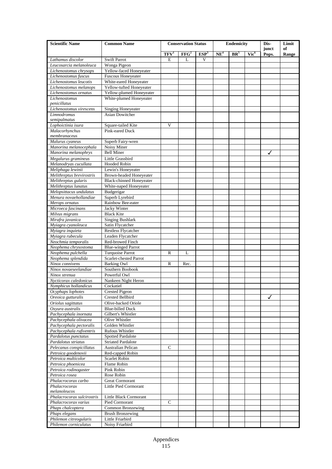| <b>Scientific Name</b>                      | <b>Common Name</b>                                  |                  | <b>Conservation Status</b> |                  | <b>Endemicity</b> |                 |                  | Dis-           | Limit       |
|---------------------------------------------|-----------------------------------------------------|------------------|----------------------------|------------------|-------------------|-----------------|------------------|----------------|-------------|
|                                             |                                                     | TFV <sup>1</sup> | $\overline{\text{FFG}^2}$  | ESP <sup>3</sup> | NE <sup>4</sup>   | BR <sup>5</sup> | Vic <sup>6</sup> | junct<br>Pops. | of<br>Range |
| Lathamus discolor                           | <b>Swift Parrot</b>                                 | E                | L                          | V                |                   |                 |                  |                |             |
| Leucosarcia melanoleuca                     | Wonga Pigeon                                        |                  |                            |                  |                   |                 |                  |                |             |
| Lichenostomus chrysops                      | Yellow-faced Honeyeater                             |                  |                            |                  |                   |                 |                  |                |             |
| Lichenostomus fuscus                        | <b>Fuscous Honeyeater</b>                           |                  |                            |                  |                   |                 |                  |                |             |
| Lichenostomus leucotis                      | White-eared Honeyeater                              |                  |                            |                  |                   |                 |                  |                |             |
| Lichenostomus melanops                      | Yellow-tufted Honeyeater                            |                  |                            |                  |                   |                 |                  |                |             |
| Lichenostomus ornatus                       | Yellow-plumed Honeyeater                            |                  |                            |                  |                   |                 |                  |                |             |
| Lichenostomus                               | White-plumed Honeyeater                             |                  |                            |                  |                   |                 |                  |                |             |
| penicillatus                                |                                                     |                  |                            |                  |                   |                 |                  |                |             |
| Lichenostomus virescens                     | <b>Singing Honeyeater</b><br><b>Asian Dowitcher</b> |                  |                            |                  |                   |                 |                  |                |             |
| Limnodromus<br>semipalmatus                 |                                                     |                  |                            |                  |                   |                 |                  |                |             |
| Lophoictinia isura                          | Square-tailed Kite                                  | V                |                            |                  |                   |                 |                  |                |             |
| Malacorhynchus                              | Pink-eared Duck                                     |                  |                            |                  |                   |                 |                  |                |             |
| membranaceus                                |                                                     |                  |                            |                  |                   |                 |                  |                |             |
| Malurus cyaneus                             | Superb Fairy-wren                                   |                  |                            |                  |                   |                 |                  |                |             |
| Manorina melanocephala                      | Noisy Miner                                         |                  |                            |                  |                   |                 |                  |                |             |
| Manorina melanophrys                        | <b>Bell Miner</b>                                   |                  |                            |                  |                   |                 |                  | ✓              |             |
| Megalurus gramineus                         | Little Grassbird                                    |                  |                            |                  |                   |                 |                  |                |             |
| Melanodryas cucullata                       | <b>Hooded Robin</b>                                 |                  |                            |                  |                   |                 |                  |                |             |
| Meliphaga lewinii                           | Lewin's Honeyeater                                  |                  |                            |                  |                   |                 |                  |                |             |
| Melithreptus brevirostris                   | <b>Brown-headed Honeyeater</b>                      |                  |                            |                  |                   |                 |                  |                |             |
| Melithreptus gularis                        | <b>Black-chinned Honeyeater</b>                     |                  |                            |                  |                   |                 |                  |                |             |
| Melithreptus lunatus                        | White-naped Honeyeater                              |                  |                            |                  |                   |                 |                  |                |             |
| Melopsittacus undulatus                     | Budgerigar                                          |                  |                            |                  |                   |                 |                  |                |             |
| Menura novaehollandiae                      | Superb Lyrebird                                     |                  |                            |                  |                   |                 |                  |                |             |
| Merops ornatus                              | Rainbow Bee-eater                                   |                  |                            |                  |                   |                 |                  |                |             |
| Microeca fascinans                          | Jacky Winter                                        |                  |                            |                  |                   |                 |                  |                |             |
| Milvus migrans                              | <b>Black Kite</b>                                   |                  |                            |                  |                   |                 |                  |                |             |
| Mirafra javanica                            | <b>Singing Bushlark</b>                             |                  |                            |                  |                   |                 |                  |                |             |
| Myiagra cyanoleuca                          | Satin Flycatcher                                    |                  |                            |                  |                   |                 |                  |                |             |
| Myiagra inquieta                            | Restless Flycatcher                                 |                  |                            |                  |                   |                 |                  |                |             |
| Myiagra rubecula                            | Leaden Flycatcher                                   |                  |                            |                  |                   |                 |                  |                |             |
| Neochmia temporalis<br>Neophema chrysostoma | Red-browed Finch<br><b>Blue-winged Parrot</b>       |                  |                            |                  |                   |                 |                  |                |             |
| Neophema pulchella                          | Turquoise Parrot                                    | $\mathbb{R}$     | L                          |                  |                   |                 |                  |                |             |
| Neophema splendida                          | Scarlet-chested Parrot                              |                  |                            |                  |                   |                 |                  |                |             |
| Ninox connivens                             | <b>Barking Owl</b>                                  | R                | Rec.                       |                  |                   |                 |                  |                |             |
| Ninox novaeseelandiae                       | Southern Boobook                                    |                  |                            |                  |                   |                 |                  |                |             |
| Ninox strenua                               | Powerful Owl                                        |                  |                            |                  |                   |                 |                  |                |             |
| Nycticorax caledonicus                      | Nankeen Night Heron                                 |                  |                            |                  |                   |                 |                  |                |             |
| Nymphicus hollandicus                       | Cockatiel                                           |                  |                            |                  |                   |                 |                  |                |             |
| Ocyphaps lophotes                           | <b>Crested Pigeon</b>                               |                  |                            |                  |                   |                 |                  |                |             |
| Oreoica gutturalis                          | <b>Crested Bellbird</b>                             |                  |                            |                  |                   |                 |                  | ✓              |             |
| Oriolus sagittatus                          | Olive-backed Oriole                                 |                  |                            |                  |                   |                 |                  |                |             |
| Oxyura australis                            | <b>Blue-billed Duck</b>                             |                  |                            |                  |                   |                 |                  |                |             |
| Pachycephala inornata                       | Gilbert's Whistler                                  |                  |                            |                  |                   |                 |                  |                |             |
| Pachycephala olivacea                       | Olive Whistler                                      |                  |                            |                  |                   |                 |                  |                |             |
| Pachycephala pectoralis                     | Golden Whistler                                     |                  |                            |                  |                   |                 |                  |                |             |
| Pachycephala rufiventris                    | <b>Rufous Whistler</b>                              |                  |                            |                  |                   |                 |                  |                |             |
| Pardalotus punctatus                        | <b>Spotted Pardalote</b>                            |                  |                            |                  |                   |                 |                  |                |             |
| Pardalotus striatus                         | <b>Striated Pardalote</b>                           |                  |                            |                  |                   |                 |                  |                |             |
| Pelecanus conspicillatus                    | <b>Australian Pelican</b>                           | С                |                            |                  |                   |                 |                  |                |             |
| Petroica goodenovii<br>Petroica multicolor  | Red-capped Robin                                    |                  |                            |                  |                   |                 |                  |                |             |
| Petroica phoenicea                          | Scarlet Robin<br>Flame Robin                        |                  |                            |                  |                   |                 |                  |                |             |
| Petroica rodinogaster                       | Pink Robin                                          |                  |                            |                  |                   |                 |                  |                |             |
| Petroica rosea                              | Rose Robin                                          |                  |                            |                  |                   |                 |                  |                |             |
| Phalacrocorax carbo                         | <b>Great Cormorant</b>                              |                  |                            |                  |                   |                 |                  |                |             |
| Phalacrocorax                               | Little Pied Cormorant                               |                  |                            |                  |                   |                 |                  |                |             |
| melanoleucos                                |                                                     |                  |                            |                  |                   |                 |                  |                |             |
| Phalacrocorax sulcirostris                  | Little Black Cormorant                              |                  |                            |                  |                   |                 |                  |                |             |
| Phalacrocorax varius                        | Pied Cormorant                                      | C                |                            |                  |                   |                 |                  |                |             |
| Phaps chalcoptera                           | Common Bronzewing                                   |                  |                            |                  |                   |                 |                  |                |             |
| Phaps elegans                               | <b>Brush Bronzewing</b>                             |                  |                            |                  |                   |                 |                  |                |             |
| Philemon citreogularis                      | Little Friarbird                                    |                  |                            |                  |                   |                 |                  |                |             |
| Philemon corniculatus                       | Noisy Friarbird                                     |                  |                            |                  |                   |                 |                  |                |             |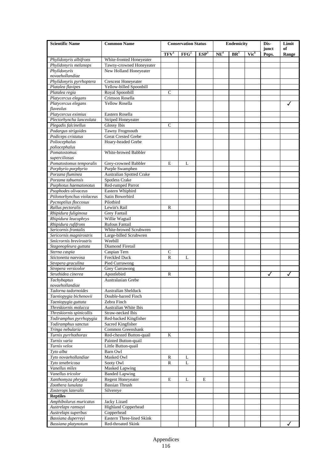| <b>Scientific Name</b>                           | <b>Common Name</b>                              |                  | <b>Conservation Status</b>  |                  |                 | <b>Endemicity</b> | Dis-             | Limit          |             |
|--------------------------------------------------|-------------------------------------------------|------------------|-----------------------------|------------------|-----------------|-------------------|------------------|----------------|-------------|
|                                                  |                                                 | TFV <sup>1</sup> | $\overline{\mathbf{FFG}^2}$ | ESP <sup>3</sup> | NE <sup>4</sup> | BR <sup>5</sup>   | $\mathrm{Vic}^6$ | junct<br>Pops. | of<br>Range |
| Phylidonyris albifrons                           | White-fronted Honeyeater                        |                  |                             |                  |                 |                   |                  |                |             |
| Phylidonyris melanops                            | Tawny-crowned Honeyeater                        |                  |                             |                  |                 |                   |                  |                |             |
| Phylidonyris                                     | New Holland Honeyeater                          |                  |                             |                  |                 |                   |                  |                |             |
| novaehollandiae                                  |                                                 |                  |                             |                  |                 |                   |                  |                |             |
| Phylidonyris pyrrhoptera                         | Crescent Honeyeater                             |                  |                             |                  |                 |                   |                  |                |             |
| Platalea flavipes                                | Yellow-billed Spoonbill                         |                  |                             |                  |                 |                   |                  |                |             |
| Platalea regia                                   | Royal Spoonbill                                 | C                |                             |                  |                 |                   |                  |                |             |
| Platycercus elegans                              | Crimson Rosella                                 |                  |                             |                  |                 |                   |                  |                |             |
| Platycercus elegans                              | <b>Yellow Rosella</b>                           |                  |                             |                  |                 |                   |                  |                |             |
| flaveolus<br>Platycercus eximius                 | Eastern Rosella                                 |                  |                             |                  |                 |                   |                  |                |             |
|                                                  |                                                 |                  |                             |                  |                 |                   |                  |                |             |
| Plectorhyncha lanceolata<br>Plegadis falcinellus | <b>Striped Honeyeater</b><br><b>Glossy Ibis</b> | $\mathbf C$      |                             |                  |                 |                   |                  |                |             |
| Podargus strigoides                              | Tawny Frogmouth                                 |                  |                             |                  |                 |                   |                  |                |             |
| Podiceps cristatus                               | <b>Great Crested Grebe</b>                      |                  |                             |                  |                 |                   |                  |                |             |
| Poliocephalus                                    | Hoary-headed Grebe                              |                  |                             |                  |                 |                   |                  |                |             |
| poliocephalus                                    |                                                 |                  |                             |                  |                 |                   |                  |                |             |
| Pomatostomus                                     | White-browed Babbler                            |                  |                             |                  |                 |                   |                  |                |             |
| superciliosus                                    |                                                 |                  |                             |                  |                 |                   |                  |                |             |
| Pomatostomus temporalis                          | Grey-crowned Babbler                            | E                | L                           |                  |                 |                   |                  |                |             |
| Porphyrio porphyrio                              | Purple Swamphen                                 |                  |                             |                  |                 |                   |                  |                |             |
| Porzana fluminea                                 | <b>Australian Spotted Crake</b>                 |                  |                             |                  |                 |                   |                  |                |             |
| Porzana tabuensis                                | Spotless Crake                                  |                  |                             |                  |                 |                   |                  |                |             |
| Psephotus haematonotus                           | Red-rumped Parrot                               |                  |                             |                  |                 |                   |                  |                |             |
| Psophodes olivaceus                              | Eastern Whipbird                                |                  |                             |                  |                 |                   |                  |                |             |
| Ptilonorhynchus violaceus                        | Satin Bowerbird                                 |                  |                             |                  |                 |                   |                  |                |             |
| Pycnoptilus floccosus                            | Pilotbird                                       |                  |                             |                  |                 |                   |                  |                |             |
| Rallus pectoralis                                | Lewin's Rail                                    | R                |                             |                  |                 |                   |                  |                |             |
| Rhipidura fuliginosa                             | Grey Fantail                                    |                  |                             |                  |                 |                   |                  |                |             |
| Rhipidura leucophrys                             | Willie Wagtail                                  |                  |                             |                  |                 |                   |                  |                |             |
| Rhipidura rufifrons                              | <b>Rufous Fantail</b>                           |                  |                             |                  |                 |                   |                  |                |             |
| Sericornis frontalis                             | White-browed Scrubwren                          |                  |                             |                  |                 |                   |                  |                |             |
| Sericornis magnirostris                          | Large-billed Scrubwren                          |                  |                             |                  |                 |                   |                  |                |             |
| Smicrornis brevirostris                          | Weebill                                         |                  |                             |                  |                 |                   |                  |                |             |
| Stagonopleura guttata                            | Diamond Firetail                                |                  |                             |                  |                 |                   |                  |                |             |
| Sterna caspia                                    | Caspian Tern                                    | C                |                             |                  |                 |                   |                  |                |             |
| Stictonetta naevosa                              | <b>Freckled Duck</b>                            | R                | L                           |                  |                 |                   |                  |                |             |
| Strepera graculina<br>Strepera versicolor        | Pied Currawong                                  |                  |                             |                  |                 |                   |                  |                |             |
| Struthidea cinerea                               | Grey Currawong<br>Apostlebird                   | R                |                             |                  |                 |                   |                  |                |             |
|                                                  | Australasian Grebe                              |                  |                             |                  |                 |                   |                  |                |             |
| Tachybaptus<br>novaehollandiae                   |                                                 |                  |                             |                  |                 |                   |                  |                |             |
| Tadorna tadornoides                              | Australian Shelduck                             |                  |                             |                  |                 |                   |                  |                |             |
| Taeniopygia bichenovii                           | Double-barred Finch                             |                  |                             |                  |                 |                   |                  |                |             |
| Taeniopygia guttata                              | Zebra Finch                                     |                  |                             |                  |                 |                   |                  |                |             |
| Threskiornis molucca                             | Australian White Ibis                           |                  |                             |                  |                 |                   |                  |                |             |
| Threskiornis spinicollis                         | Straw-necked Ibis                               |                  |                             |                  |                 |                   |                  |                |             |
| Todiramphus pyrrhopygia                          | Red-backed Kingfisher                           |                  |                             |                  |                 |                   |                  |                |             |
| Todiramphus sanctus                              | Sacred Kingfisher                               |                  |                             |                  |                 |                   |                  |                |             |
| Tringa nebularia                                 | Common Greenshank                               |                  |                             |                  |                 |                   |                  |                |             |
| Turnix pyrrhothorax                              | Red-chested Button-quail                        | K                |                             |                  |                 |                   |                  |                |             |
| Turnix varia                                     | Painted Button-quail                            |                  |                             |                  |                 |                   |                  |                |             |
| Turnix velox                                     | Little Button-quail                             |                  |                             |                  |                 |                   |                  |                |             |
| Tyto alba                                        | Barn Owl                                        |                  |                             |                  |                 |                   |                  |                |             |
| Tyto novaehollandiae                             | Masked Owl                                      | R                | L                           |                  |                 |                   |                  |                |             |
| Tyto tenebricosa                                 | Sooty Owl                                       | R                | L                           |                  |                 |                   |                  |                |             |
| Vanellus miles                                   | <b>Masked Lapwing</b>                           |                  |                             |                  |                 |                   |                  |                |             |
| Vanellus tricolor                                | <b>Banded Lapwing</b>                           |                  |                             |                  |                 |                   |                  |                |             |
| Xanthomyza phrygia                               | <b>Regent Honeyeater</b>                        | E                | L                           | E                |                 |                   |                  |                |             |
| Zoothera lunulata                                | <b>Bassian Thrush</b>                           |                  |                             |                  |                 |                   |                  |                |             |
| Zosterops lateralis                              | Silvereye                                       |                  |                             |                  |                 |                   |                  |                |             |
| <b>Reptiles</b>                                  |                                                 |                  |                             |                  |                 |                   |                  |                |             |
| Amphibolurus muricatus                           | Jacky Lizard                                    |                  |                             |                  |                 |                   |                  |                |             |
| Austrelaps ramsayi                               | <b>Highland Copperhead</b>                      |                  |                             |                  |                 |                   |                  |                |             |
| Austrelaps superbus                              | Copperhead                                      |                  |                             |                  |                 |                   |                  |                |             |
| Bassiana duperreyi                               | <b>Eastern Three-lined Skink</b>                |                  |                             |                  |                 |                   |                  |                |             |
| Bassiana platynotum                              | Red-throated Skink                              |                  |                             |                  |                 |                   |                  |                |             |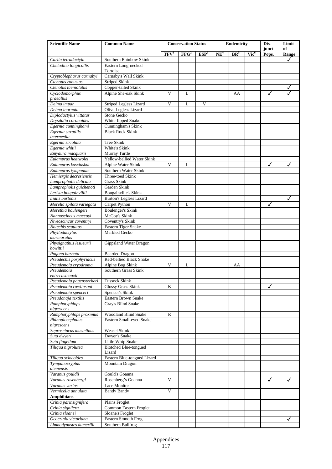| <b>Scientific Name</b>                      | <b>Common Name</b>                                    | <b>Conservation Status</b> |                           |                  |                 | <b>Endemicity</b> | Dis-             | Limit          |             |
|---------------------------------------------|-------------------------------------------------------|----------------------------|---------------------------|------------------|-----------------|-------------------|------------------|----------------|-------------|
|                                             |                                                       | TFV <sup>1</sup>           | $\overline{\text{FFG}^2}$ | ESP <sup>3</sup> | NE <sup>4</sup> | BR <sup>5</sup>   | $\mathrm{Vic}^6$ | junct<br>Pops. | of<br>Range |
| Carlia tetradactyla                         | Southern Rainbow Skink                                |                            |                           |                  |                 |                   |                  |                | ✓           |
| Chelodina longicollis                       | Eastern Long-necked<br>Tortoise                       |                            |                           |                  |                 |                   |                  |                |             |
| Cryptoblepharus carnabyi                    | Carnaby's Wall Skink                                  |                            |                           |                  |                 |                   |                  |                |             |
| Ctenotus robustus                           | <b>Striped Skink</b>                                  |                            |                           |                  |                 |                   |                  |                |             |
| Ctenotus taeniolatus                        | Copper-tailed Skink                                   |                            |                           |                  |                 |                   |                  |                |             |
| Cyclodomorphus                              | Alpine She-oak Skink                                  | V                          | L                         |                  |                 | AA                |                  |                |             |
| praealtus                                   |                                                       | V                          |                           | V                |                 |                   |                  |                |             |
| Delma impar<br>Delma inornata               | Striped Legless Lizard<br><b>Olive Legless Lizard</b> |                            | L                         |                  |                 |                   |                  |                |             |
| Diplodactylus vittatus                      | Stone Gecko                                           |                            |                           |                  |                 |                   |                  |                |             |
| Drysdalia coronoides                        | White-lipped Snake                                    |                            |                           |                  |                 |                   |                  |                |             |
| Egernia cunninghami                         | Cunningham's Skink                                    |                            |                           |                  |                 |                   |                  |                |             |
| Egernia saxatilis                           | <b>Black Rock Skink</b>                               |                            |                           |                  |                 |                   |                  |                |             |
| intermedia                                  |                                                       |                            |                           |                  |                 |                   |                  |                |             |
| Egernia striolata                           | <b>Tree Skink</b>                                     |                            |                           |                  |                 |                   |                  |                |             |
| Egernia whitii                              | White's Skink                                         |                            |                           |                  |                 |                   |                  |                |             |
| Emydura macquarii                           | Murray Turtle                                         |                            |                           |                  |                 |                   |                  |                |             |
| Eulamprus heatwolei                         | Yellow-bellied Water Skink                            |                            |                           |                  |                 |                   |                  |                |             |
| Eulamprus kosciuskoi                        | Alpine Water Skink                                    | V                          | L                         |                  |                 |                   |                  | ✓              |             |
| Eulamprus tympanum                          | Southern Water Skink                                  |                            |                           |                  |                 |                   |                  |                |             |
| Hemiergis decresiensis                      | Three-toed Skink                                      |                            |                           |                  |                 |                   |                  |                |             |
| Lampropholis delicata                       | <b>Grass Skink</b>                                    |                            |                           |                  |                 |                   |                  |                |             |
| Lampropholis guichenoti                     | Garden Skink                                          |                            |                           |                  |                 |                   |                  |                |             |
| Lerista bougainvillii                       | <b>Bougainville's Skink</b>                           |                            |                           |                  |                 |                   |                  |                |             |
| Lialis burtonis                             | <b>Burton's Legless Lizard</b>                        |                            |                           |                  |                 |                   |                  |                |             |
| Morelia spilota variegata                   | Carpet Python                                         | V                          | L                         |                  |                 |                   |                  | ✓              |             |
| Morethia boulengeri                         | <b>Boulenger's Skink</b>                              |                            |                           |                  |                 |                   |                  |                |             |
| Nannoscincus maccoyi                        | McCoy's Skink                                         |                            |                           |                  |                 |                   |                  |                |             |
| Niveoscincus coventryi<br>Notechis scutatus | Coventry's Skink<br>Eastern Tiger Snake               |                            |                           |                  |                 |                   |                  |                |             |
| Phyllodactylus                              | Marbled Gecko                                         |                            |                           |                  |                 |                   |                  |                |             |
| marmoratus                                  |                                                       |                            |                           |                  |                 |                   |                  |                |             |
| Physignathus lesueurii<br>howittii          | Gippsland Water Dragon                                |                            |                           |                  |                 |                   |                  |                |             |
| Pogona barbata                              | <b>Bearded Dragon</b>                                 |                            |                           |                  |                 |                   |                  |                |             |
| Pseudechis porphyriacus                     | <b>Red-bellied Black Snake</b>                        |                            |                           |                  |                 |                   |                  |                |             |
| Pseudemoia cryodroma                        | Alpine Bog Skink                                      | V                          | L                         |                  |                 | AA                |                  |                |             |
| Pseudemoia                                  | Southern Grass Skink                                  |                            |                           |                  |                 |                   |                  |                |             |
| entrecasteauxii                             |                                                       |                            |                           |                  |                 |                   |                  |                |             |
| Pseudemoia pagenstecheri                    | <b>Tussock Skink</b>                                  |                            |                           |                  |                 |                   |                  |                |             |
| Pseudemoia rawlinsoni                       | <b>Glossy Grass Skink</b>                             | K                          |                           |                  |                 |                   |                  | ✓              |             |
| Pseudemoia spenceri                         | Spencer's Skink                                       |                            |                           |                  |                 |                   |                  |                |             |
| Pseudonaja textilis<br>Ramphotyphlops       | <b>Eastern Brown Snake</b><br>Gray's Blind Snake      |                            |                           |                  |                 |                   |                  |                |             |
| nigrescens                                  |                                                       |                            |                           |                  |                 |                   |                  |                |             |
| Ramphotyphlops proximus                     | <b>Woodland Blind Snake</b>                           | R                          |                           |                  |                 |                   |                  |                |             |
| Rhinoplocephalus                            | Eastern Small-eyed Snake                              |                            |                           |                  |                 |                   |                  |                |             |
| nigrescens                                  |                                                       |                            |                           |                  |                 |                   |                  |                |             |
| Saproscincus mustelinus                     | Weasel Skink                                          |                            |                           |                  |                 |                   |                  |                |             |
| Suta dwyeri                                 | Dwyer's Snake                                         |                            |                           |                  |                 |                   |                  |                |             |
| Suta flagellum<br>Tiliqua nigrolutea        | Little Whip Snake<br><b>Blotched Blue-tongued</b>     |                            |                           |                  |                 |                   |                  |                |             |
|                                             | Lizard                                                |                            |                           |                  |                 |                   |                  |                |             |
| Tiliqua scincoides                          | Eastern Blue-tongued Lizard                           |                            |                           |                  |                 |                   |                  |                |             |
| Tympanocryptus<br>diemensis                 | Mountain Dragon                                       |                            |                           |                  |                 |                   |                  |                |             |
| Varanus gouldii                             | Gould's Goanna                                        |                            |                           |                  |                 |                   |                  |                |             |
| Varanus rosenbergi                          | Rosenberg's Goanna                                    | V                          |                           |                  |                 |                   |                  | ✓              | J           |
| Varanus varius                              | Lace Monitor                                          |                            |                           |                  |                 |                   |                  |                |             |
| Vermicella annulata                         | <b>Bandy Bandy</b>                                    | V                          |                           |                  |                 |                   |                  |                |             |
| <b>Amphibians</b>                           |                                                       |                            |                           |                  |                 |                   |                  |                |             |
| Crinia parinsignifera                       | Plains Froglet                                        |                            |                           |                  |                 |                   |                  |                |             |
| Crinia signifera                            | Common Eastern Froglet                                |                            |                           |                  |                 |                   |                  |                |             |
| Crinia sloanei                              | Sloane's Froglet                                      |                            |                           |                  |                 |                   |                  |                |             |
| Geocrinia victoriana                        | Eastern Smooth Frog                                   |                            |                           |                  |                 |                   |                  |                | ✓           |
| Limnodynastes dumerilii                     | Southern Bullfrog                                     |                            |                           |                  |                 |                   |                  |                |             |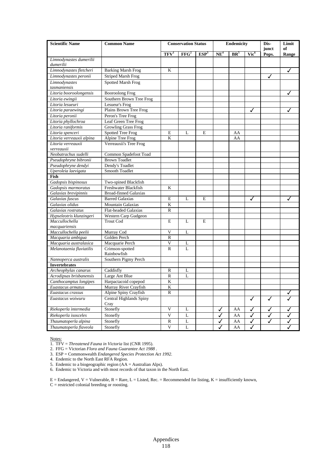| <b>Scientific Name</b>               | <b>Common Name</b>              | <b>Conservation Status</b> |                             |                  |        | <b>Endemicity</b> | Dis-<br>junct    | Limit<br>of |       |
|--------------------------------------|---------------------------------|----------------------------|-----------------------------|------------------|--------|-------------------|------------------|-------------|-------|
|                                      |                                 | TFV <sup>1</sup>           | $\overline{\mathbf{FFG}^2}$ | ESP <sup>3</sup> | $NE^4$ | $BR^5$            | Vic <sup>6</sup> | Pops.       | Range |
| Limnodynastes dumerilii<br>dumerilii |                                 |                            |                             |                  |        |                   |                  |             |       |
| Limnodynastes fletcheri              | <b>Barking Marsh Frog</b>       | K                          |                             |                  |        |                   |                  |             |       |
| Limnodynastes peronii                | Striped Marsh Frog              |                            |                             |                  |        |                   |                  | ✓           |       |
| Limnodynastes                        | <b>Spotted Marsh Frog</b>       |                            |                             |                  |        |                   |                  |             |       |
| tasmaniensis                         |                                 |                            |                             |                  |        |                   |                  |             |       |
| Litoria booroolongensis              | <b>Booroolong Frog</b>          |                            |                             |                  |        |                   |                  |             | ✓     |
| Litoria ewingii                      | Southern Brown Tree Frog        |                            |                             |                  |        |                   |                  |             |       |
| Litoria lesueuri                     | Lesueur's Frog                  |                            |                             |                  |        |                   |                  |             |       |
| Litoria paraewingi                   | Plains Brown Tree Frog          |                            |                             |                  |        |                   | √                |             |       |
| Litoria peronii                      | Peron's Tree Frog               |                            |                             |                  |        |                   |                  |             |       |
| Litoria phyllochroa                  | Leaf Green Tree Frog            |                            |                             |                  |        |                   |                  |             |       |
| Litoria raniformis                   | <b>Growling Grass Frog</b>      |                            |                             |                  |        |                   |                  |             |       |
| Litoria spenceri                     | Spotted Tree Frog               | E                          | L                           | E                |        | AA                |                  |             |       |
| Litoria verreauxii alpina            | Alpine Tree Frog                | K                          |                             |                  |        | AA                |                  |             |       |
| Litoria verreauxii                   | Verreauxii's Tree Frog          |                            |                             |                  |        |                   |                  |             |       |
| verreauxii                           |                                 |                            |                             |                  |        |                   |                  |             |       |
| Neobatrachus sudelli                 | Common Spadefoot Toad           |                            |                             |                  |        |                   |                  |             |       |
| Pseudophryne bibronii                | <b>Brown Toadlet</b>            |                            |                             |                  |        |                   |                  |             |       |
| Pseudophryne dendyi                  | Dendy's Toadlet                 |                            |                             |                  |        |                   |                  |             |       |
| Uperoleia laevigata                  | Smooth Toadlet                  |                            |                             |                  |        |                   |                  |             |       |
| Fish                                 |                                 |                            |                             |                  |        |                   |                  |             |       |
| Gadopsis bispinosus                  | Two-spined Blackfish            |                            |                             |                  |        |                   |                  |             |       |
| Gadopsis marmoratus                  | Freshwater Blackfish            | K                          |                             |                  |        |                   |                  |             |       |
| Galaxias brevipinnis                 | <b>Broad-finned Galaxias</b>    |                            |                             |                  |        |                   |                  |             |       |
| Galaxias fuscus                      | <b>Barred Galaxias</b>          | E                          | L                           | E                |        |                   | J                |             |       |
| Galaxias olidus                      | <b>Mountain Galaxias</b>        | K                          |                             |                  |        |                   |                  |             |       |
| Galaxias rostratus                   | <b>Flat-headed Galaxias</b>     | $\mathbb{R}$               |                             |                  |        |                   |                  |             |       |
| Hypseleotris klunzingeri             | Western Carp Gudgeon            |                            |                             |                  |        |                   |                  |             |       |
| Maccullochella                       | <b>Trout Cod</b>                | E                          | L                           | E                |        |                   |                  |             |       |
| macquariensis                        |                                 |                            |                             |                  |        |                   |                  |             |       |
| Maccullochella peelii                | Murray Cod                      | V                          | L                           |                  |        |                   |                  |             |       |
| Macquaria ambigua                    | Golden Perch                    | $\mathbb R$                |                             |                  |        |                   |                  |             |       |
| Macquaria australasica               | Macquarie Perch                 | V                          | L                           |                  |        |                   |                  |             |       |
| Melanotaenia fluviatilis             | Crimson-spotted<br>Rainbowfish  | $\mathsf{R}$               | L                           |                  |        |                   |                  |             |       |
| Nannoperca australis                 | Southern Pigmy Perch            |                            |                             |                  |        |                   |                  |             |       |
| <b>Invertebrates</b>                 |                                 |                            |                             |                  |        |                   |                  |             |       |
| Archeophylax canarus                 | Caddisfly                       | R                          | L                           |                  |        |                   |                  |             |       |
| Acrodipsas brisbanensis              | Large Ant Blue                  | $\mathbb{R}$               | L                           |                  |        |                   |                  |             |       |
| Canthocamptus longipes               | Harpactacoid copepod            | K                          |                             |                  |        |                   |                  |             |       |
| Euastacus armatus                    | Murray River Crayfish           | K                          |                             |                  |        |                   |                  |             |       |
| Euastacus crassus                    | Alpine Spiny Crayfish           | $\mathbb{R}$               |                             |                  |        |                   |                  |             |       |
| Euastacus woiwuru                    | Central Highlands Spiny<br>Cray |                            |                             |                  |        |                   | ✓                | ✓           |       |
| Riekoperla intermedia                | Stonefly                        | V                          | L                           |                  | √      | AA                | √                |             |       |
| Riekoperla isosceles                 | Stonefly                        | $\overline{\mathsf{V}}$    | L                           |                  | √      | AA                | ✓                |             |       |
| Thaumatoperla alpina                 | Stonefly                        | $\mathbb R$                | L                           |                  | √      | AA                | √                | ✓           | √     |
|                                      | Stonefly                        | V                          | L                           |                  |        | AA                |                  |             |       |
| Thaumatoperla flaveola               |                                 |                            |                             |                  |        |                   |                  |             |       |

Notes:

1. TFV = *Threatened Fauna in Victoria* list (CNR 1995).

2. FFG = Victorian *Flora and Fauna Guarantee Act 1988* .

3. ESP = Commonwealth *Endangered Species Protection Act 1992.*

4. Endemic to the North East RFA Region.

5. Endemic to a biogeographic region (AA = Australian Alps).

6. Endemic to Victoria and with most records of that taxon in the North East.

 $E =$  Endangered,  $V =$  Vulnerable,  $R =$  Rare,  $L =$  Listed, Rec. = Recommended for listing,  $K =$  insufficiently known,

C = restricted colonial breeding or roosting.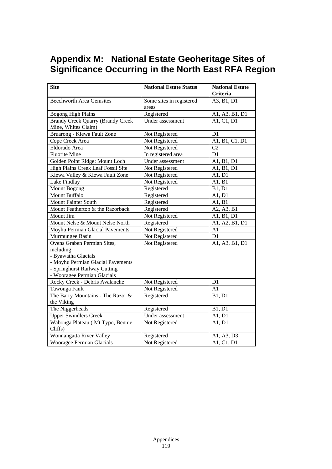# **Appendix M: National Estate Geoheritage Sites of Significance Occurring in the North East RFA Region**

| <b>Site</b>                                                                                                                                                          | <b>National Estate Status</b>     | <b>National Estate</b><br><b>Criteria</b> |
|----------------------------------------------------------------------------------------------------------------------------------------------------------------------|-----------------------------------|-------------------------------------------|
| <b>Beechworth Area Gemsites</b>                                                                                                                                      | Some sites in registered<br>areas | A3, B1, D1                                |
| <b>Bogong High Plains</b>                                                                                                                                            | Registered                        | A1, A3, B1, D1                            |
| <b>Brandy Creek Quarry (Brandy Creek</b>                                                                                                                             | Under assessment                  | A1, C1, D1                                |
| Mine, Whites Claim)                                                                                                                                                  |                                   |                                           |
| Bruarong - Kiewa Fault Zone                                                                                                                                          | Not Registered                    | D1                                        |
| Cope Creek Area                                                                                                                                                      | Not Registered                    | A1, B1, C1, D1                            |
| Eldorado Area                                                                                                                                                        | Not Registered                    | C <sub>2</sub>                            |
| <b>Fluorite Mine</b>                                                                                                                                                 | In registered area                | D1                                        |
| Golden Point Ridge: Mount Loch                                                                                                                                       | Under assessment                  | A1, B1, D1                                |
| High Plains Creek Leaf Fossil Site                                                                                                                                   | Not Registered                    | A1, B1, D1                                |
| Kiewa Valley & Kiewa Fault Zone                                                                                                                                      | Not Registered                    | A1, D1                                    |
| Lake Findlay                                                                                                                                                         | Not Registered                    | A1, B1                                    |
| <b>Mount Bogong</b>                                                                                                                                                  | Registered                        | <b>B1</b> , D1                            |
| <b>Mount Buffalo</b>                                                                                                                                                 | Registered                        | A1, D1                                    |
| Mount Fainter South                                                                                                                                                  | Registered                        | A1, B1                                    |
| Mount Feathertop & the Razorback                                                                                                                                     | Registered                        | A2, A3, B1                                |
| Mount Jim                                                                                                                                                            | Not Registered                    | A1, B1, D1                                |
| Mount Nelse & Mount Nelse North                                                                                                                                      | Registered                        | A1, A2, B1, D1                            |
| Moyhu Permian Glacial Pavements                                                                                                                                      | Not Registered                    | A1                                        |
| Murmungee Basin                                                                                                                                                      | Not Registered                    | D1                                        |
| Ovens Graben Permian Sites,<br>including<br>- Byawatha Glacials<br>- Moyhu Permian Glacial Pavements<br>- Springhurst Railway Cutting<br>- Wooragee Permian Glacials | Not Registered                    | A1, A3, B1, D1                            |
| Rocky Creek - Debris Avalanche                                                                                                                                       | Not Registered                    | D1                                        |
| Tawonga Fault                                                                                                                                                        | Not Registered                    | A1                                        |
| The Barry Mountains - The Razor &<br>the Viking                                                                                                                      | Registered                        | <b>B1</b> , D1                            |
| The Niggerheads                                                                                                                                                      | Registered                        | <b>B1</b> , D1                            |
| <b>Upper Swindlers Creek</b>                                                                                                                                         | Under assessment                  | A1, D1                                    |
| Wabonga Plateau (Mt Typo, Bennie<br>Cliffs)                                                                                                                          | Not Registered                    | A1, D1                                    |
| Wonnangatta River Valley                                                                                                                                             | Registered                        | A1, A <sub>3</sub> , D <sub>3</sub>       |
| Wooragee Permian Glacials                                                                                                                                            | Not Registered                    | A1, C1, D1                                |